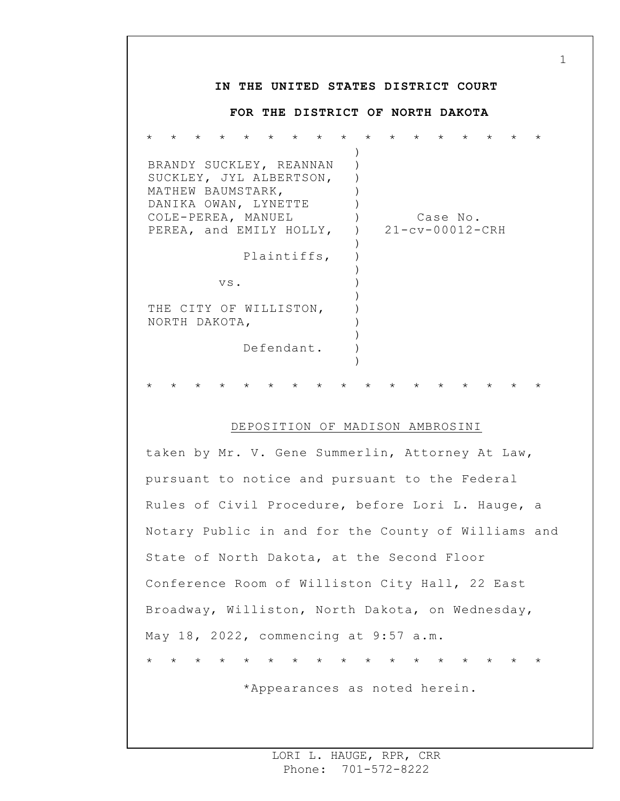## **IN THE UNITED STATES DISTRICT COURT FOR THE DISTRICT OF NORTH DAKOTA** \* \* \* \* \* \* \* \* \* \* \* \* \* \* \* \* \* BRANDY SUCKLEY, REANNAN SUCKLEY, JYL ALBERTSON, MATHEW BAUMSTARK, DANIKA OWAN, LYNETTE COLE-PEREA, MANUEL PEREA, and EMILY HOLLY, Plaintiffs, vs. THE CITY OF WILLISTON, NORTH DAKOTA, Defendant. ) ) ) )  $\left( \right)$  $)$  $\left( \right)$ )  $\left( \right)$ ) ) ) ) ) ) ) ) Case No. 21-cv-00012-CRH \* \* \* \* \* \* \* \* \* \* \* \* \* \* \* \* \*

1

## DEPOSITION OF MADISON AMBROSINI

taken by Mr. V. Gene Summerlin, Attorney At Law, pursuant to notice and pursuant to the Federal Rules of Civil Procedure, before Lori L. Hauge, a Notary Public in and for the County of Williams and State of North Dakota, at the Second Floor Conference Room of Williston City Hall, 22 East Broadway, Williston, North Dakota, on Wednesday, May 18, 2022, commencing at 9:57 a.m. \* \* \* \* \* \* \* \* \* \* \* \* \* \* \* \* \*

\*Appearances as noted herein.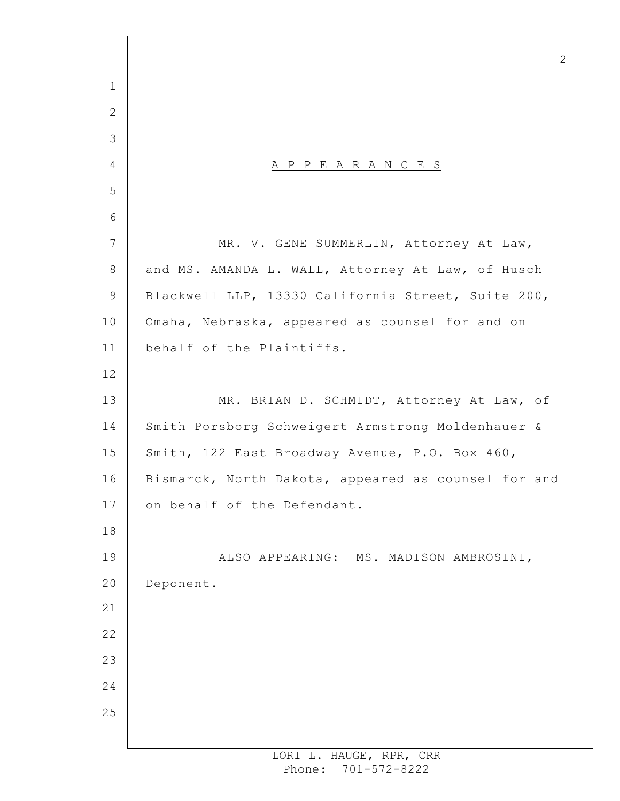A P P E A R A N C E S MR. V. GENE SUMMERLIN, Attorney At Law, and MS. AMANDA L. WALL, Attorney At Law, of Husch Blackwell LLP, 13330 California Street, Suite 200, Omaha, Nebraska, appeared as counsel for and on behalf of the Plaintiffs. MR. BRIAN D. SCHMIDT, Attorney At Law, of Smith Porsborg Schweigert Armstrong Moldenhauer & Smith, 122 East Broadway Avenue, P.O. Box 460, Bismarck, North Dakota, appeared as counsel for and on behalf of the Defendant. ALSO APPEARING: MS. MADISON AMBROSINI, Deponent.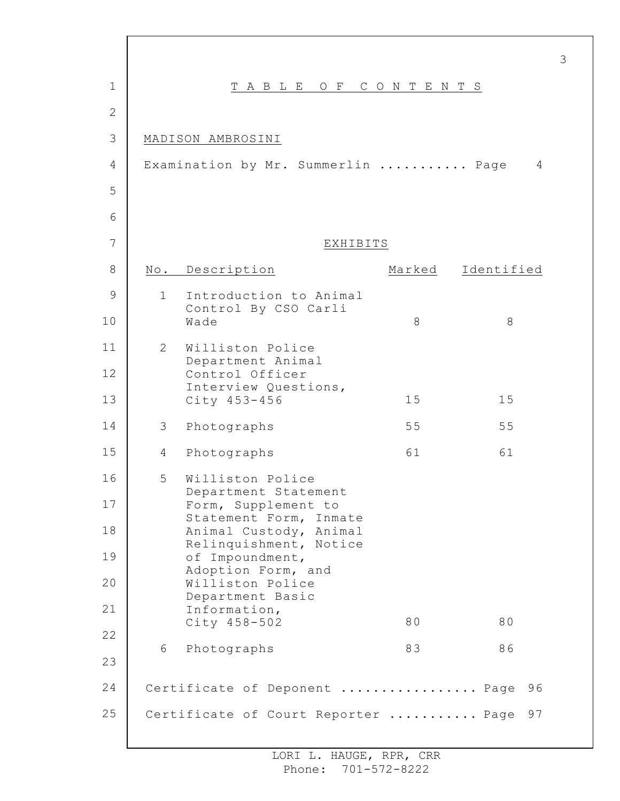| 1  |                                         | TABLE OF                                         | CONTENTS |            |
|----|-----------------------------------------|--------------------------------------------------|----------|------------|
| 2  |                                         |                                                  |          |            |
| 3  | MADISON AMBROSINI                       |                                                  |          |            |
| 4  | Examination by Mr. Summerlin  Page<br>4 |                                                  |          |            |
| 5  |                                         |                                                  |          |            |
| 6  |                                         |                                                  |          |            |
| 7  | <b>EXHIBITS</b>                         |                                                  |          |            |
| 8  |                                         | No. Description                                  | Marked   | Identified |
| 9  | $\mathbf{1}$                            | Introduction to Animal<br>Control By CSO Carli   |          |            |
| 10 |                                         | Wade                                             | 8        | 8          |
| 11 | $\overline{2}$                          | Williston Police<br>Department Animal            |          |            |
| 12 |                                         | Control Officer<br>Interview Questions,          |          |            |
| 13 |                                         | $City$ 453-456                                   | 15       | 15         |
| 14 | 3                                       | Photographs                                      | 55       | 55         |
| 15 | 4                                       | Photographs                                      | 61       | 61         |
| 16 | 5                                       | Williston Police<br>Department Statement         |          |            |
| 17 |                                         | Form, Supplement to<br>Statement Form, Inmate    |          |            |
| 18 |                                         | Animal Custody, Animal<br>Relinquishment, Notice |          |            |
| 19 |                                         | of Impoundment,<br>Adoption Form, and            |          |            |
| 20 |                                         | Williston Police<br>Department Basic             |          |            |
| 21 |                                         | Information,<br>City 458-502                     | 80       | 80         |
| 22 | 6                                       | Photographs                                      | 83       | 86         |
| 23 |                                         |                                                  |          |            |
| 24 | Certificate of Deponent  Page<br>96     |                                                  |          |            |
| 25 |                                         | Certificate of Court Reporter  Page              |          | 97         |
|    |                                         |                                                  |          |            |

Г

3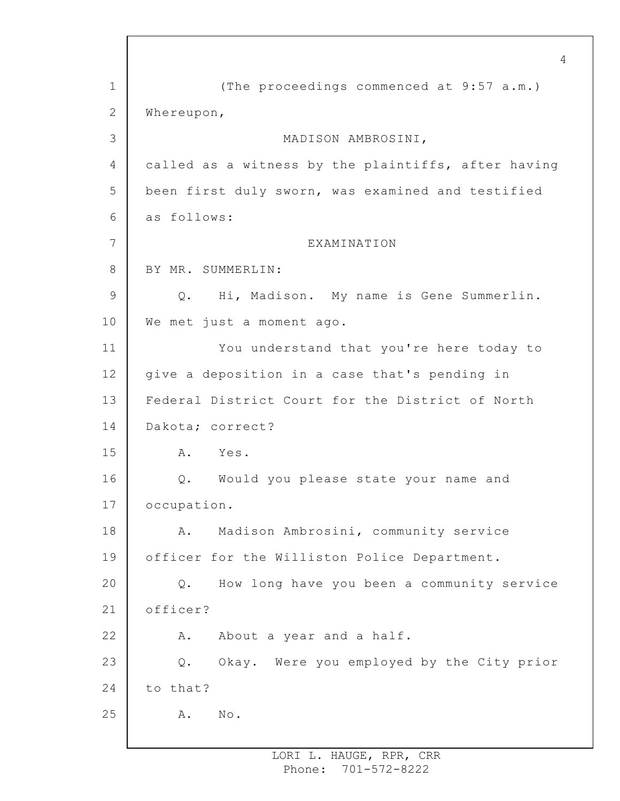1 2 3 4 5 6 7 8 9 10 11 12 13 14 15 16 17 18 19 20 21 22 23 24 25 (The proceedings commenced at 9:57 a.m.) Whereupon, MADISON AMBROSINI, called as a witness by the plaintiffs, after having been first duly sworn, was examined and testified as follows: EXAMINATION BY MR. SUMMERLIN: Q. Hi, Madison. My name is Gene Summerlin. We met just a moment ago. You understand that you're here today to give a deposition in a case that's pending in Federal District Court for the District of North Dakota; correct? A. Yes. Q. Would you please state your name and occupation. A. Madison Ambrosini, community service officer for the Williston Police Department. Q. How long have you been a community service officer? A. About a year and a half. Q. Okay. Were you employed by the City prior to that? A. No.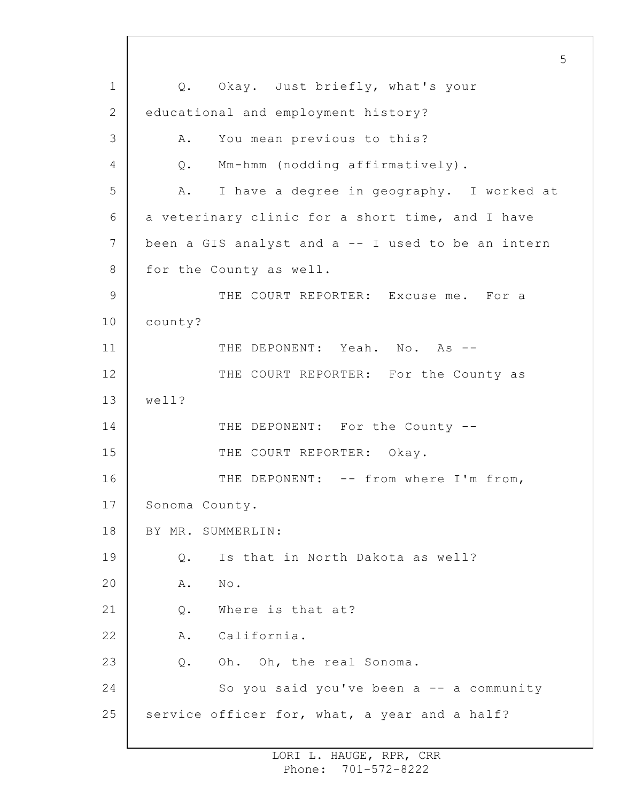1 2 3 4 5 6 7 8 9 10 11 12 13 14 15 16 17 18 19 20 21 22 23 24 25 5 Q. Okay. Just briefly, what's your educational and employment history? A. You mean previous to this? Q. Mm-hmm (nodding affirmatively). A. I have a degree in geography. I worked at a veterinary clinic for a short time, and I have been a GIS analyst and  $a - I$  used to be an intern for the County as well. THE COURT REPORTER: Excuse me. For a county? THE DEPONENT: Yeah, No. As --THE COURT REPORTER: For the County as well? THE DEPONENT: For the County --THE COURT REPORTER: Okay. THE DEPONENT: -- from where I'm from, Sonoma County. BY MR. SUMMERLIN: Q. Is that in North Dakota as well? A. No. Q. Where is that at? A. California. Q. Oh. Oh, the real Sonoma. So you said you've been a -- a community service officer for, what, a year and a half?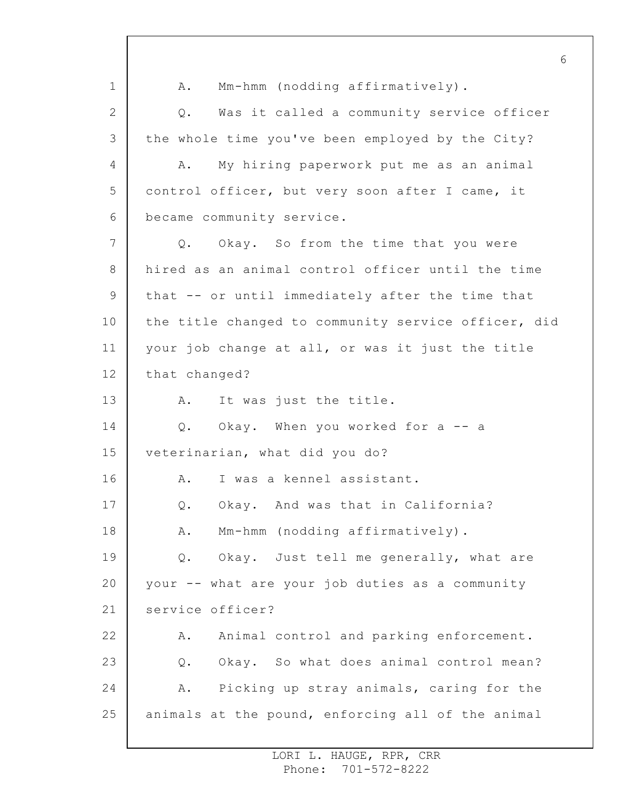1 2 3 4 5 6 7 8 9 10 11 12 13 14 15 16 17 18 19 20 21 22 23 24 25 6 A. Mm-hmm (nodding affirmatively). Q. Was it called a community service officer the whole time you've been employed by the City? A. My hiring paperwork put me as an animal control officer, but very soon after I came, it became community service. Q. Okay. So from the time that you were hired as an animal control officer until the time that -- or until immediately after the time that the title changed to community service officer, did your job change at all, or was it just the title that changed? A. It was just the title. Q. Okay. When you worked for a -- a veterinarian, what did you do? A. I was a kennel assistant. Q. Okay. And was that in California? A. Mm-hmm (nodding affirmatively). Q. Okay. Just tell me generally, what are your -- what are your job duties as a community service officer? A. Animal control and parking enforcement. Q. Okay. So what does animal control mean? A. Picking up stray animals, caring for the animals at the pound, enforcing all of the animal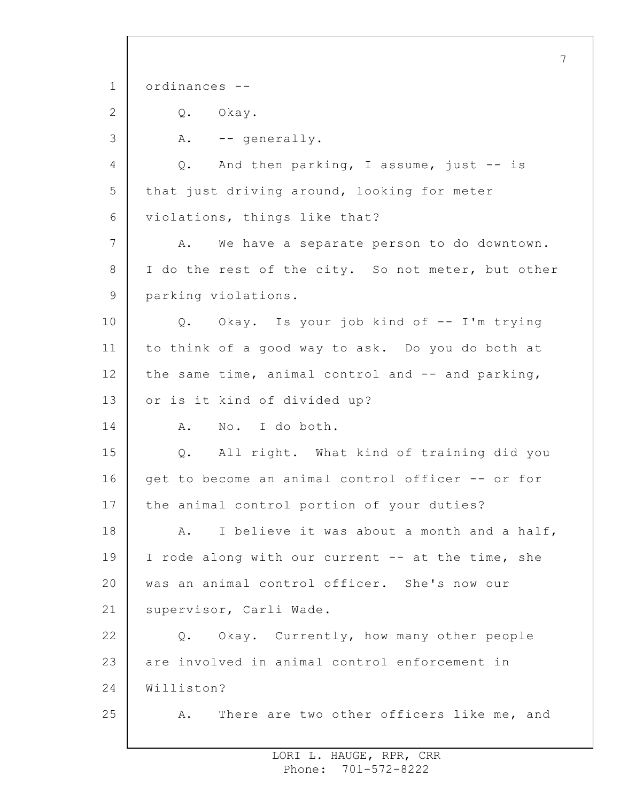1 2 3 4 5 6 7 8 9 10 11 12 13 14 15 16 17 18 19 20 21 22 23 24 25 7 ordinances -- Q. Okay. A. -- generally. Q. And then parking, I assume, just -- is that just driving around, looking for meter violations, things like that? A. We have a separate person to do downtown. I do the rest of the city. So not meter, but other parking violations. Q. Okay. Is your job kind of -- I'm trying to think of a good way to ask. Do you do both at the same time, animal control and  $--$  and parking, or is it kind of divided up? A. No. I do both. Q. All right. What kind of training did you get to become an animal control officer -- or for the animal control portion of your duties? A. I believe it was about a month and a half, I rode along with our current -- at the time, she was an animal control officer. She's now our supervisor, Carli Wade. Q. Okay. Currently, how many other people are involved in animal control enforcement in Williston? A. There are two other officers like me, and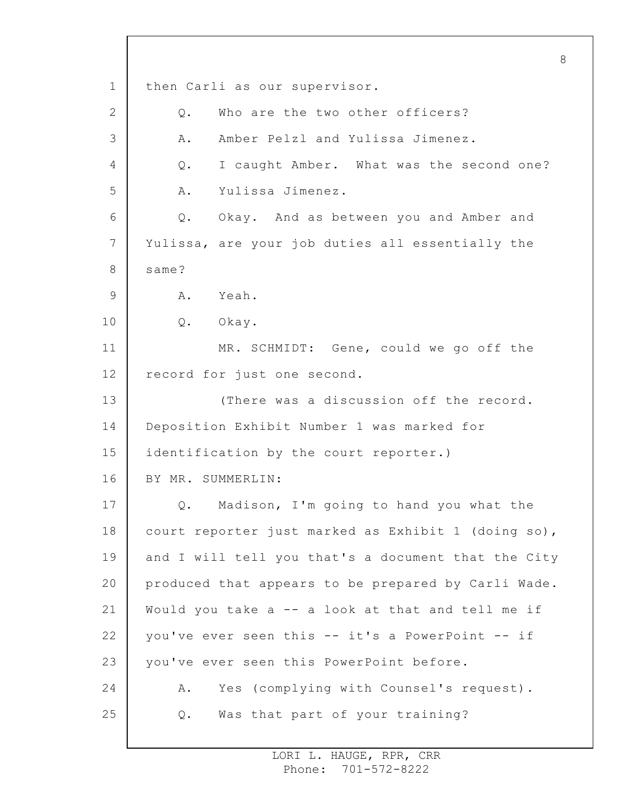1 2 3 4 5 6 7 8 9 10 11 12 13 14 15 16 17 18 19 20 21 22 23 24 25 8 then Carli as our supervisor. Q. Who are the two other officers? A. Amber Pelzl and Yulissa Jimenez. Q. I caught Amber. What was the second one? A. Yulissa Jimenez. Q. Okay. And as between you and Amber and Yulissa, are your job duties all essentially the same? A. Yeah. Q. Okay. MR. SCHMIDT: Gene, could we go off the record for just one second. (There was a discussion off the record. Deposition Exhibit Number 1 was marked for identification by the court reporter.) BY MR. SUMMERLIN: Q. Madison, I'm going to hand you what the court reporter just marked as Exhibit 1 (doing so), and I will tell you that's a document that the City produced that appears to be prepared by Carli Wade. Would you take a -- a look at that and tell me if you've ever seen this -- it's a PowerPoint -- if you've ever seen this PowerPoint before. A. Yes (complying with Counsel's request). Q. Was that part of your training?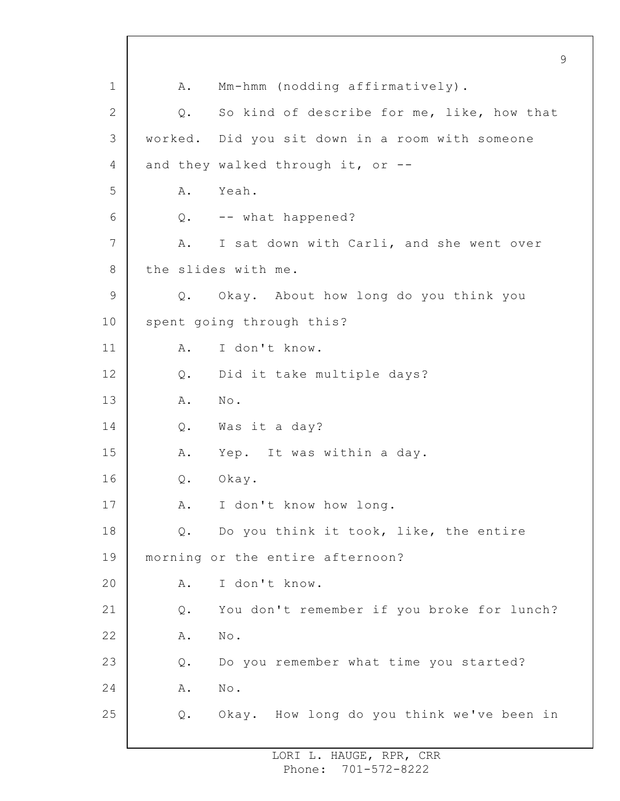1 2 3 4 5 6 7 8 9 10 11 12 13 14 15 16 17 18 19 20 21 22 23 24 25 9 A. Mm-hmm (nodding affirmatively). Q. So kind of describe for me, like, how that worked. Did you sit down in a room with someone and they walked through it, or -- A. Yeah. Q. -- what happened? A. I sat down with Carli, and she went over the slides with me. Q. Okay. About how long do you think you spent going through this? A. I don't know. Q. Did it take multiple days? A. No. Q. Was it a day? A. Yep. It was within a day. Q. Okay. A. I don't know how long. Q. Do you think it took, like, the entire morning or the entire afternoon? A. I don't know. Q. You don't remember if you broke for lunch? A. No. Q. Do you remember what time you started? A. No. Q. Okay. How long do you think we've been in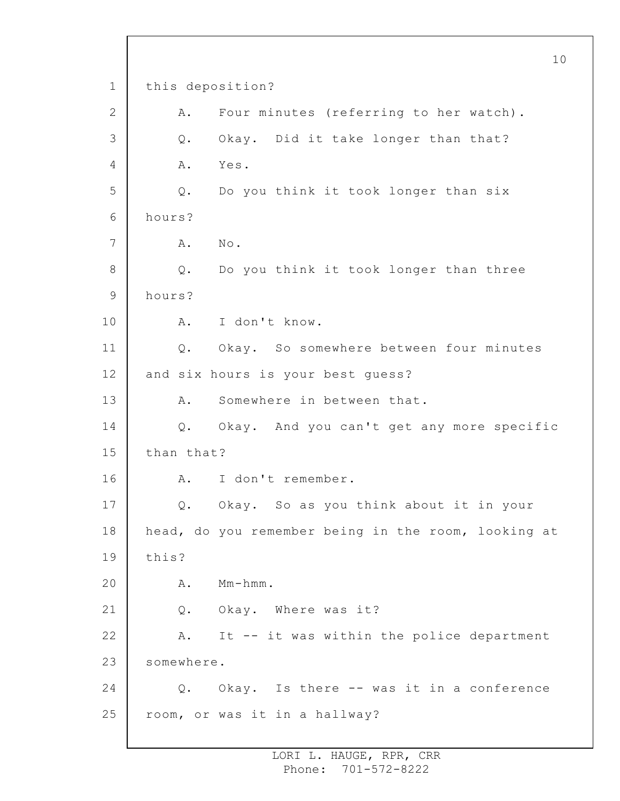1 2 3 4 5 6 7 8 9 10 11 12 13 14 15 16 17 18 19 20 21 22 23 24 25 10 this deposition? A. Four minutes (referring to her watch). Q. Okay. Did it take longer than that? A. Yes. Q. Do you think it took longer than six hours? A. No. Q. Do you think it took longer than three hours? A. I don't know. Q. Okay. So somewhere between four minutes and six hours is your best guess? A. Somewhere in between that. Q. Okay. And you can't get any more specific than that? A. I don't remember. Q. Okay. So as you think about it in your head, do you remember being in the room, looking at this? A. Mm-hmm. Q. Okay. Where was it? A. It -- it was within the police department somewhere. Q. Okay. Is there -- was it in a conference room, or was it in a hallway?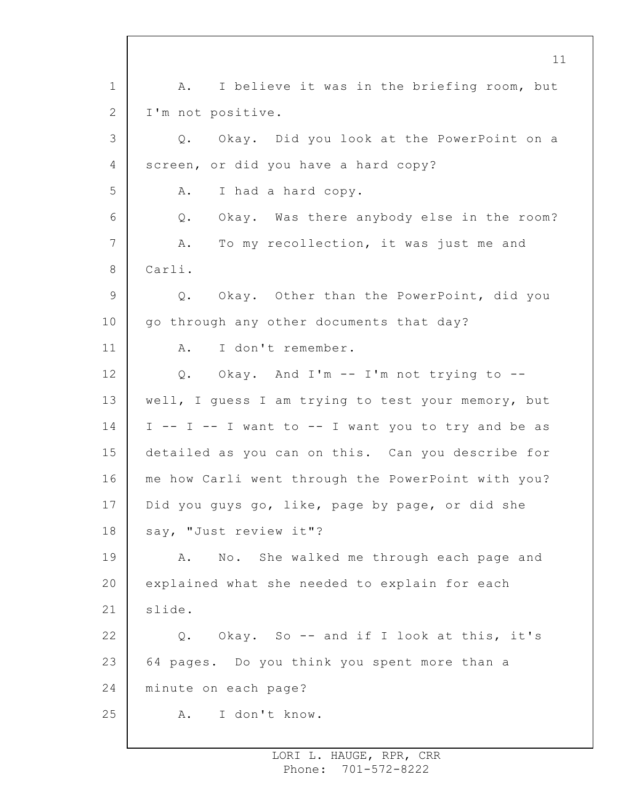1 2 3 4 5 6 7 8 9 10 11 12 13 14 15 16 17 18 19 20 21 22 23 24 25 A. I believe it was in the briefing room, but I'm not positive. Q. Okay. Did you look at the PowerPoint on a screen, or did you have a hard copy? A. I had a hard copy. Q. Okay. Was there anybody else in the room? A. To my recollection, it was just me and Carli. Q. Okay. Other than the PowerPoint, did you go through any other documents that day? A. I don't remember. Q. Okay. And I'm -- I'm not trying to - well, I guess I am trying to test your memory, but  $I$  --  $I$  -- I want to -- I want you to try and be as detailed as you can on this. Can you describe for me how Carli went through the PowerPoint with you? Did you guys go, like, page by page, or did she say, "Just review it"? A. No. She walked me through each page and explained what she needed to explain for each slide. Q. Okay. So -- and if I look at this, it's 64 pages. Do you think you spent more than a minute on each page? A. I don't know.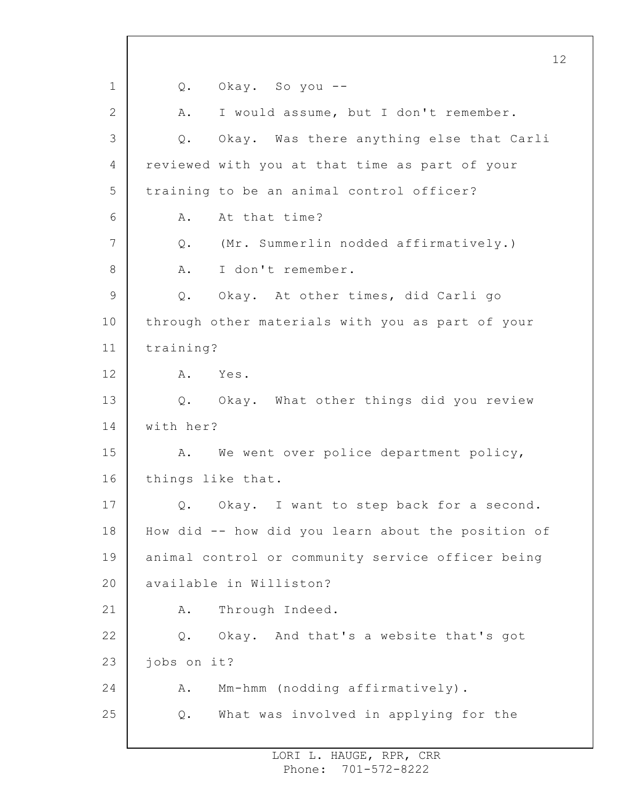1 2 3 4 5 6 7 8 9 10 11 12 13 14 15 16 17 18 19 20 21 22 23 24 25 Q. Okay. So you -- A. I would assume, but I don't remember. Q. Okay. Was there anything else that Carli reviewed with you at that time as part of your training to be an animal control officer? A. At that time? Q. (Mr. Summerlin nodded affirmatively.) A. I don't remember. Q. Okay. At other times, did Carli go through other materials with you as part of your training? A. Yes. Q. Okay. What other things did you review with her? A. We went over police department policy, things like that. Q. Okay. I want to step back for a second. How did -- how did you learn about the position of animal control or community service officer being available in Williston? A. Through Indeed. Q. Okay. And that's a website that's got jobs on it? A. Mm-hmm (nodding affirmatively). Q. What was involved in applying for the

> LORI L. HAUGE, RPR, CRR Phone: 701-572-8222

12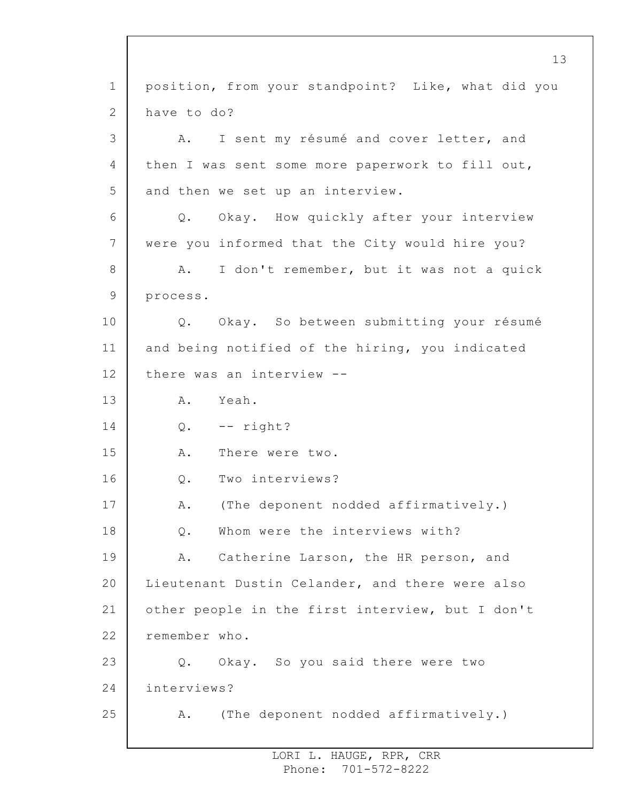1 2 3 4 5 6 7 8 9 10 11 12 13 14 15 16 17 18 19 20 21 22 23 24 25 position, from your standpoint? Like, what did you have to do? A. I sent my résumé and cover letter, and then I was sent some more paperwork to fill out, and then we set up an interview. Q. Okay. How quickly after your interview were you informed that the City would hire you? A. I don't remember, but it was not a quick process. Q. Okay. So between submitting your résumé and being notified of the hiring, you indicated there was an interview -- A. Yeah.  $Q.$  -- right? A. There were two. Q. Two interviews? A. (The deponent nodded affirmatively.) Q. Whom were the interviews with? A. Catherine Larson, the HR person, and Lieutenant Dustin Celander, and there were also other people in the first interview, but I don't remember who. Q. Okay. So you said there were two interviews? A. (The deponent nodded affirmatively.)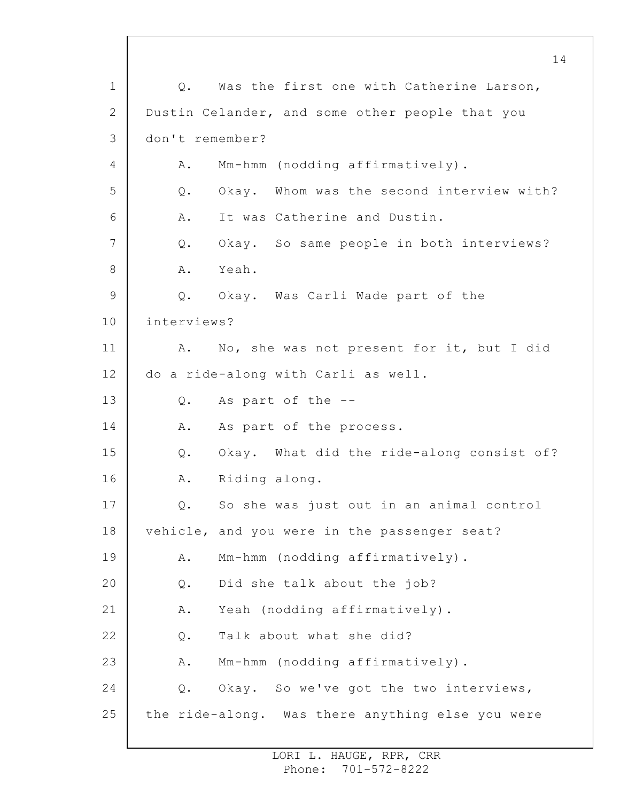1 2 3 4 5 6 7 8 9 10 11 12 13 14 15 16 17 18 19 20 21 22 23 24 25 Q. Was the first one with Catherine Larson, Dustin Celander, and some other people that you don't remember? A. Mm-hmm (nodding affirmatively). Q. Okay. Whom was the second interview with? A. It was Catherine and Dustin. Q. Okay. So same people in both interviews? A. Yeah. Q. Okay. Was Carli Wade part of the interviews? A. No, she was not present for it, but I did do a ride-along with Carli as well. Q. As part of the -- A. As part of the process. Q. Okay. What did the ride-along consist of? A. Riding along. Q. So she was just out in an animal control vehicle, and you were in the passenger seat? A. Mm-hmm (nodding affirmatively). Q. Did she talk about the job? A. Yeah (nodding affirmatively). Q. Talk about what she did? A. Mm-hmm (nodding affirmatively). Q. Okay. So we've got the two interviews, the ride-along. Was there anything else you were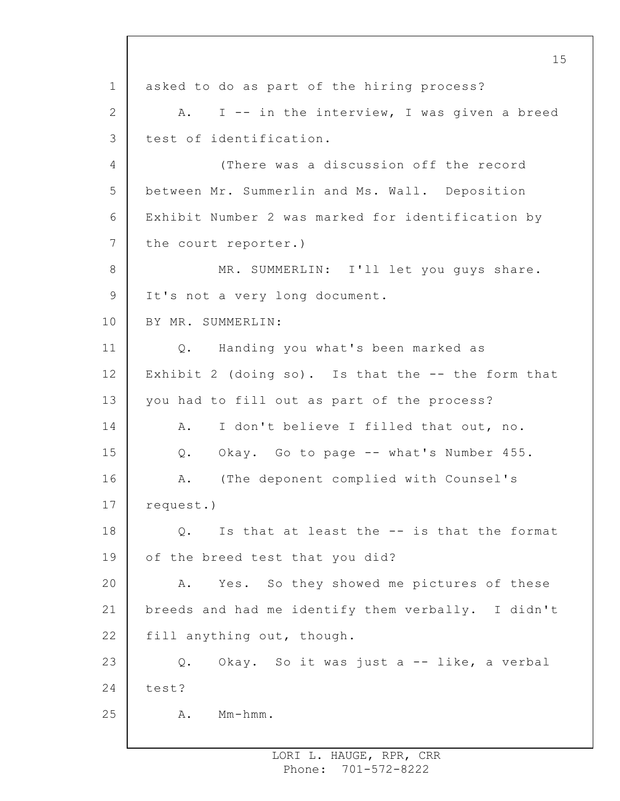1 2 3 4 5 6 7 8 9 10 11 12 13 14 15 16 17 18 19 20 21 22 23 24 25 asked to do as part of the hiring process? A. I -- in the interview, I was given a breed test of identification. (There was a discussion off the record between Mr. Summerlin and Ms. Wall. Deposition Exhibit Number 2 was marked for identification by the court reporter.) MR. SUMMERLIN: I'll let you guys share. It's not a very long document. BY MR. SUMMERLIN: Q. Handing you what's been marked as Exhibit 2 (doing so). Is that the  $-$  the form that you had to fill out as part of the process? A. I don't believe I filled that out, no. Q. Okay. Go to page -- what's Number 455. A. (The deponent complied with Counsel's request.) Q. Is that at least the -- is that the format of the breed test that you did? A. Yes. So they showed me pictures of these breeds and had me identify them verbally. I didn't fill anything out, though. Q. Okay. So it was just a -- like, a verbal test? A. Mm-hmm.

15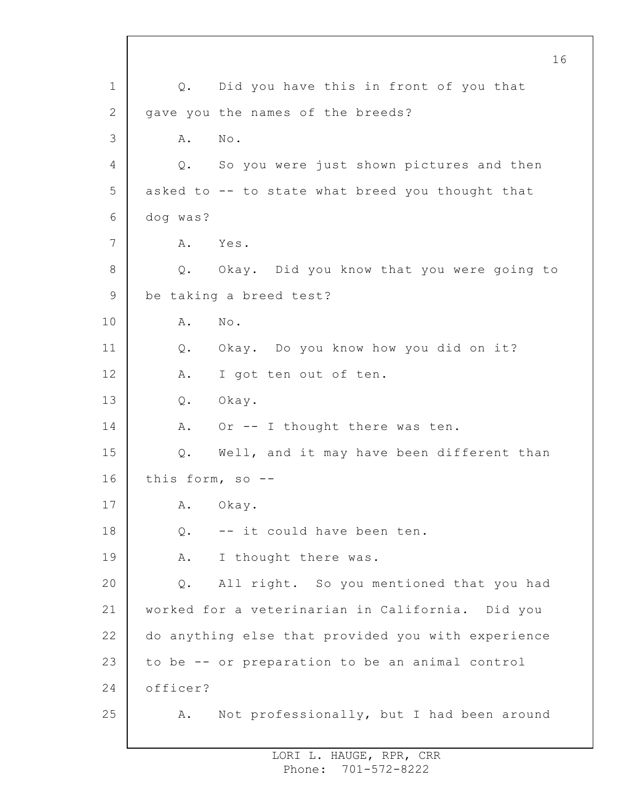1 2 3 4 5 6 7 8 9 10 11 12 13 14 15 16 17 18 19 20 21 22 23 24 25 Q. Did you have this in front of you that gave you the names of the breeds? A. No. Q. So you were just shown pictures and then asked to -- to state what breed you thought that dog was? A. Yes. Q. Okay. Did you know that you were going to be taking a breed test? A. No. Q. Okay. Do you know how you did on it? A. I got ten out of ten. Q. Okay. A. Or -- I thought there was ten. Q. Well, and it may have been different than this form, so -- A. Okay. Q. -- it could have been ten. A. I thought there was. Q. All right. So you mentioned that you had worked for a veterinarian in California. Did you do anything else that provided you with experience to be -- or preparation to be an animal control officer? A. Not professionally, but I had been around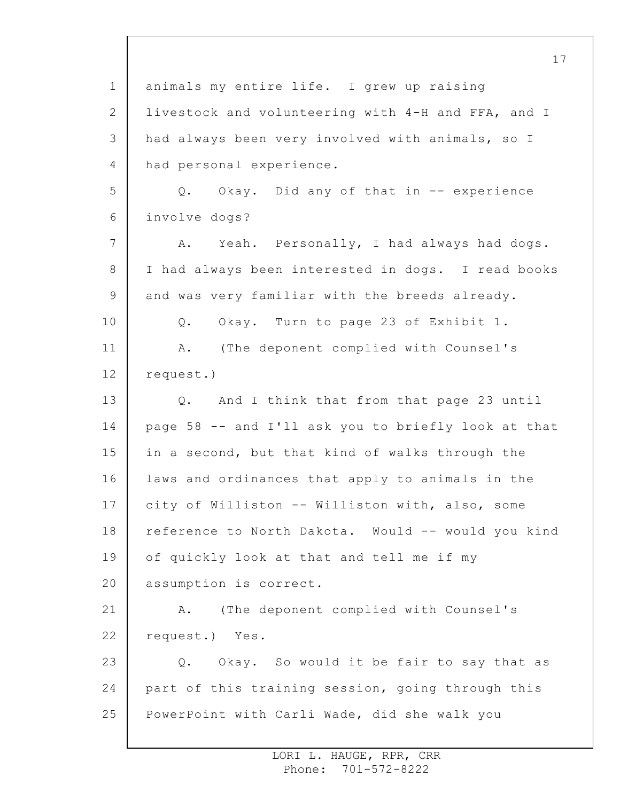1 2 3 4 5 6 7 8 9 10 11 12 13 14 15 16 17 18 19 20 21 22 23 24 25 17 animals my entire life. I grew up raising livestock and volunteering with 4-H and FFA, and I had always been very involved with animals, so I had personal experience. Q. Okay. Did any of that in -- experience involve dogs? A. Yeah. Personally, I had always had dogs. I had always been interested in dogs. I read books and was very familiar with the breeds already. Q. Okay. Turn to page 23 of Exhibit 1. A. (The deponent complied with Counsel's request.) Q. And I think that from that page 23 until page 58 -- and I'll ask you to briefly look at that in a second, but that kind of walks through the laws and ordinances that apply to animals in the city of Williston -- Williston with, also, some reference to North Dakota. Would -- would you kind of quickly look at that and tell me if my assumption is correct. A. (The deponent complied with Counsel's request.) Yes. Q. Okay. So would it be fair to say that as part of this training session, going through this PowerPoint with Carli Wade, did she walk you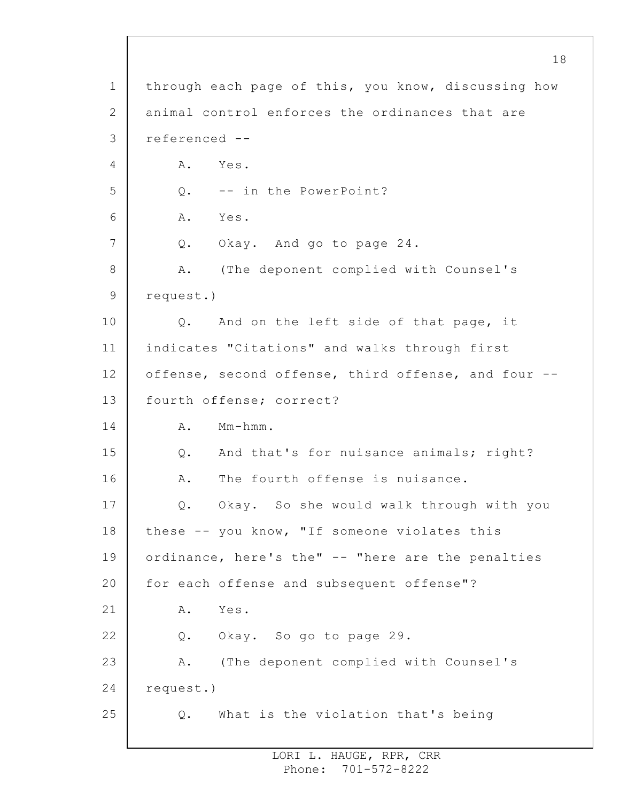1 2 3 4 5 6 7 8 9 10 11 12 13 14 15 16 17 18 19 20 21 22 23 24 25 18 through each page of this, you know, discussing how animal control enforces the ordinances that are referenced -- A. Yes. Q. -- in the PowerPoint? A. Yes. Q. Okay. And go to page 24. A. (The deponent complied with Counsel's request.) Q. And on the left side of that page, it indicates "Citations" and walks through first offense, second offense, third offense, and four - fourth offense; correct? A. Mm-hmm. Q. And that's for nuisance animals; right? A. The fourth offense is nuisance. Q. Okay. So she would walk through with you these -- you know, "If someone violates this ordinance, here's the" -- "here are the penalties for each offense and subsequent offense"? A. Yes. Q. Okay. So go to page 29. A. (The deponent complied with Counsel's request.) Q. What is the violation that's being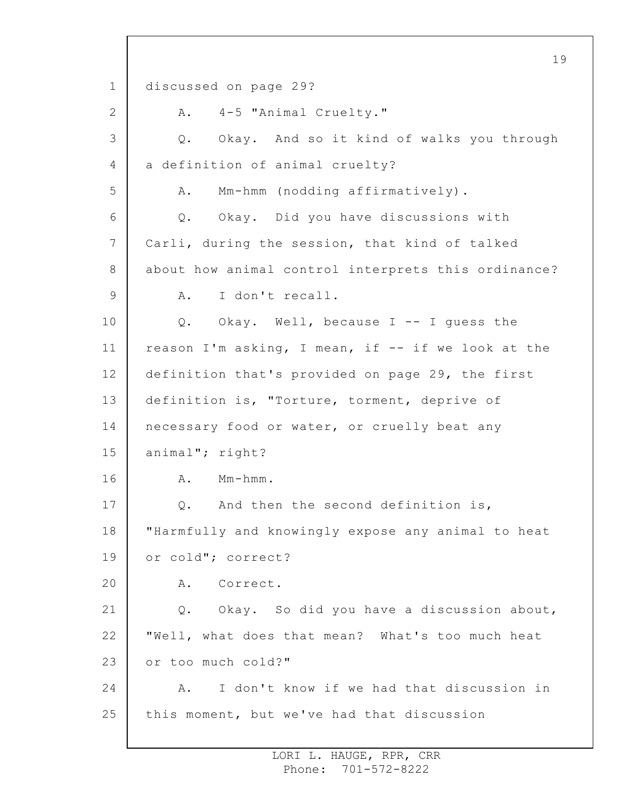1 2 3 4 5 6 7 8 9 10 11 12 13 14 15 16 17 18 19 20 21 22 23 24 25 19 discussed on page 29? A. 4-5 "Animal Cruelty." Q. Okay. And so it kind of walks you through a definition of animal cruelty? A. Mm-hmm (nodding affirmatively). Q. Okay. Did you have discussions with Carli, during the session, that kind of talked about how animal control interprets this ordinance? A. I don't recall. Q. Okay. Well, because I -- I guess the reason I'm asking, I mean, if  $--$  if we look at the definition that's provided on page 29, the first definition is, "Torture, torment, deprive of necessary food or water, or cruelly beat any animal"; right? A. Mm-hmm. Q. And then the second definition is, "Harmfully and knowingly expose any animal to heat or cold"; correct? A. Correct. Q. Okay. So did you have a discussion about, "Well, what does that mean? What's too much heat or too much cold?" A. I don't know if we had that discussion in this moment, but we've had that discussion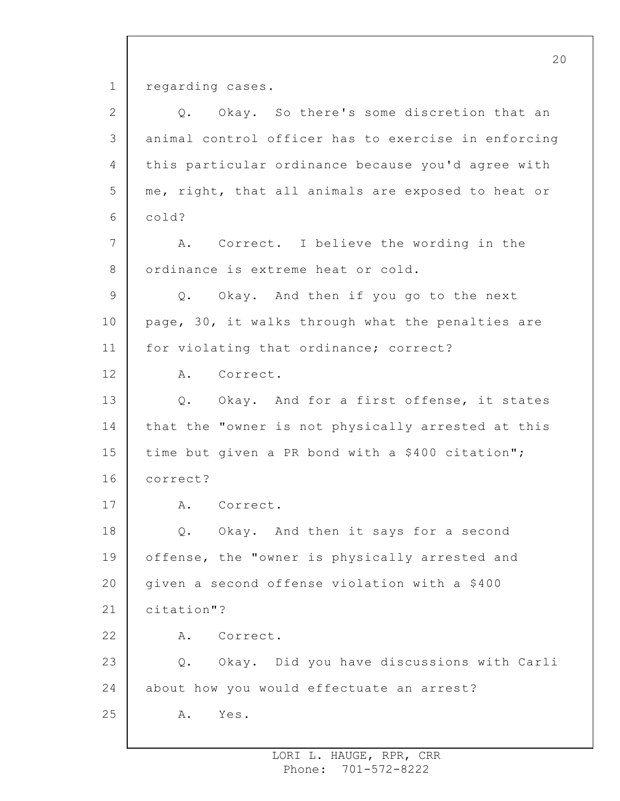1 2 3 4 5 6 7 8 9 10 11 12 13 14 15 16 17 18 19 20 21 22 23 24 25 20 regarding cases. Q. Okay. So there's some discretion that an animal control officer has to exercise in enforcing this particular ordinance because you'd agree with me, right, that all animals are exposed to heat or cold? A. Correct. I believe the wording in the ordinance is extreme heat or cold. Q. Okay. And then if you go to the next page, 30, it walks through what the penalties are for violating that ordinance; correct? A. Correct. Q. Okay. And for a first offense, it states that the "owner is not physically arrested at this time but given a PR bond with a \$400 citation"; correct? A. Correct. Q. Okay. And then it says for a second offense, the "owner is physically arrested and given a second offense violation with a \$400 citation"? A. Correct. Q. Okay. Did you have discussions with Carli about how you would effectuate an arrest? A. Yes.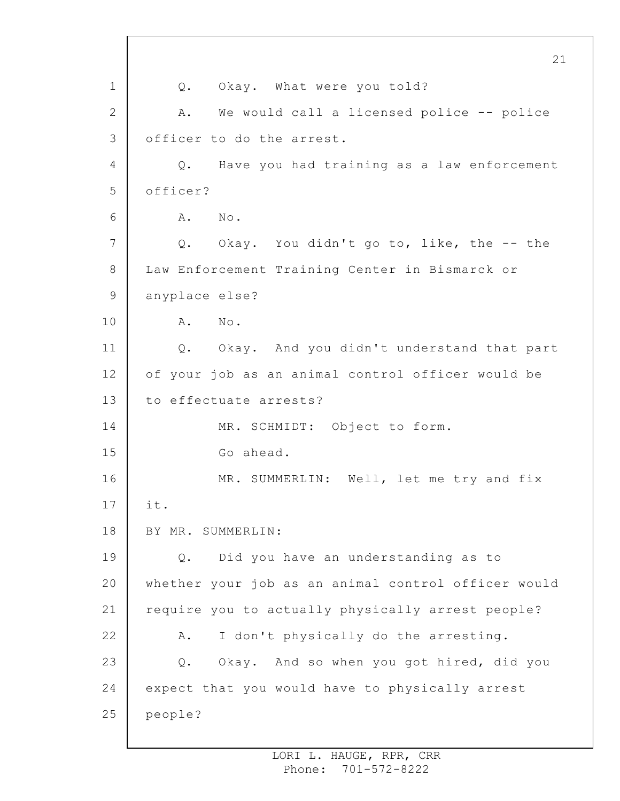1 2 3 4 5 6 7 8 9 10 11 12 13 14 15 16 17 18 19 20 21 22 23 24 25 21 Q. Okay. What were you told? A. We would call a licensed police -- police officer to do the arrest. Q. Have you had training as a law enforcement officer? A. No. Q. Okay. You didn't go to, like, the -- the Law Enforcement Training Center in Bismarck or anyplace else? A. No. Q. Okay. And you didn't understand that part of your job as an animal control officer would be to effectuate arrests? MR. SCHMIDT: Object to form. Go ahead. MR. SUMMERLIN: Well, let me try and fix it. BY MR. SUMMERLIN: Q. Did you have an understanding as to whether your job as an animal control officer would require you to actually physically arrest people? A. I don't physically do the arresting. Q. Okay. And so when you got hired, did you expect that you would have to physically arrest people?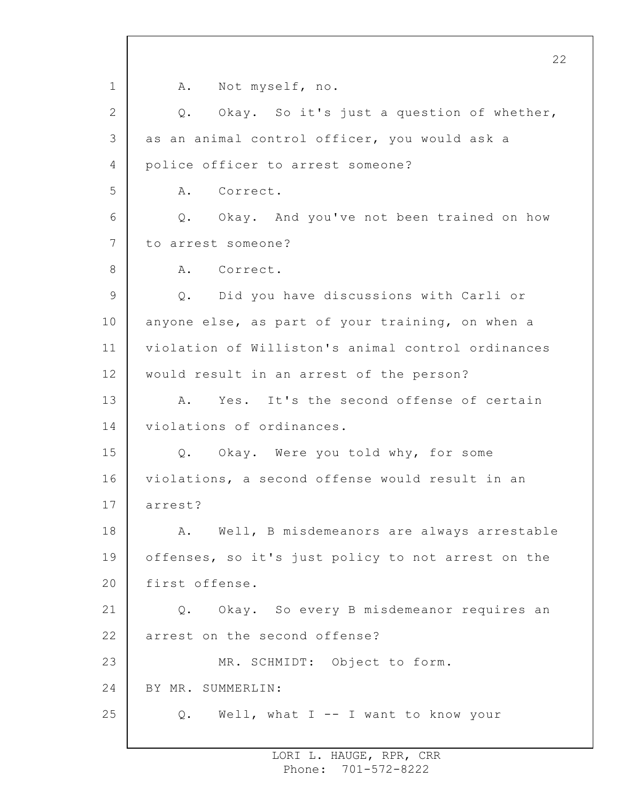1 2 3 4 5 6 7 8 9 10 11 12 13 14 15 16 17 18 19 20 21 22 23 24 25 22 A. Not myself, no. Q. Okay. So it's just a question of whether, as an animal control officer, you would ask a police officer to arrest someone? A. Correct. Q. Okay. And you've not been trained on how to arrest someone? A. Correct. Q. Did you have discussions with Carli or anyone else, as part of your training, on when a violation of Williston's animal control ordinances would result in an arrest of the person? A. Yes. It's the second offense of certain violations of ordinances. Q. Okay. Were you told why, for some violations, a second offense would result in an arrest? A. Well, B misdemeanors are always arrestable offenses, so it's just policy to not arrest on the first offense. Q. Okay. So every B misdemeanor requires an arrest on the second offense? MR. SCHMIDT: Object to form. BY MR. SUMMERLIN: Q. Well, what I -- I want to know your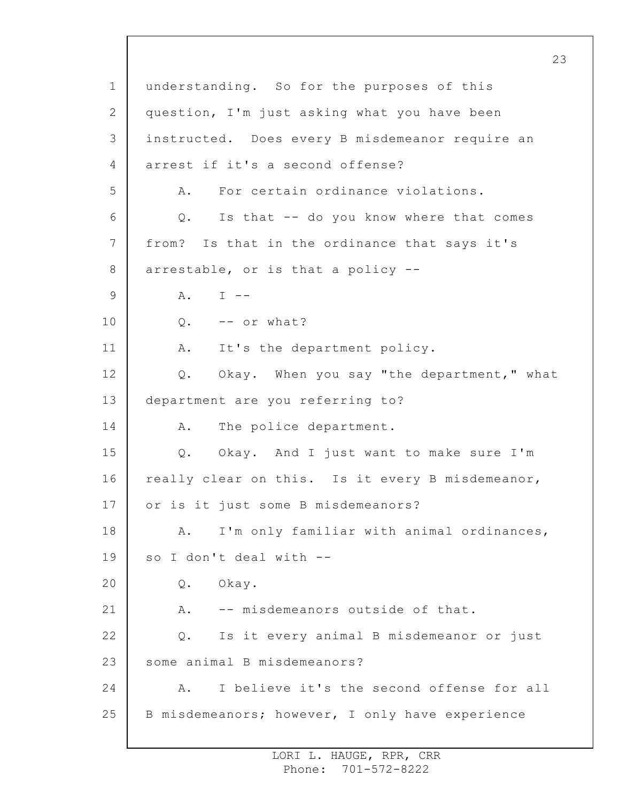1 2 3 4 5 6 7 8 9 10 11 12 13 14 15 16 17 18 19 20 21 22 23 24 25 understanding. So for the purposes of this question, I'm just asking what you have been instructed. Does every B misdemeanor require an arrest if it's a second offense? A. For certain ordinance violations. Q. Is that -- do you know where that comes from? Is that in the ordinance that says it's arrestable, or is that a policy --  $A.$  I  $Q. \t-- or what?$ A. It's the department policy. Q. Okay. When you say "the department," what department are you referring to? A. The police department. Q. Okay. And I just want to make sure I'm really clear on this. Is it every B misdemeanor, or is it just some B misdemeanors? A. I'm only familiar with animal ordinances, so I don't deal with -- Q. Okay. A. -- misdemeanors outside of that. Q. Is it every animal B misdemeanor or just some animal B misdemeanors? A. I believe it's the second offense for all B misdemeanors; however, I only have experience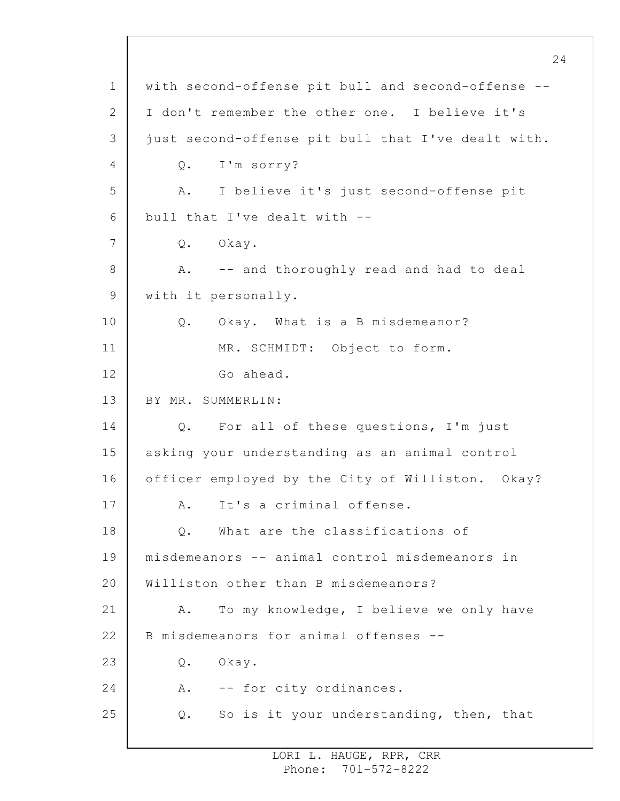1 2 3 4 5 6 7 8 9 10 11 12 13 14 15 16 17 18 19 20 21 22 23 24 25 with second-offense pit bull and second-offense -- I don't remember the other one. I believe it's just second-offense pit bull that I've dealt with. Q. I'm sorry? A. I believe it's just second-offense pit bull that I've dealt with -- Q. Okay. A. -- and thoroughly read and had to deal with it personally. Q. Okay. What is a B misdemeanor? MR. SCHMIDT: Object to form. Go ahead. BY MR. SUMMERLIN: Q. For all of these questions, I'm just asking your understanding as an animal control officer employed by the City of Williston. Okay? A. It's a criminal offense. Q. What are the classifications of misdemeanors -- animal control misdemeanors in Williston other than B misdemeanors? A. To my knowledge, I believe we only have B misdemeanors for animal offenses -- Q. Okay. A. -- for city ordinances. Q. So is it your understanding, then, that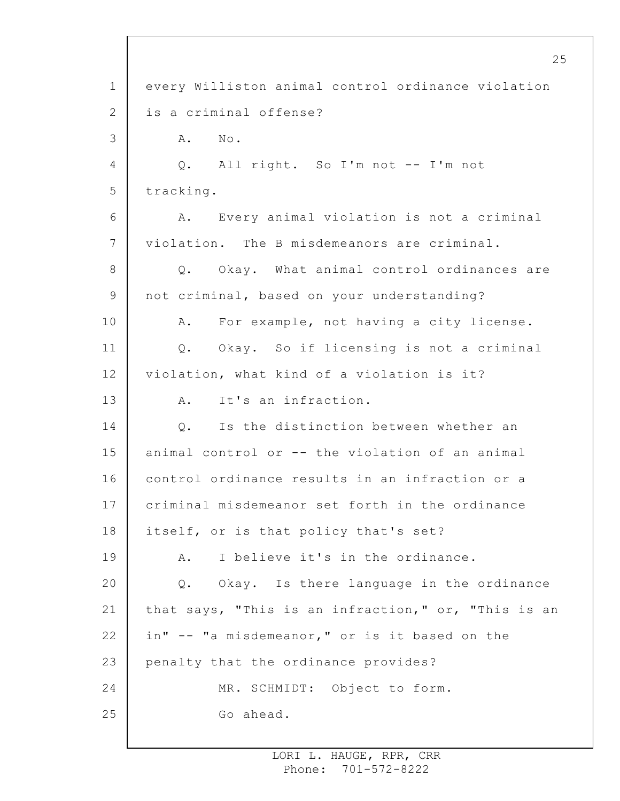1 2 3 4 5 6 7 8 9 10 11 12 13 14 15 16 17 18 19 20 21 22 23 24 25 every Williston animal control ordinance violation is a criminal offense? A. No. Q. All right. So I'm not -- I'm not tracking. A. Every animal violation is not a criminal violation. The B misdemeanors are criminal. Q. Okay. What animal control ordinances are not criminal, based on your understanding? A. For example, not having a city license. Q. Okay. So if licensing is not a criminal violation, what kind of a violation is it? A. It's an infraction. Q. Is the distinction between whether an animal control or -- the violation of an animal control ordinance results in an infraction or a criminal misdemeanor set forth in the ordinance itself, or is that policy that's set? A. I believe it's in the ordinance. Q. Okay. Is there language in the ordinance that says, "This is an infraction," or, "This is an in" -- "a misdemeanor," or is it based on the penalty that the ordinance provides? MR. SCHMIDT: Object to form. Go ahead.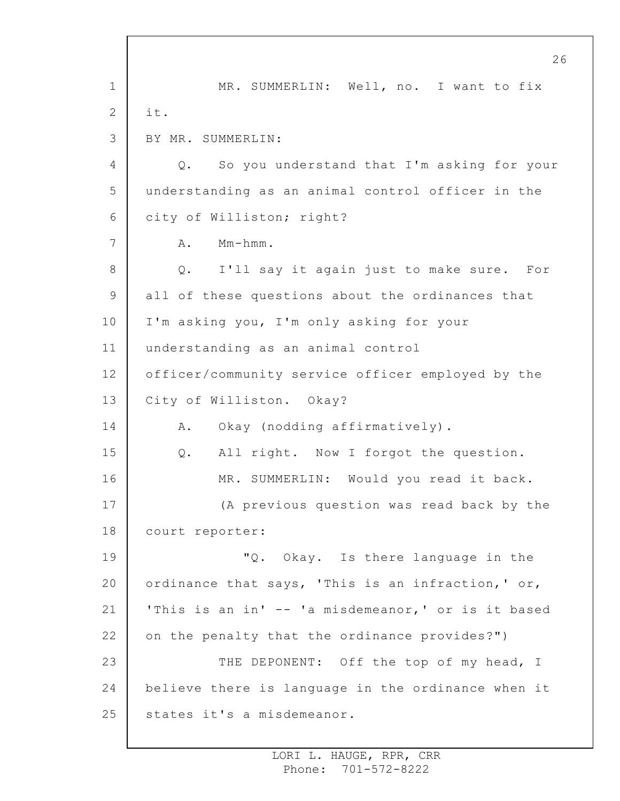1 2 3 4 5 6 7 8 9 10 11 12 13 14 15 16 17 18 19 20 21 22 23 24 25 26 MR. SUMMERLIN: Well, no. I want to fix it. BY MR. SUMMERLIN: Q. So you understand that I'm asking for your understanding as an animal control officer in the city of Williston; right? A. Mm-hmm. Q. I'll say it again just to make sure. For all of these questions about the ordinances that I'm asking you, I'm only asking for your understanding as an animal control officer/community service officer employed by the City of Williston. Okay? A. Okay (nodding affirmatively). Q. All right. Now I forgot the question. MR. SUMMERLIN: Would you read it back. (A previous question was read back by the court reporter: "Q. Okay. Is there language in the ordinance that says, 'This is an infraction,' or, 'This is an in' -- 'a misdemeanor,' or is it based on the penalty that the ordinance provides?") THE DEPONENT: Off the top of my head, I believe there is language in the ordinance when it states it's a misdemeanor.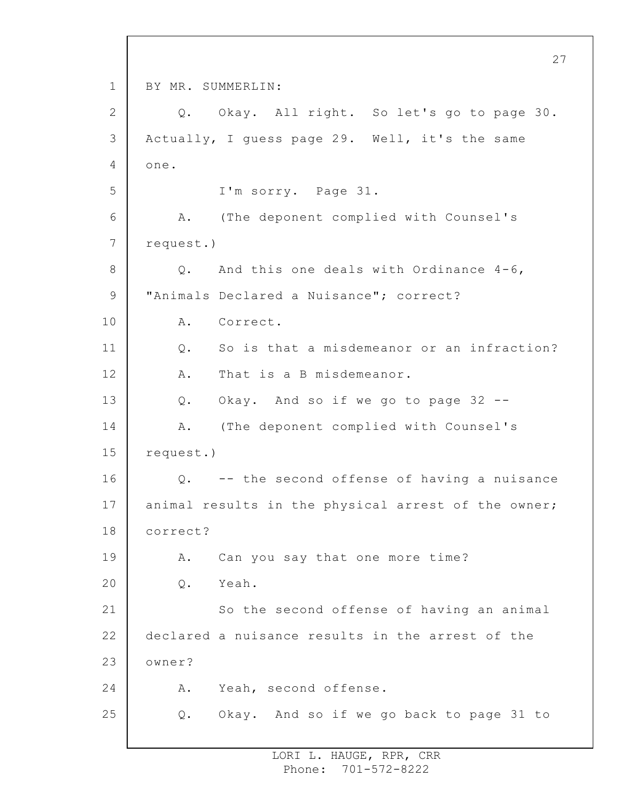1 2 3 4 5 6 7 8 9 10 11 12 13 14 15 16 17 18 19 20 21 22 23 24 25 BY MR. SUMMERLIN: Q. Okay. All right. So let's go to page 30. Actually, I guess page 29. Well, it's the same one. I'm sorry. Page 31. A. (The deponent complied with Counsel's request.) Q. And this one deals with Ordinance 4-6, "Animals Declared a Nuisance"; correct? A. Correct. Q. So is that a misdemeanor or an infraction? A. That is a B misdemeanor. Q. Okay. And so if we go to page 32 -- A. (The deponent complied with Counsel's request.) Q. -- the second offense of having a nuisance animal results in the physical arrest of the owner; correct? A. Can you say that one more time? Q. Yeah. So the second offense of having an animal declared a nuisance results in the arrest of the owner? A. Yeah, second offense. Q. Okay. And so if we go back to page 31 to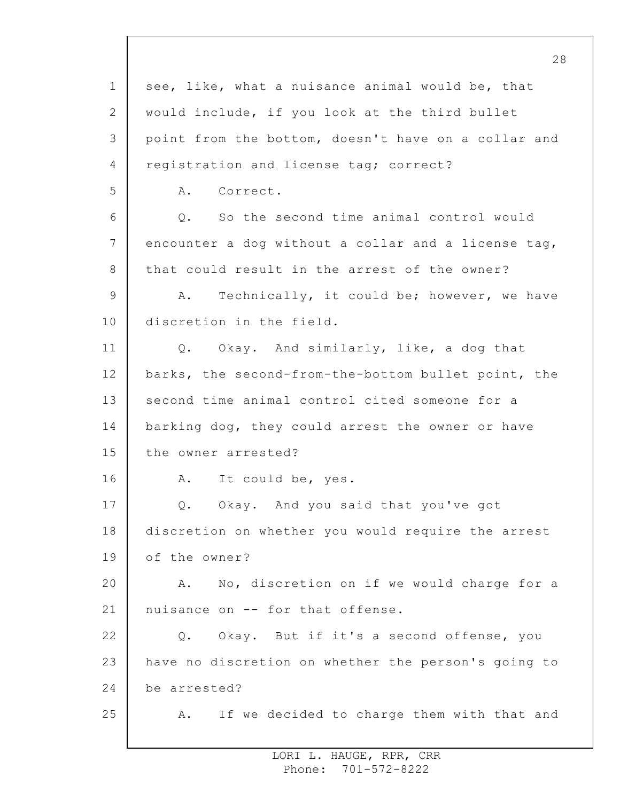1 2 3 4 5 6 7 8 9 10 11 12 13 14 15 16 17 18 19 20 21 22 23 24 25 see, like, what a nuisance animal would be, that would include, if you look at the third bullet point from the bottom, doesn't have on a collar and registration and license tag; correct? A. Correct. Q. So the second time animal control would encounter a dog without a collar and a license tag, that could result in the arrest of the owner? A. Technically, it could be; however, we have discretion in the field. Q. Okay. And similarly, like, a dog that barks, the second-from-the-bottom bullet point, the second time animal control cited someone for a barking dog, they could arrest the owner or have the owner arrested? A. It could be, yes. Q. Okay. And you said that you've got discretion on whether you would require the arrest of the owner? A. No, discretion on if we would charge for a nuisance on -- for that offense. Q. Okay. But if it's a second offense, you have no discretion on whether the person's going to be arrested? A. If we decided to charge them with that and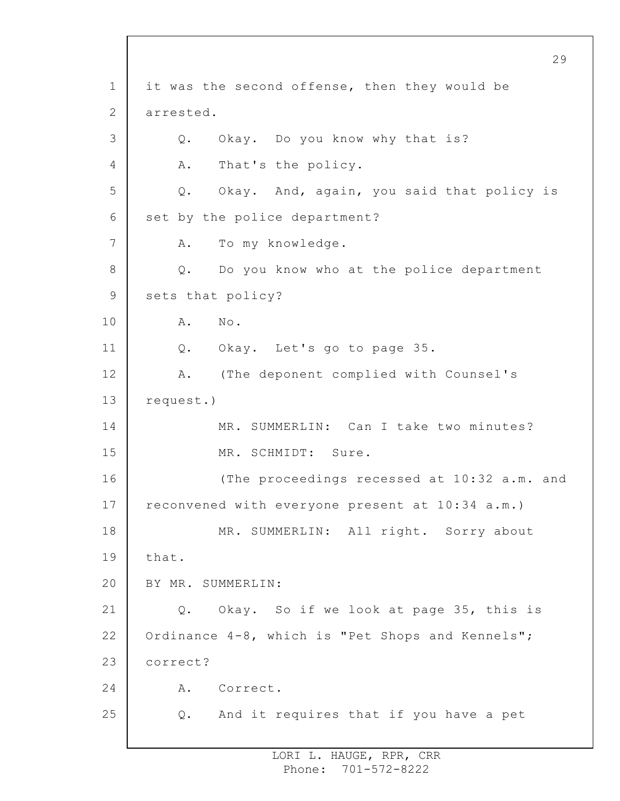1 2 3 4 5 6 7 8 9 10 11 12 13 14 15 16 17 18 19 20 21 22 23 24 25 29 it was the second offense, then they would be arrested. Q. Okay. Do you know why that is? A. That's the policy. Q. Okay. And, again, you said that policy is set by the police department? A. To my knowledge. Q. Do you know who at the police department sets that policy? A. No. Q. Okay. Let's go to page 35. A. (The deponent complied with Counsel's request.) MR. SUMMERLIN: Can I take two minutes? MR. SCHMIDT: Sure. (The proceedings recessed at 10:32 a.m. and reconvened with everyone present at 10:34 a.m.) MR. SUMMERLIN: All right. Sorry about that. BY MR. SUMMERLIN: Q. Okay. So if we look at page 35, this is Ordinance 4-8, which is "Pet Shops and Kennels"; correct? A. Correct. Q. And it requires that if you have a pet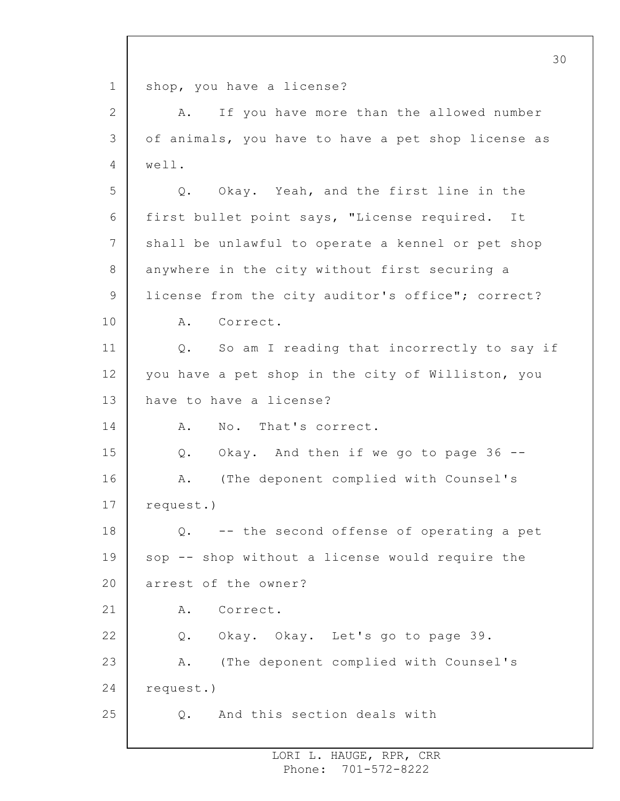1 2 3 4 5 6 7 8 9 10 11 12 13 14 15 16 17 18 19 20 21 22 23 24 25 30 shop, you have a license? A. If you have more than the allowed number of animals, you have to have a pet shop license as well. Q. Okay. Yeah, and the first line in the first bullet point says, "License required. It shall be unlawful to operate a kennel or pet shop anywhere in the city without first securing a license from the city auditor's office"; correct? A. Correct. Q. So am I reading that incorrectly to say if you have a pet shop in the city of Williston, you have to have a license? A. No. That's correct. Q. Okay. And then if we go to page 36 -- A. (The deponent complied with Counsel's request.) Q. -- the second offense of operating a pet sop -- shop without a license would require the arrest of the owner? A. Correct. Q. Okay. Okay. Let's go to page 39. A. (The deponent complied with Counsel's request.) Q. And this section deals with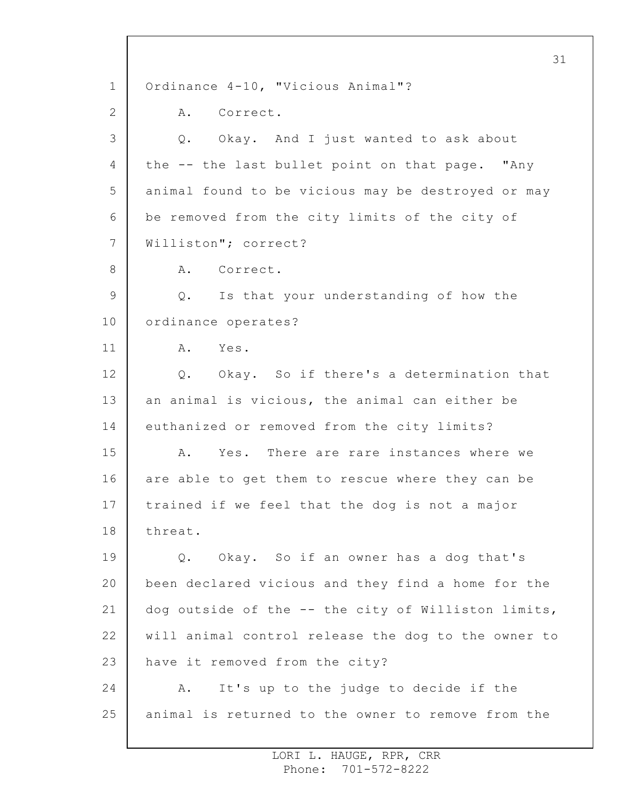1 2 3 4 5 6 7 8 9 10 11 12 13 14 15 16 17 18 19 20 21 22 23 24 25 Ordinance 4-10, "Vicious Animal"? A. Correct. Q. Okay. And I just wanted to ask about the -- the last bullet point on that page. "Any animal found to be vicious may be destroyed or may be removed from the city limits of the city of Williston"; correct? A. Correct. Q. Is that your understanding of how the ordinance operates? A. Yes. Q. Okay. So if there's a determination that an animal is vicious, the animal can either be euthanized or removed from the city limits? A. Yes. There are rare instances where we are able to get them to rescue where they can be trained if we feel that the dog is not a major threat. Q. Okay. So if an owner has a dog that's been declared vicious and they find a home for the dog outside of the -- the city of Williston limits, will animal control release the dog to the owner to have it removed from the city? A. It's up to the judge to decide if the animal is returned to the owner to remove from the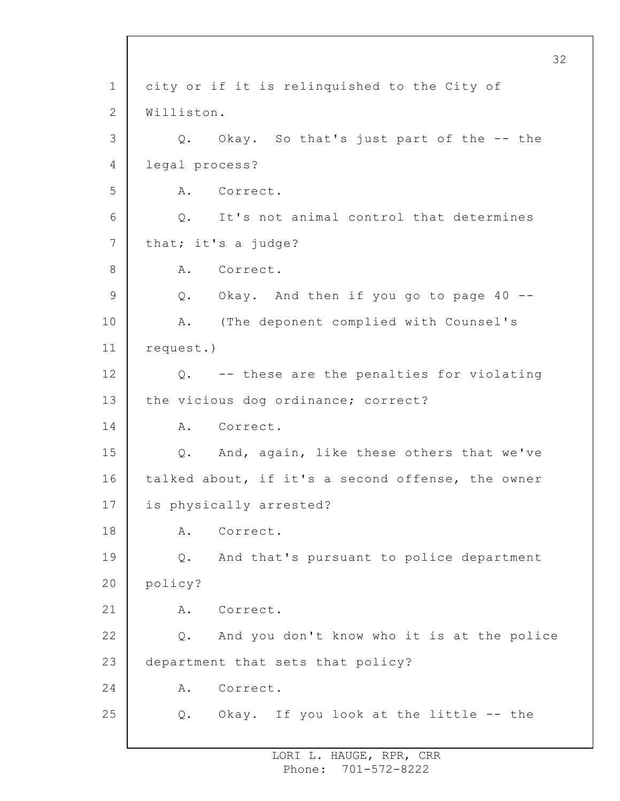1 2 3 4 5 6 7 8 9 10 11 12 13 14 15 16 17 18 19 20 21 22 23 24 25 city or if it is relinquished to the City of Williston. Q. Okay. So that's just part of the -- the legal process? A. Correct. Q. It's not animal control that determines that; it's a judge? A. Correct. Q. Okay. And then if you go to page 40 -- A. (The deponent complied with Counsel's request.) Q. -- these are the penalties for violating the vicious dog ordinance; correct? A. Correct. Q. And, again, like these others that we've talked about, if it's a second offense, the owner is physically arrested? A. Correct. Q. And that's pursuant to police department policy? A. Correct. Q. And you don't know who it is at the police department that sets that policy? A. Correct. Q. Okay. If you look at the little -- the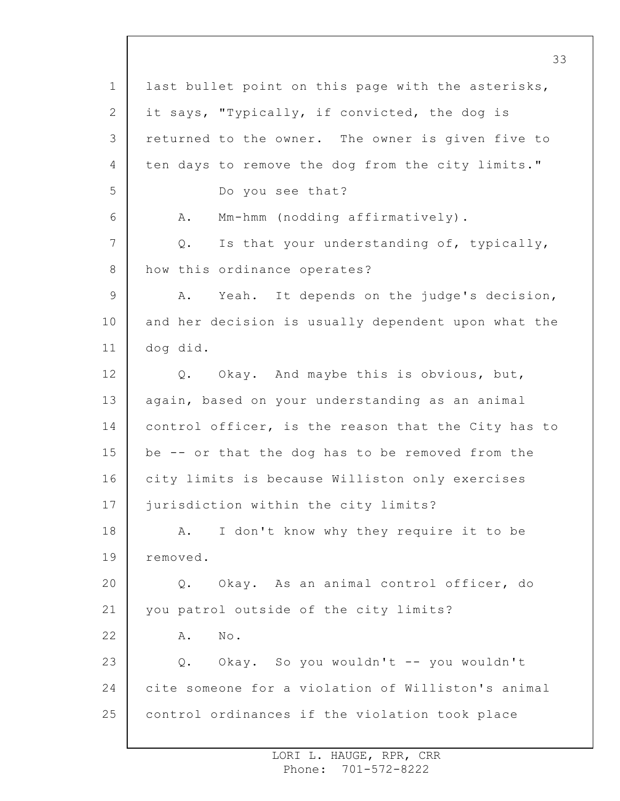1 2 3 4 5 6 7 8 9 10 11 12 13 14 15 16 17 18 19 20 21 22 23 24 25 last bullet point on this page with the asterisks, it says, "Typically, if convicted, the dog is returned to the owner. The owner is given five to ten days to remove the dog from the city limits." Do you see that? A. Mm-hmm (nodding affirmatively). Q. Is that your understanding of, typically, how this ordinance operates? A. Yeah. It depends on the judge's decision, and her decision is usually dependent upon what the dog did. Q. Okay. And maybe this is obvious, but, again, based on your understanding as an animal control officer, is the reason that the City has to be -- or that the dog has to be removed from the city limits is because Williston only exercises jurisdiction within the city limits? A. I don't know why they require it to be removed. Q. Okay. As an animal control officer, do you patrol outside of the city limits? A. No. Q. Okay. So you wouldn't -- you wouldn't cite someone for a violation of Williston's animal control ordinances if the violation took place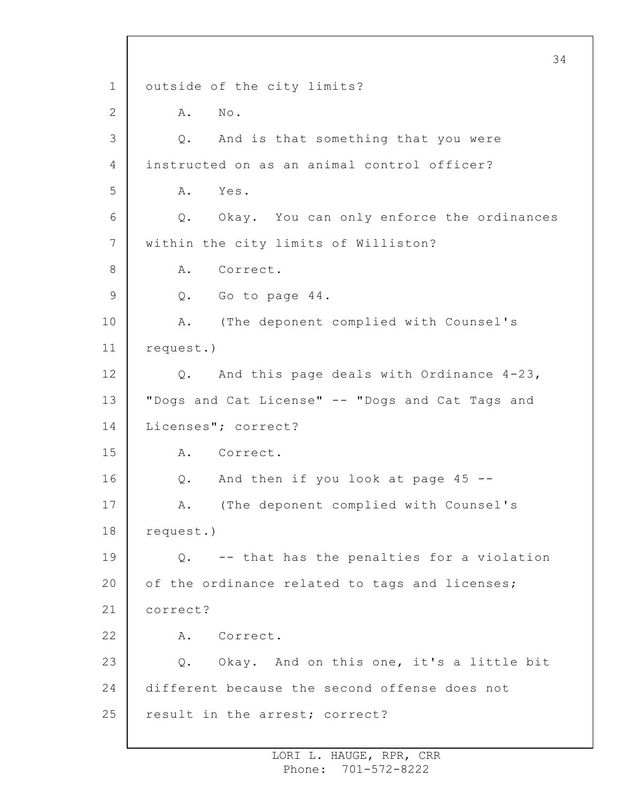1 2 3 4 5 6 7 8 9 10 11 12 13 14 15 16 17 18 19 20 21 22 23 24 25 34 outside of the city limits? A. No. Q. And is that something that you were instructed on as an animal control officer? A. Yes. Q. Okay. You can only enforce the ordinances within the city limits of Williston? A. Correct. Q. Go to page 44. A. (The deponent complied with Counsel's request.) Q. And this page deals with Ordinance 4-23, "Dogs and Cat License" -- "Dogs and Cat Tags and Licenses"; correct? A. Correct. Q. And then if you look at page 45 -- A. (The deponent complied with Counsel's request.) Q. -- that has the penalties for a violation of the ordinance related to tags and licenses; correct? A. Correct. Q. Okay. And on this one, it's a little bit different because the second offense does not result in the arrest; correct?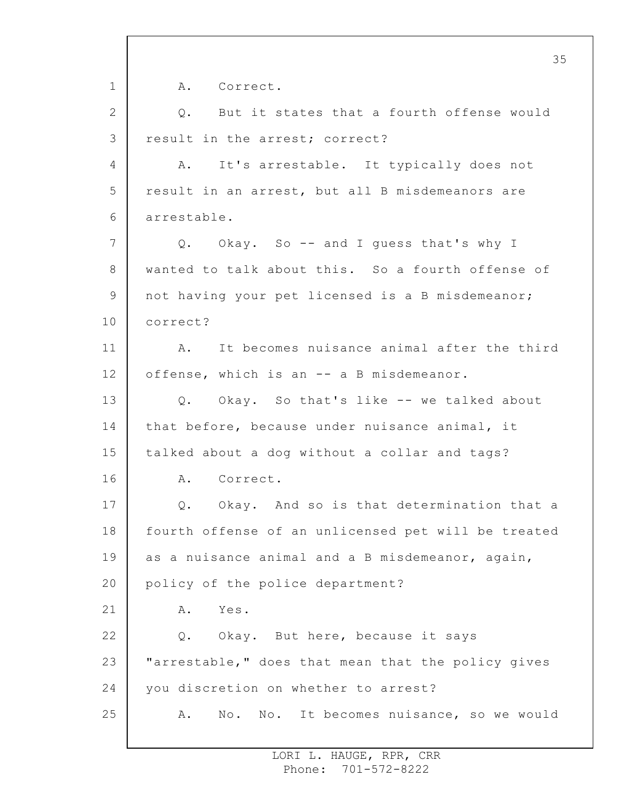1 2 3 4 5 6 7 8 9 10 11 12 13 14 15 16 17 18 19 20 21 22 23 24 25 35 A. Correct. Q. But it states that a fourth offense would result in the arrest; correct? A. It's arrestable. It typically does not result in an arrest, but all B misdemeanors are arrestable. Q. Okay. So -- and I guess that's why I wanted to talk about this. So a fourth offense of not having your pet licensed is a B misdemeanor; correct? A. It becomes nuisance animal after the third offense, which is an -- a B misdemeanor. Q. Okay. So that's like -- we talked about that before, because under nuisance animal, it talked about a dog without a collar and tags? A. Correct. Q. Okay. And so is that determination that a fourth offense of an unlicensed pet will be treated as a nuisance animal and a B misdemeanor, again, policy of the police department? A. Yes. Q. Okay. But here, because it says "arrestable," does that mean that the policy gives you discretion on whether to arrest? A. No. No. It becomes nuisance, so we would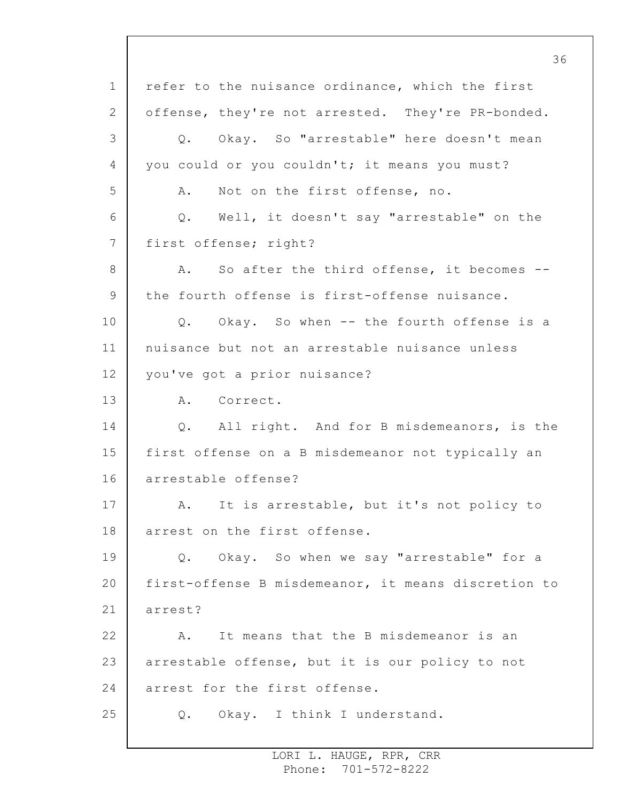1 2 3 4 5 6 7 8 9 10 11 12 13 14 15 16 17 18 19 20 21 22 23 24 25 refer to the nuisance ordinance, which the first offense, they're not arrested. They're PR-bonded. Q. Okay. So "arrestable" here doesn't mean you could or you couldn't; it means you must? A. Not on the first offense, no. Q. Well, it doesn't say "arrestable" on the first offense; right? A. So after the third offense, it becomes - the fourth offense is first-offense nuisance. Q. Okay. So when -- the fourth offense is a nuisance but not an arrestable nuisance unless you've got a prior nuisance? A. Correct. Q. All right. And for B misdemeanors, is the first offense on a B misdemeanor not typically an arrestable offense? A. It is arrestable, but it's not policy to arrest on the first offense. Q. Okay. So when we say "arrestable" for a first-offense B misdemeanor, it means discretion to arrest? A. It means that the B misdemeanor is an arrestable offense, but it is our policy to not arrest for the first offense. Q. Okay. I think I understand.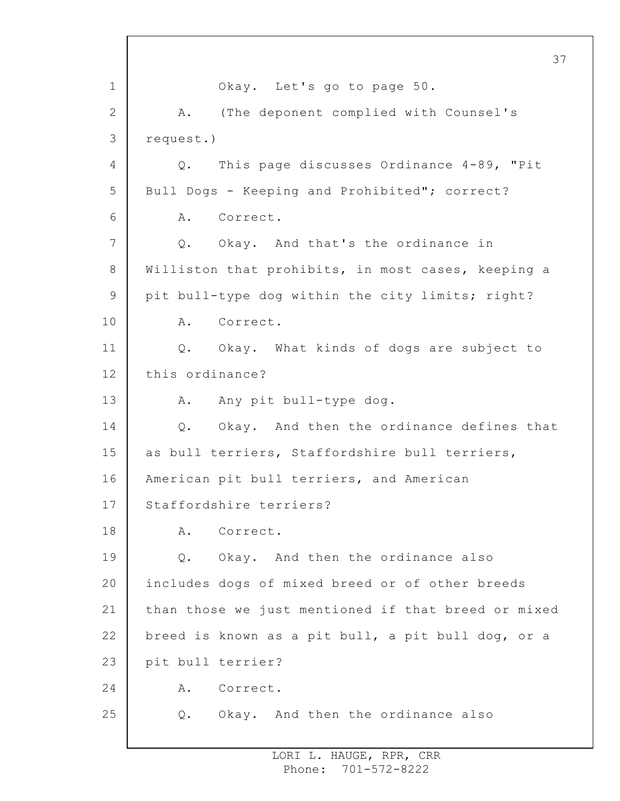1 2 3 4 5 6 7 8 9 10 11 12 13 14 15 16 17 18 19 20 21 22 23 24 25 37 Okay. Let's go to page 50. A. (The deponent complied with Counsel's request.) Q. This page discusses Ordinance 4-89, "Pit Bull Dogs - Keeping and Prohibited"; correct? A. Correct. Q. Okay. And that's the ordinance in Williston that prohibits, in most cases, keeping a pit bull-type dog within the city limits; right? A. Correct. Q. Okay. What kinds of dogs are subject to this ordinance? A. Any pit bull-type dog. Q. Okay. And then the ordinance defines that as bull terriers, Staffordshire bull terriers, American pit bull terriers, and American Staffordshire terriers? A. Correct. Q. Okay. And then the ordinance also includes dogs of mixed breed or of other breeds than those we just mentioned if that breed or mixed breed is known as a pit bull, a pit bull dog, or a pit bull terrier? A. Correct. Q. Okay. And then the ordinance also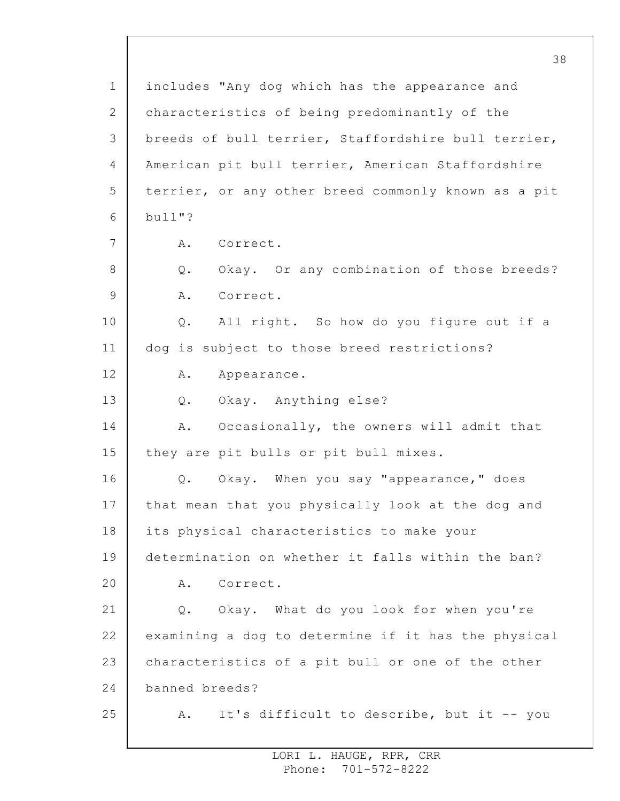1 2 3 4 5 6 7 8 9 10 11 12 13 14 15 16 17 18 19 20 21 22 23 24 25 includes "Any dog which has the appearance and characteristics of being predominantly of the breeds of bull terrier, Staffordshire bull terrier, American pit bull terrier, American Staffordshire terrier, or any other breed commonly known as a pit  $b$ ull"? A. Correct. Q. Okay. Or any combination of those breeds? A. Correct. Q. All right. So how do you figure out if a dog is subject to those breed restrictions? A. Appearance. Q. Okay. Anything else? A. Occasionally, the owners will admit that they are pit bulls or pit bull mixes. Q. Okay. When you say "appearance," does that mean that you physically look at the dog and its physical characteristics to make your determination on whether it falls within the ban? A. Correct. Q. Okay. What do you look for when you're examining a dog to determine if it has the physical characteristics of a pit bull or one of the other banned breeds? A. It's difficult to describe, but it -- you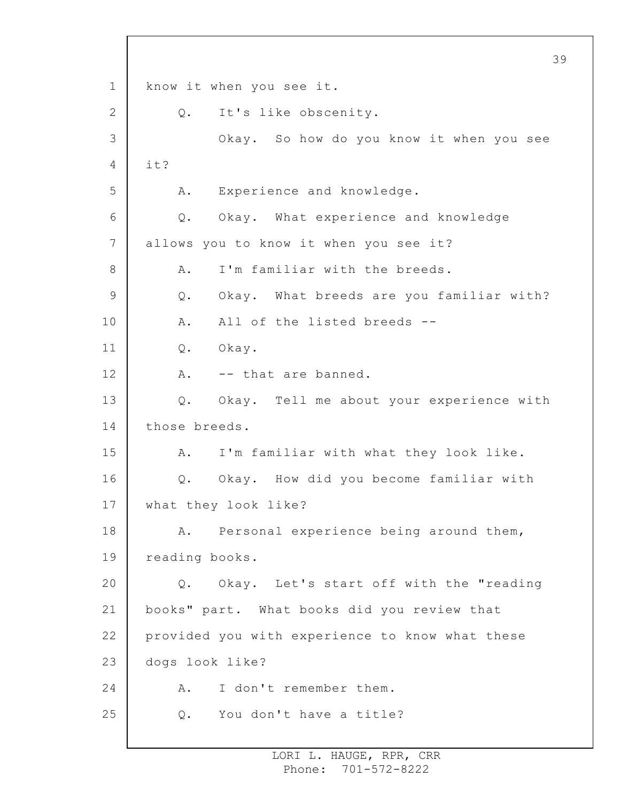1 2 3 4 5 6 7 8 9 10 11 12 13 14 15 16 17 18 19 20 21 22 23 24 25 39 know it when you see it. Q. It's like obscenity. Okay. So how do you know it when you see it? A. Experience and knowledge. Q. Okay. What experience and knowledge allows you to know it when you see it? A. I'm familiar with the breeds. Q. Okay. What breeds are you familiar with? A. All of the listed breeds -- Q. Okay. A. -- that are banned. Q. Okay. Tell me about your experience with those breeds. A. I'm familiar with what they look like. Q. Okay. How did you become familiar with what they look like? A. Personal experience being around them, reading books. Q. Okay. Let's start off with the "reading books" part. What books did you review that provided you with experience to know what these dogs look like? A. I don't remember them. Q. You don't have a title?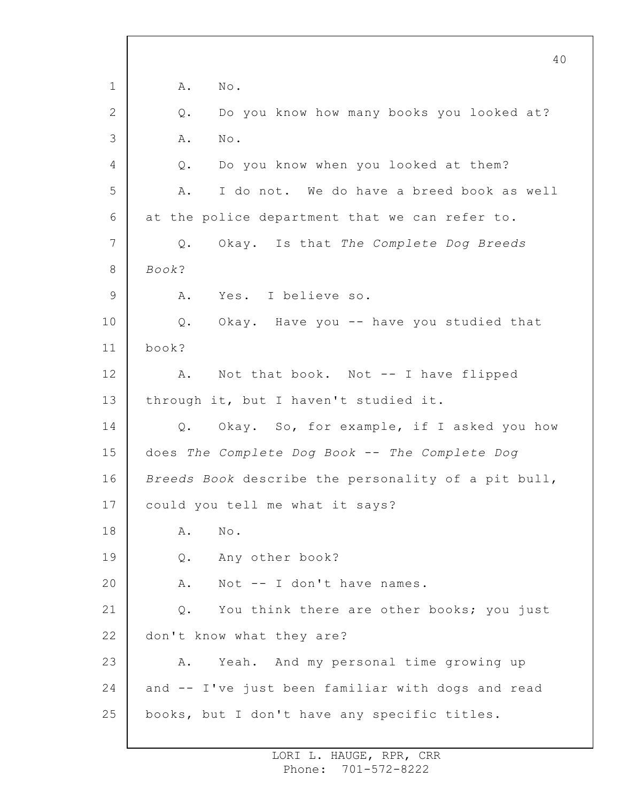1 2 3 4 5 6 7 8 9 10 11 12 13 14 15 16 17 18 19 20 21 22 23 24 25 40 A. No. Q. Do you know how many books you looked at? A. No. Q. Do you know when you looked at them? A. I do not. We do have a breed book as well at the police department that we can refer to. Q. Okay. Is that *The Complete Dog Breeds Book*? A. Yes. I believe so. Q. Okay. Have you -- have you studied that book? A. Not that book. Not -- I have flipped through it, but I haven't studied it. Q. Okay. So, for example, if I asked you how does *The Complete Dog Book* -- *The Complete Dog Breeds Book* describe the personality of a pit bull, could you tell me what it says? A. No. Q. Any other book? A. Not -- I don't have names. Q. You think there are other books; you just don't know what they are? A. Yeah. And my personal time growing up and -- I've just been familiar with dogs and read books, but I don't have any specific titles.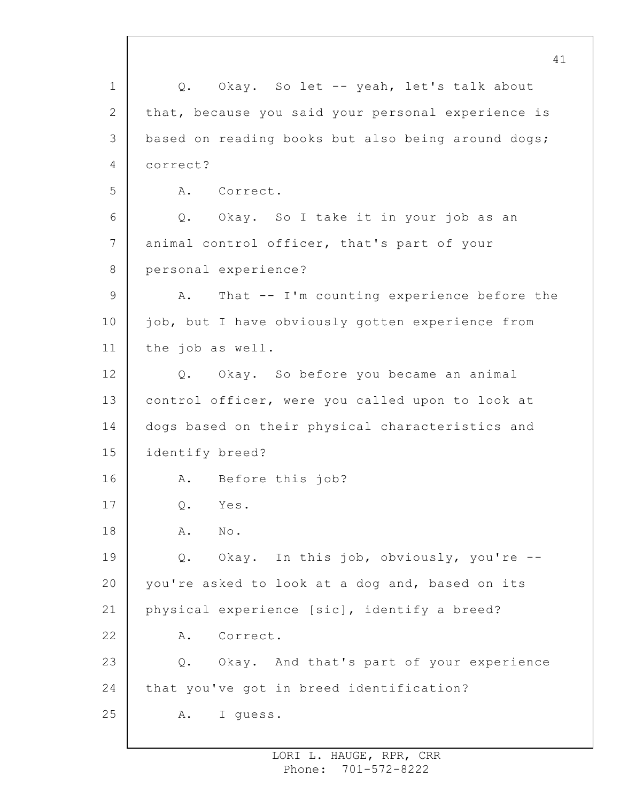1 2 3 4 5 6 7 8 9 10 11 12 13 14 15 16 17 18 19 20 21 22 23 24 25 Q. Okay. So let -- yeah, let's talk about that, because you said your personal experience is based on reading books but also being around dogs; correct? A. Correct. Q. Okay. So I take it in your job as an animal control officer, that's part of your personal experience? A. That -- I'm counting experience before the job, but I have obviously gotten experience from the job as well. Q. Okay. So before you became an animal control officer, were you called upon to look at dogs based on their physical characteristics and identify breed? A. Before this job? Q. Yes. A. No. Q. Okay. In this job, obviously, you're - you're asked to look at a dog and, based on its physical experience [sic], identify a breed? A. Correct. Q. Okay. And that's part of your experience that you've got in breed identification? A. I guess.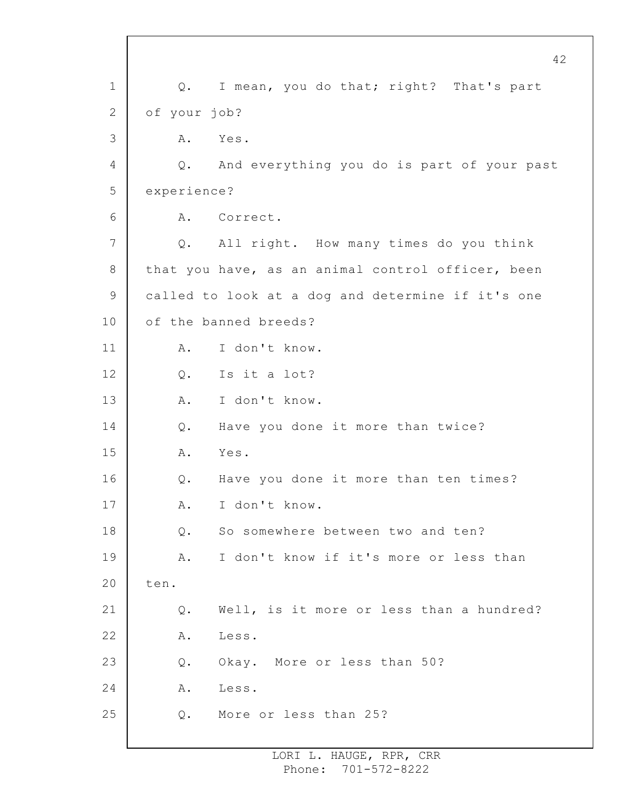1 2 3 4 5 6 7 8 9 10 11 12 13 14 15 16 17 18 19 20 21 22 23 24 25 Q. I mean, you do that; right? That's part of your job? A. Yes. Q. And everything you do is part of your past experience? A. Correct. Q. All right. How many times do you think that you have, as an animal control officer, been called to look at a dog and determine if it's one of the banned breeds? A. I don't know. Q. Is it a lot? A. I don't know. Q. Have you done it more than twice? A. Yes. Q. Have you done it more than ten times? A. I don't know. Q. So somewhere between two and ten? A. I don't know if it's more or less than ten. Q. Well, is it more or less than a hundred? A. Less. Q. Okay. More or less than 50? A. Less. Q. More or less than 25?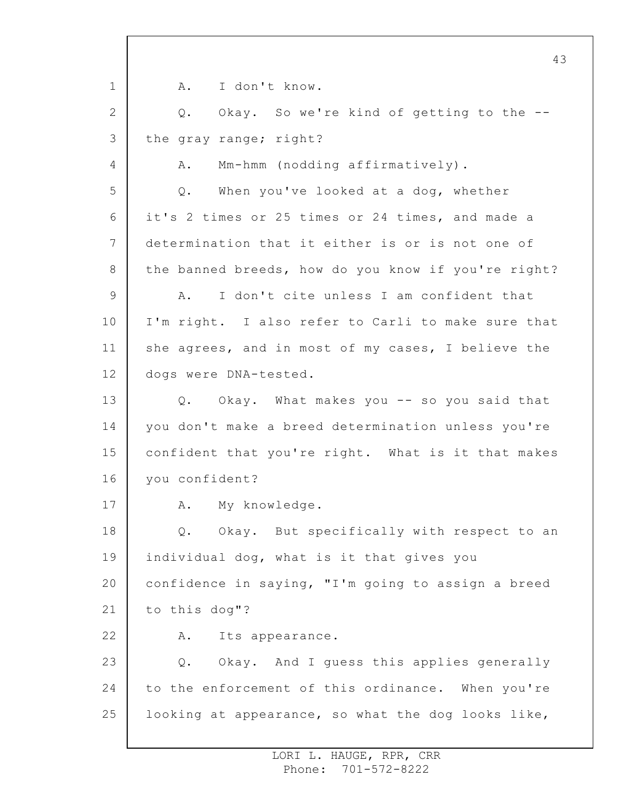1 2 3 4 5 6 7 8 9 10 11 12 13 14 15 16 17 18 19 20 21 22 23 24 25 43 A. I don't know. Q. Okay. So we're kind of getting to the - the gray range; right? A. Mm-hmm (nodding affirmatively). Q. When you've looked at a dog, whether it's 2 times or 25 times or 24 times, and made a determination that it either is or is not one of the banned breeds, how do you know if you're right? A. I don't cite unless I am confident that I'm right. I also refer to Carli to make sure that she agrees, and in most of my cases, I believe the dogs were DNA-tested. Q. Okay. What makes you -- so you said that you don't make a breed determination unless you're confident that you're right. What is it that makes you confident? A. My knowledge. Q. Okay. But specifically with respect to an individual dog, what is it that gives you confidence in saying, "I'm going to assign a breed to this dog"? A. Its appearance. Q. Okay. And I guess this applies generally to the enforcement of this ordinance. When you're looking at appearance, so what the dog looks like,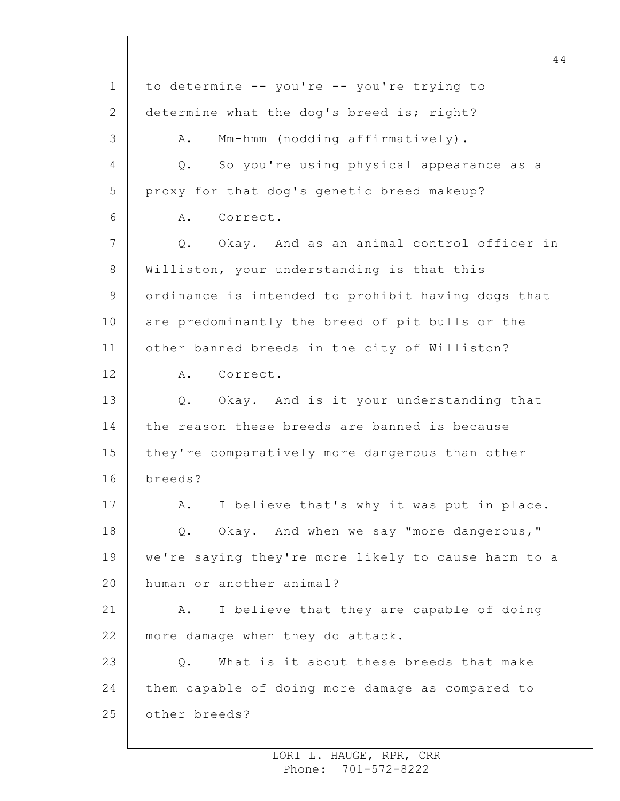1 2 3 4 5 6 7 8 9 10 11 12 13 14 15 16 17 18 19 20 21 22 23 24 25 44 to determine -- you're -- you're trying to determine what the dog's breed is; right? A. Mm-hmm (nodding affirmatively). Q. So you're using physical appearance as a proxy for that dog's genetic breed makeup? A. Correct. Q. Okay. And as an animal control officer in Williston, your understanding is that this ordinance is intended to prohibit having dogs that are predominantly the breed of pit bulls or the other banned breeds in the city of Williston? A. Correct. Q. Okay. And is it your understanding that the reason these breeds are banned is because they're comparatively more dangerous than other breeds? A. I believe that's why it was put in place. Q. Okay. And when we say "more dangerous," we're saying they're more likely to cause harm to a human or another animal? A. I believe that they are capable of doing more damage when they do attack. Q. What is it about these breeds that make them capable of doing more damage as compared to other breeds?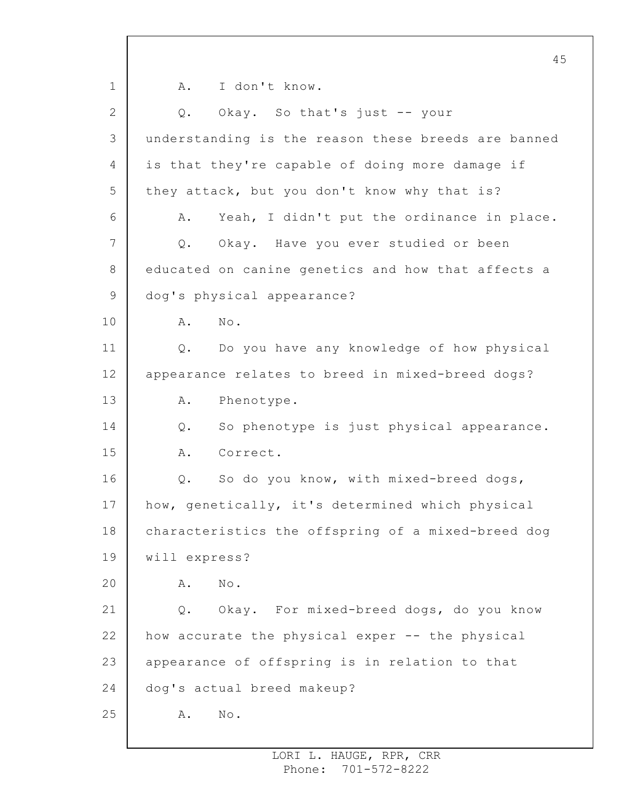1 2 3 4 5 6 7 8 9 10 11 12 13 14 15 16 17 18 19 20 21 22 23 24 25 A. I don't know. Q. Okay. So that's just -- your understanding is the reason these breeds are banned is that they're capable of doing more damage if they attack, but you don't know why that is? A. Yeah, I didn't put the ordinance in place. Q. Okay. Have you ever studied or been educated on canine genetics and how that affects a dog's physical appearance? A. No. Q. Do you have any knowledge of how physical appearance relates to breed in mixed-breed dogs? A. Phenotype. Q. So phenotype is just physical appearance. A. Correct. Q. So do you know, with mixed-breed dogs, how, genetically, it's determined which physical characteristics the offspring of a mixed-breed dog will express? A. No. Q. Okay. For mixed-breed dogs, do you know how accurate the physical exper -- the physical appearance of offspring is in relation to that dog's actual breed makeup? A. No.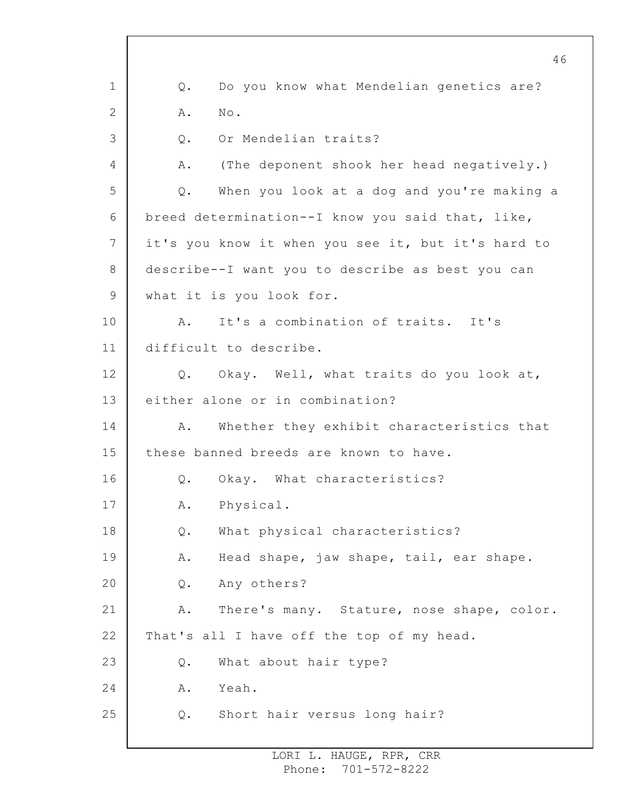1 2 3 4 5 6 7 8 9 10 11 12 13 14 15 16 17 18 19 20 21 22 23 24 25 46 Q. Do you know what Mendelian genetics are? A. No. Q. Or Mendelian traits? A. (The deponent shook her head negatively.) Q. When you look at a dog and you're making a breed determination--I know you said that, like, it's you know it when you see it, but it's hard to describe--I want you to describe as best you can what it is you look for. A. It's a combination of traits. It's difficult to describe. Q. Okay. Well, what traits do you look at, either alone or in combination? A. Whether they exhibit characteristics that these banned breeds are known to have. Q. Okay. What characteristics? A. Physical. Q. What physical characteristics? A. Head shape, jaw shape, tail, ear shape. Q. Any others? A. There's many. Stature, nose shape, color. That's all I have off the top of my head. Q. What about hair type? A. Yeah. Q. Short hair versus long hair?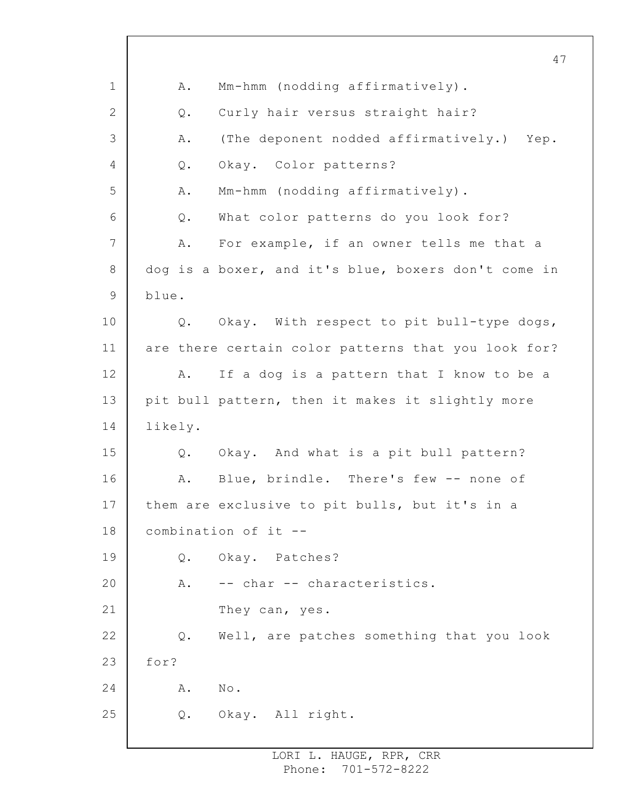1 2 3 4 5 6 7 8 9 10 11 12 13 14 15 16 17 18 19 20 21 22 23 24 25 47 A. Mm-hmm (nodding affirmatively). Q. Curly hair versus straight hair? A. (The deponent nodded affirmatively.) Yep. Q. Okay. Color patterns? A. Mm-hmm (nodding affirmatively). Q. What color patterns do you look for? A. For example, if an owner tells me that a dog is a boxer, and it's blue, boxers don't come in blue. Q. Okay. With respect to pit bull-type dogs, are there certain color patterns that you look for? A. If a dog is a pattern that I know to be a pit bull pattern, then it makes it slightly more likely. Q. Okay. And what is a pit bull pattern? A. Blue, brindle. There's few -- none of them are exclusive to pit bulls, but it's in a combination of it -- Q. Okay. Patches? A. -- char -- characteristics. They can, yes. Q. Well, are patches something that you look for? A. No. Q. Okay. All right.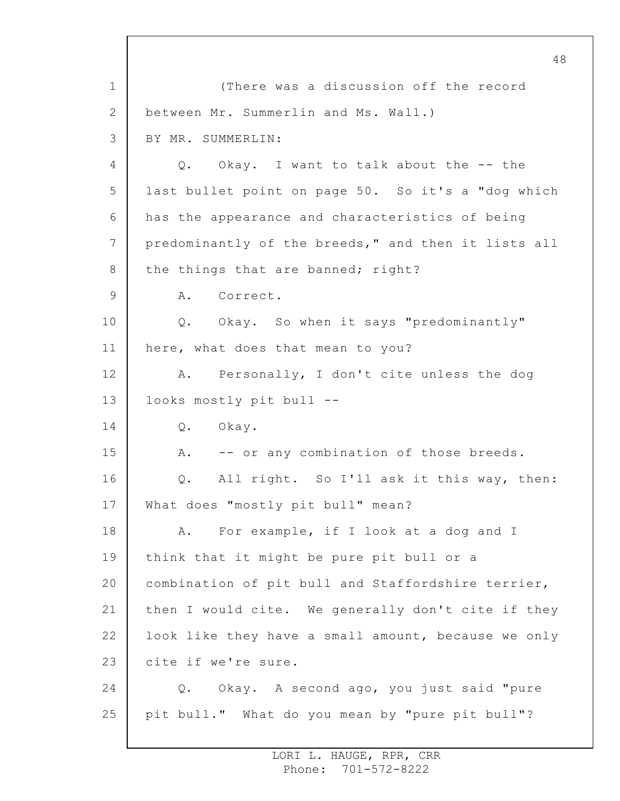1 2 3 4 5 6 7 8 9 10 11 12 13 14 15 16 17 18 19 20 21 22 23 24 25 (There was a discussion off the record between Mr. Summerlin and Ms. Wall.) BY MR. SUMMERLIN: Q. Okay. I want to talk about the -- the last bullet point on page 50. So it's a "dog which has the appearance and characteristics of being predominantly of the breeds," and then it lists all the things that are banned; right? A. Correct. Q. Okay. So when it says "predominantly" here, what does that mean to you? A. Personally, I don't cite unless the dog looks mostly pit bull -- Q. Okay. A. -- or any combination of those breeds. Q. All right. So I'll ask it this way, then: What does "mostly pit bull" mean? A. For example, if I look at a dog and I think that it might be pure pit bull or a combination of pit bull and Staffordshire terrier, then I would cite. We generally don't cite if they look like they have a small amount, because we only cite if we're sure. Q. Okay. A second ago, you just said "pure pit bull." What do you mean by "pure pit bull"?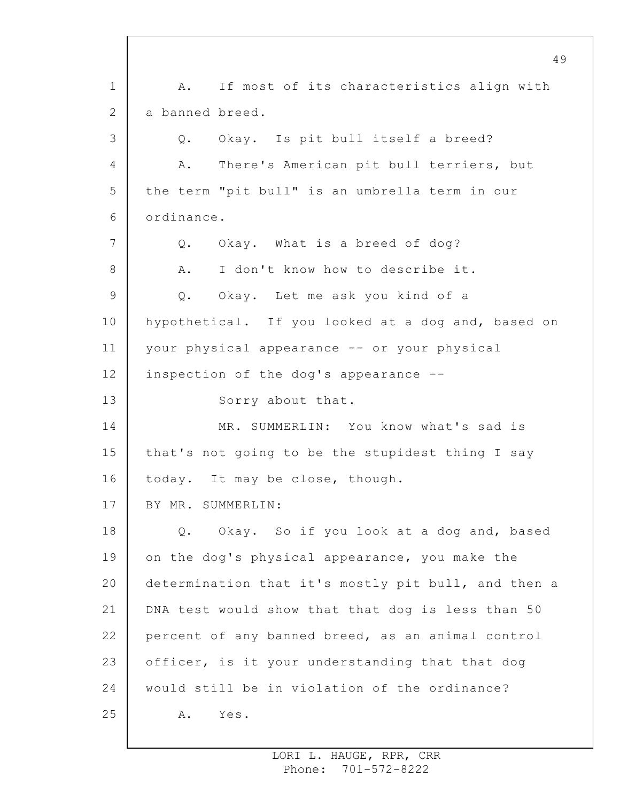1 2 3 4 5 6 7 8 9 10 11 12 13 14 15 16 17 18 19 20 21 22 23 24 25 A. If most of its characteristics align with a banned breed. Q. Okay. Is pit bull itself a breed? A. There's American pit bull terriers, but the term "pit bull" is an umbrella term in our ordinance. Q. Okay. What is a breed of dog? A. I don't know how to describe it. Q. Okay. Let me ask you kind of a hypothetical. If you looked at a dog and, based on your physical appearance -- or your physical inspection of the dog's appearance -- Sorry about that. MR. SUMMERLIN: You know what's sad is that's not going to be the stupidest thing I say today. It may be close, though. BY MR. SUMMERLIN: Q. Okay. So if you look at a dog and, based on the dog's physical appearance, you make the determination that it's mostly pit bull, and then a DNA test would show that that dog is less than 50 percent of any banned breed, as an animal control officer, is it your understanding that that dog would still be in violation of the ordinance? A. Yes.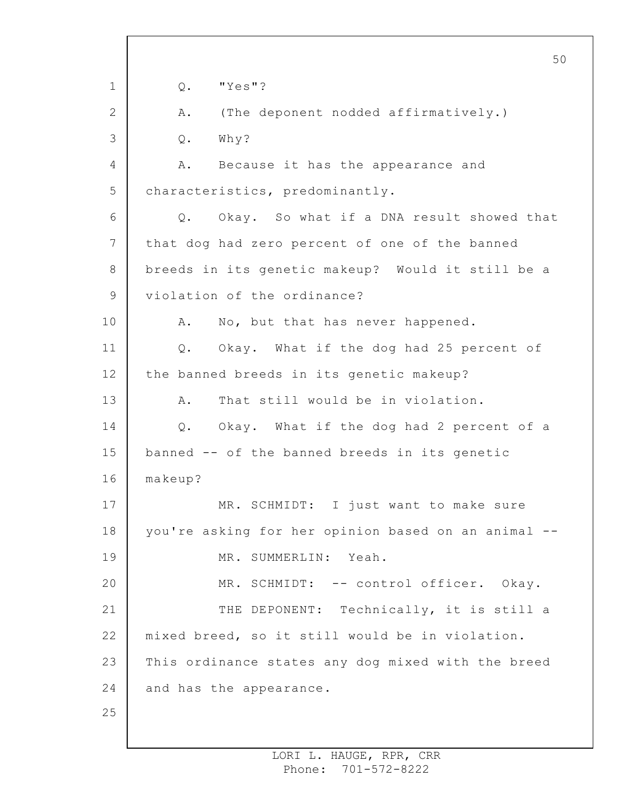1 2 3 4 5 6 7 8 9 10 11 12 13 14 15 16 17 18 19  $20$ 21 22 23 24 25 50  $Q.$  "Yes"? A. (The deponent nodded affirmatively.) Q. Why? A. Because it has the appearance and characteristics, predominantly. Q. Okay. So what if a DNA result showed that that dog had zero percent of one of the banned breeds in its genetic makeup? Would it still be a violation of the ordinance? A. No, but that has never happened. Q. Okay. What if the dog had 25 percent of the banned breeds in its genetic makeup? A. That still would be in violation. Q. Okay. What if the dog had 2 percent of a banned -- of the banned breeds in its genetic makeup? MR. SCHMIDT: I just want to make sure you're asking for her opinion based on an animal -- MR. SUMMERLIN: Yeah. MR. SCHMIDT: -- control officer. Okay. THE DEPONENT: Technically, it is still a mixed breed, so it still would be in violation. This ordinance states any dog mixed with the breed and has the appearance.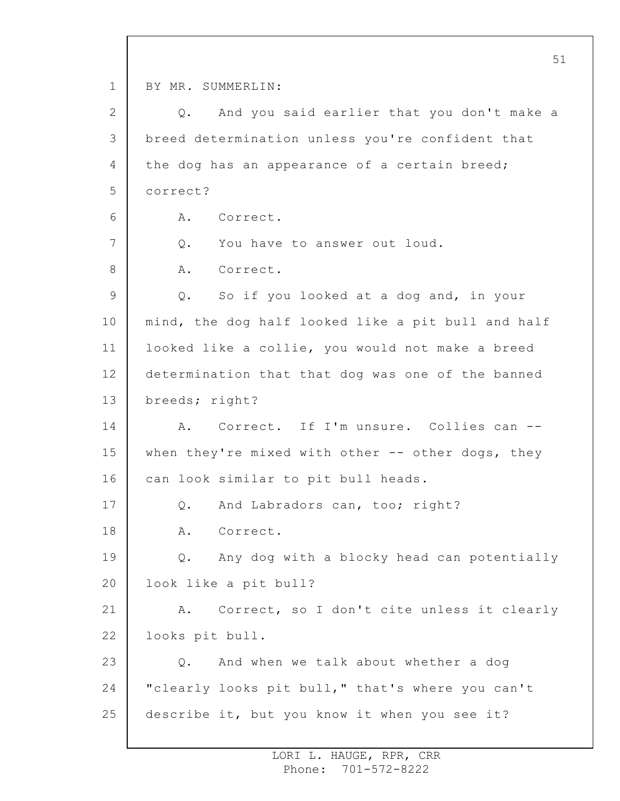1 2 3 4 5 6 7 8 9 10 11 12 13 14 15 16 17 18 19 20 21 22 23 24 25 BY MR. SUMMERLIN: Q. And you said earlier that you don't make a breed determination unless you're confident that the dog has an appearance of a certain breed; correct? A. Correct. Q. You have to answer out loud. A. Correct. Q. So if you looked at a dog and, in your mind, the dog half looked like a pit bull and half looked like a collie, you would not make a breed determination that that dog was one of the banned breeds; right? A. Correct. If I'm unsure. Collies can - when they're mixed with other  $--$  other dogs, they can look similar to pit bull heads. Q. And Labradors can, too; right? A. Correct. Q. Any dog with a blocky head can potentially look like a pit bull? A. Correct, so I don't cite unless it clearly looks pit bull. Q. And when we talk about whether a dog "clearly looks pit bull," that's where you can't describe it, but you know it when you see it?

> LORI L. HAUGE, RPR, CRR Phone: 701-572-8222

51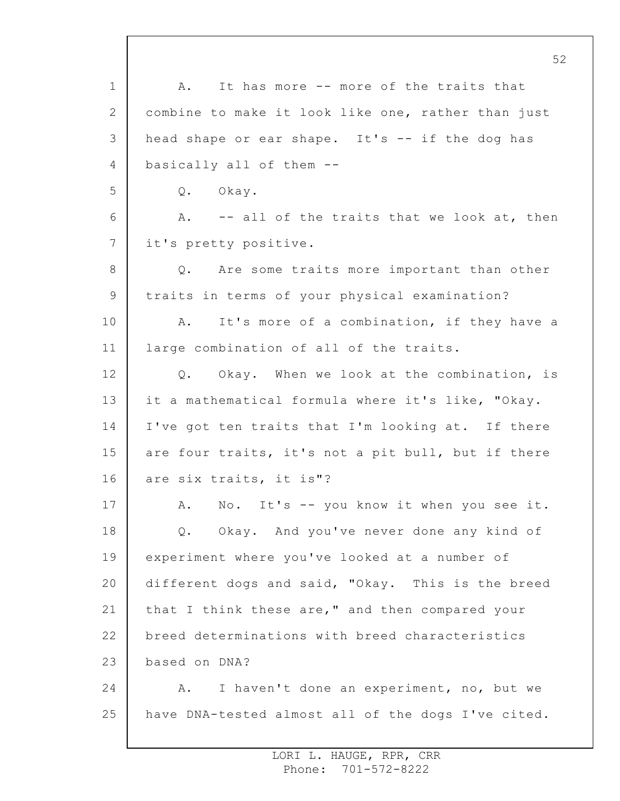1 2 3 4 5 6 7 8 9 10 11 12 13 14 15 16 17 18 19 20 21 22 23 24 25 A. It has more -- more of the traits that combine to make it look like one, rather than just head shape or ear shape. It's -- if the dog has basically all of them -- Q. Okay. A. -- all of the traits that we look at, then it's pretty positive. Q. Are some traits more important than other traits in terms of your physical examination? A. It's more of a combination, if they have a large combination of all of the traits. Q. Okay. When we look at the combination, is it a mathematical formula where it's like, "Okay. I've got ten traits that I'm looking at. If there are four traits, it's not a pit bull, but if there are six traits, it is"? A. No. It's -- you know it when you see it. Q. Okay. And you've never done any kind of experiment where you've looked at a number of different dogs and said, "Okay. This is the breed that I think these are," and then compared your breed determinations with breed characteristics based on DNA? A. I haven't done an experiment, no, but we have DNA-tested almost all of the dogs I've cited.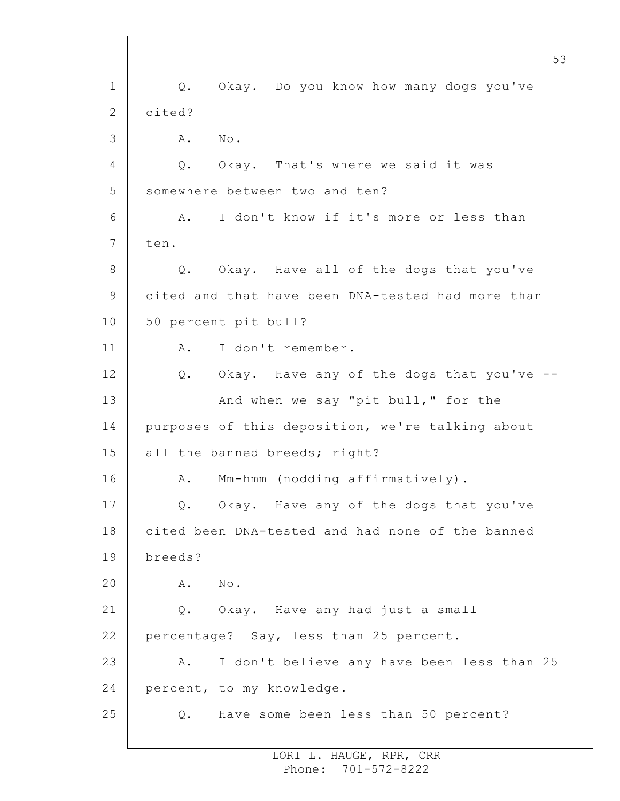1 2 3 4 5 6 7 8 9 10 11 12 13 14 15 16 17 18 19 20 21 22 23 24 25 Q. Okay. Do you know how many dogs you've cited? A. No. Q. Okay. That's where we said it was somewhere between two and ten? A. I don't know if it's more or less than ten. Q. Okay. Have all of the dogs that you've cited and that have been DNA-tested had more than 50 percent pit bull? A. I don't remember. Q. Okay. Have any of the dogs that you've -- And when we say "pit bull," for the purposes of this deposition, we're talking about all the banned breeds; right? A. Mm-hmm (nodding affirmatively). Q. Okay. Have any of the dogs that you've cited been DNA-tested and had none of the banned breeds? A. No. Q. Okay. Have any had just a small percentage? Say, less than 25 percent. A. I don't believe any have been less than 25 percent, to my knowledge. Q. Have some been less than 50 percent?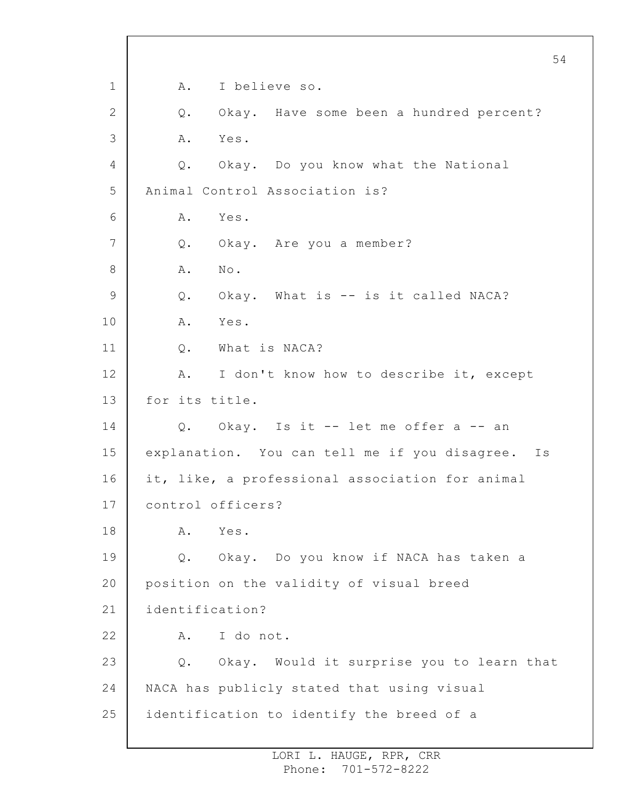1 2 3 4 5 6 7 8 9 10 11 12 13 14 15 16 17 18 19 20 21 22 23 24 25 A. I believe so. Q. Okay. Have some been a hundred percent? A. Yes. Q. Okay. Do you know what the National Animal Control Association is? A. Yes. Q. Okay. Are you a member? A. No. Q. Okay. What is -- is it called NACA? A. Yes. Q. What is NACA? A. I don't know how to describe it, except for its title. Q. Okay. Is it -- let me offer a -- an explanation. You can tell me if you disagree. Is it, like, a professional association for animal control officers? A. Yes. Q. Okay. Do you know if NACA has taken a position on the validity of visual breed identification? A. I do not. Q. Okay. Would it surprise you to learn that NACA has publicly stated that using visual identification to identify the breed of a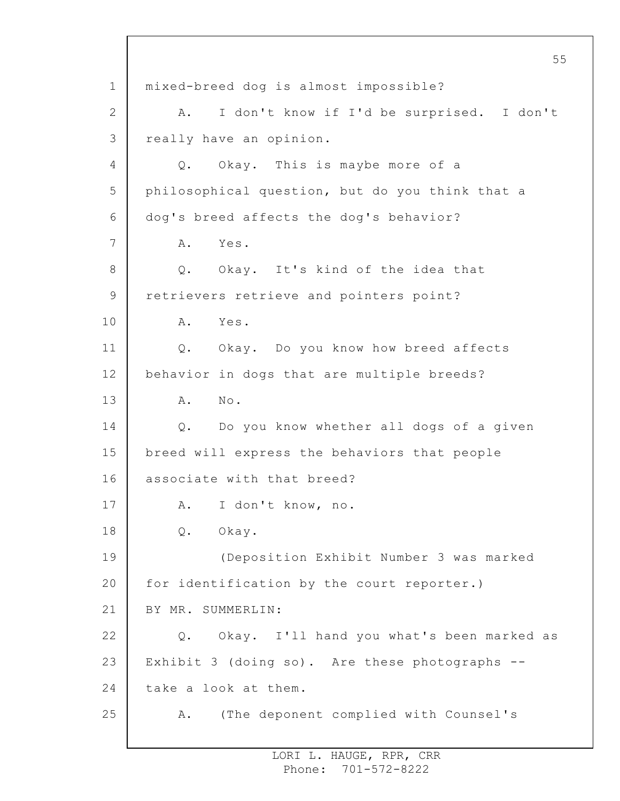1 2 3 4 5 6 7 8 9 10 11 12 13 14 15 16 17 18 19 20 21 22 23 24 25 mixed-breed dog is almost impossible? A. I don't know if I'd be surprised. I don't really have an opinion. Q. Okay. This is maybe more of a philosophical question, but do you think that a dog's breed affects the dog's behavior? A. Yes. Q. Okay. It's kind of the idea that retrievers retrieve and pointers point? A. Yes. Q. Okay. Do you know how breed affects behavior in dogs that are multiple breeds? A. No. Q. Do you know whether all dogs of a given breed will express the behaviors that people associate with that breed? A. I don't know, no. Q. Okay. (Deposition Exhibit Number 3 was marked for identification by the court reporter.) BY MR. SUMMERLIN: Q. Okay. I'll hand you what's been marked as Exhibit 3 (doing so). Are these photographs - take a look at them. A. (The deponent complied with Counsel's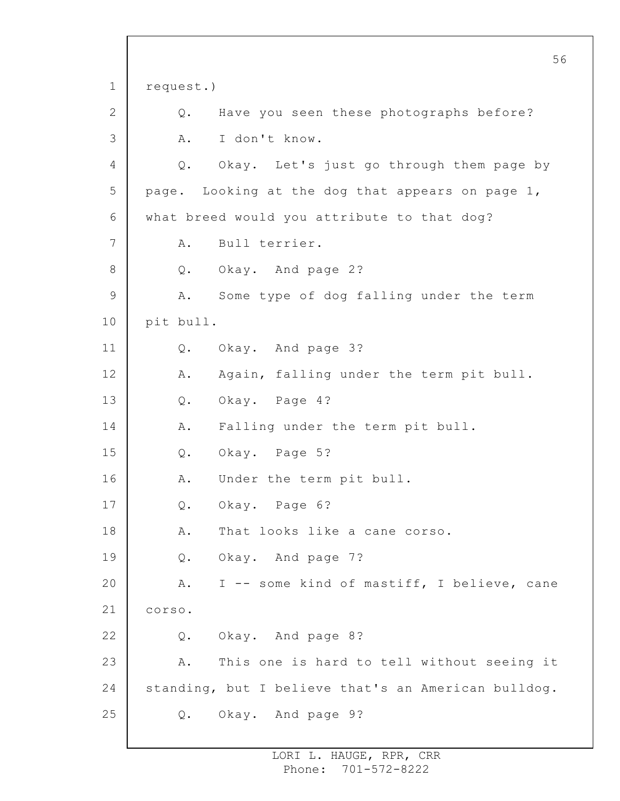1 2 3 4 5 6 7 8 9 10 11 12 13 14 15 16 17 18 19 20 21 22 23 24 25 56 request.) Q. Have you seen these photographs before? A. I don't know. Q. Okay. Let's just go through them page by page. Looking at the dog that appears on page 1, what breed would you attribute to that dog? A. Bull terrier. Q. Okay. And page 2? A. Some type of dog falling under the term pit bull. Q. Okay. And page 3? A. Again, falling under the term pit bull. Q. Okay. Page 4? A. Falling under the term pit bull. Q. Okay. Page 5? A. Under the term pit bull. Q. Okay. Page 6? A. That looks like a cane corso. Q. Okay. And page 7? A. I -- some kind of mastiff, I believe, cane corso. Q. Okay. And page 8? A. This one is hard to tell without seeing it standing, but I believe that's an American bulldog. Q. Okay. And page 9?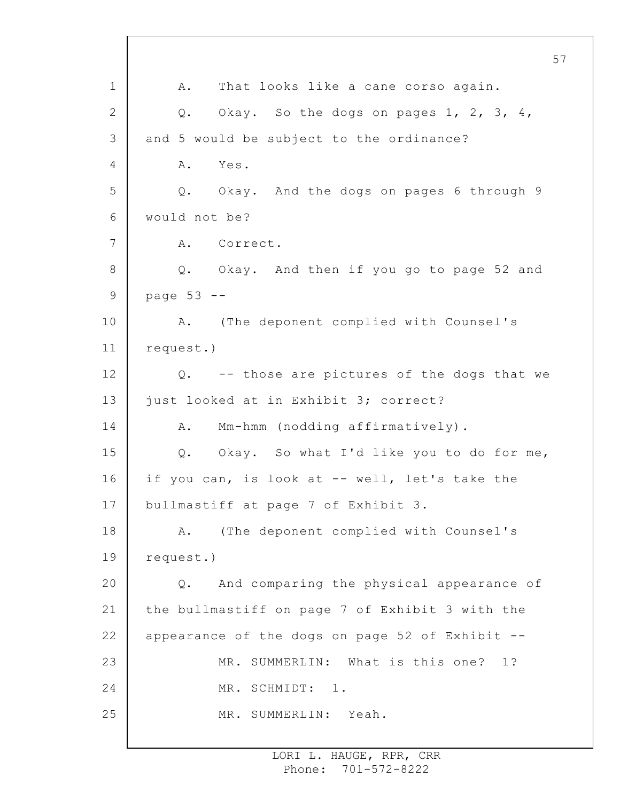1 2 3 4 5 6 7 8 9 10 11 12 13 14 15 16 17 18 19 20 21 22 23 24 25 57 A. That looks like a cane corso again. Q. Okay. So the dogs on pages 1, 2, 3, 4, and 5 would be subject to the ordinance? A. Yes. Q. Okay. And the dogs on pages 6 through 9 would not be? A. Correct. Q. Okay. And then if you go to page 52 and page 53 -- A. (The deponent complied with Counsel's request.) Q. -- those are pictures of the dogs that we just looked at in Exhibit 3; correct? A. Mm-hmm (nodding affirmatively). Q. Okay. So what I'd like you to do for me, if you can, is look at -- well, let's take the bullmastiff at page 7 of Exhibit 3. A. (The deponent complied with Counsel's request.) Q. And comparing the physical appearance of the bullmastiff on page 7 of Exhibit 3 with the appearance of the dogs on page 52 of Exhibit -- MR. SUMMERLIN: What is this one? 1? MR. SCHMIDT: 1. MR. SUMMERLIN: Yeah.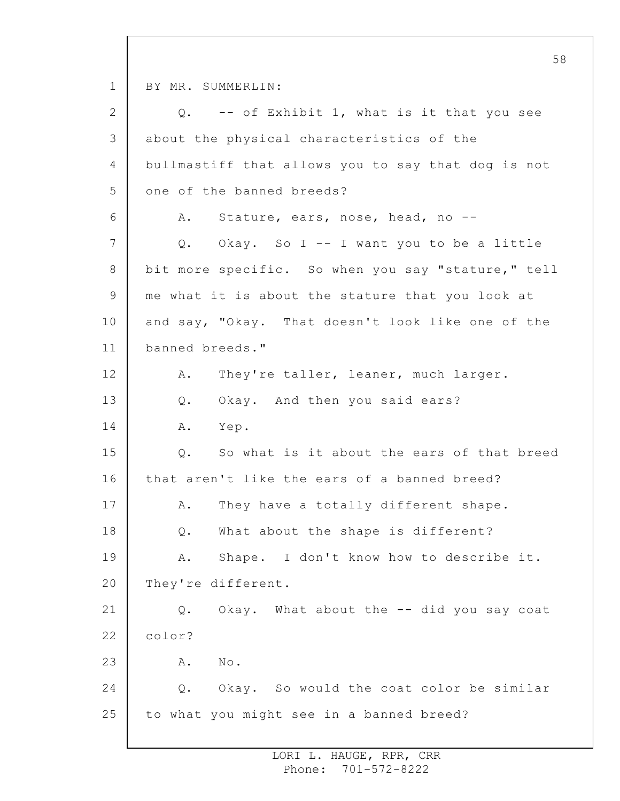1 2 3 4 5 6 7 8 9 10 11 12 13 14 15 16 17 18 19 20 21 22 23 24 25 BY MR. SUMMERLIN: Q. -- of Exhibit 1, what is it that you see about the physical characteristics of the bullmastiff that allows you to say that dog is not one of the banned breeds? A. Stature, ears, nose, head, no -- Q. Okay. So I -- I want you to be a little bit more specific. So when you say "stature," tell me what it is about the stature that you look at and say, "Okay. That doesn't look like one of the banned breeds." A. They're taller, leaner, much larger. Q. Okay. And then you said ears? A. Yep. Q. So what is it about the ears of that breed that aren't like the ears of a banned breed? A. They have a totally different shape. Q. What about the shape is different? A. Shape. I don't know how to describe it. They're different. Q. Okay. What about the -- did you say coat color? A. No. Q. Okay. So would the coat color be similar to what you might see in a banned breed?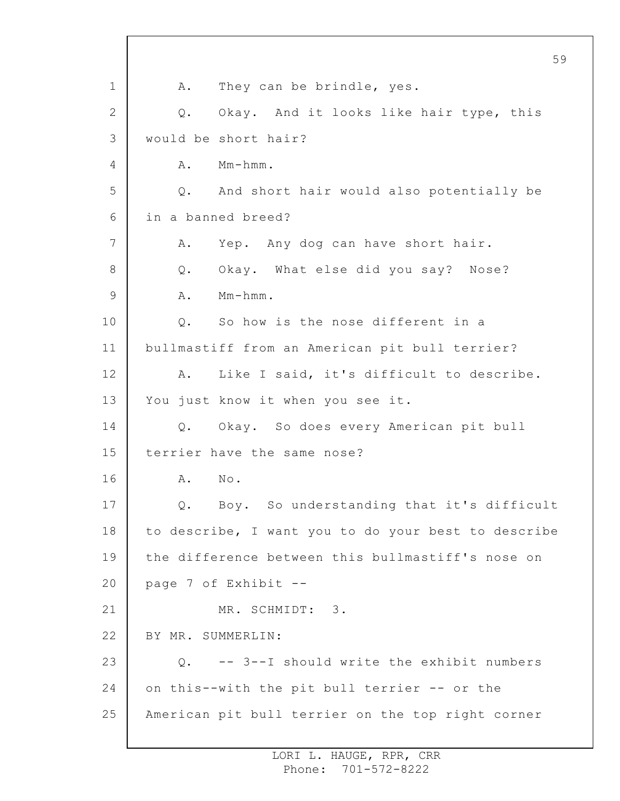1 2 3 4 5 6 7 8 9 10 11 12 13 14 15 16 17 18 19 20 21 22 23 24 25 59 A. They can be brindle, yes. Q. Okay. And it looks like hair type, this would be short hair? A. Mm-hmm. Q. And short hair would also potentially be in a banned breed? A. Yep. Any dog can have short hair. Q. Okay. What else did you say? Nose? A. Mm-hmm. Q. So how is the nose different in a bullmastiff from an American pit bull terrier? A. Like I said, it's difficult to describe. You just know it when you see it. Q. Okay. So does every American pit bull terrier have the same nose? A. No. Q. Boy. So understanding that it's difficult to describe, I want you to do your best to describe the difference between this bullmastiff's nose on page 7 of Exhibit -- MR. SCHMIDT: 3. BY MR. SUMMERLIN: Q. -- 3--I should write the exhibit numbers on this--with the pit bull terrier -- or the American pit bull terrier on the top right corner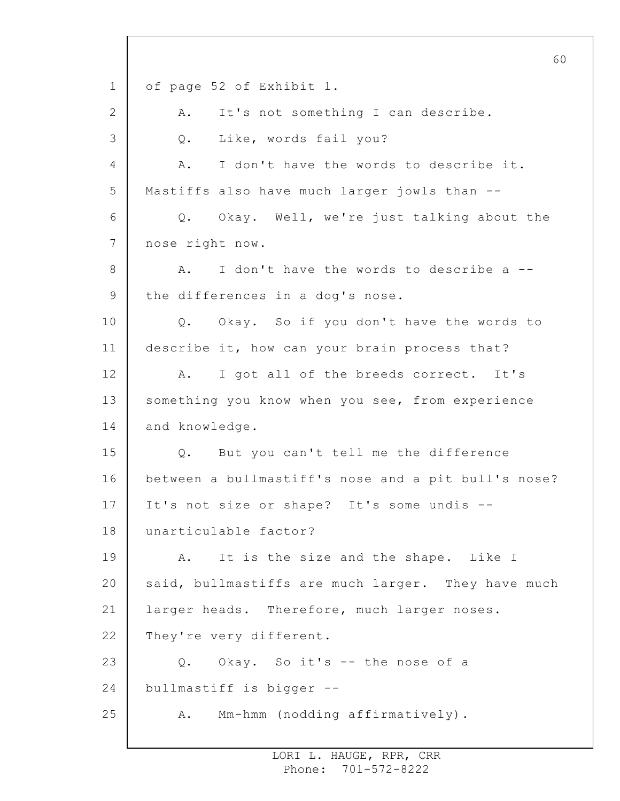1 2 3 4 5 6 7 8 9 10 11 12 13 14 15 16 17 18 19 20 21 22 23 24 25 60 of page 52 of Exhibit 1. A. It's not something I can describe. Q. Like, words fail you? A. I don't have the words to describe it. Mastiffs also have much larger jowls than -- Q. Okay. Well, we're just talking about the nose right now. A. I don't have the words to describe a - the differences in a dog's nose. Q. Okay. So if you don't have the words to describe it, how can your brain process that? A. I got all of the breeds correct. It's something you know when you see, from experience and knowledge. Q. But you can't tell me the difference between a bullmastiff's nose and a pit bull's nose? It's not size or shape? It's some undis - unarticulable factor? A. It is the size and the shape. Like I said, bullmastiffs are much larger. They have much larger heads. Therefore, much larger noses. They're very different. Q. Okay. So it's -- the nose of a bullmastiff is bigger -- A. Mm-hmm (nodding affirmatively).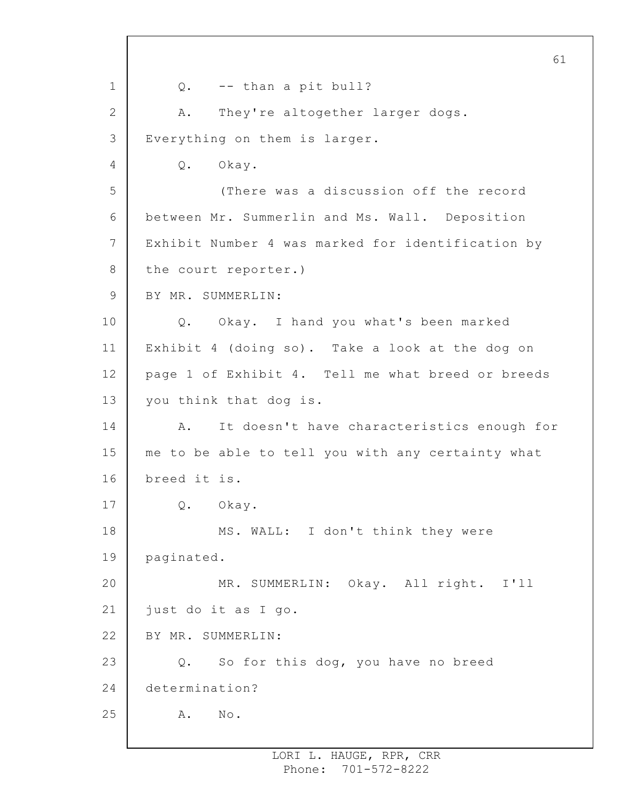1 2 3 4 5 6 7 8 9 10 11 12 13 14 15 16 17 18 19 20 21 22 23 24 25 61 Q. -- than a pit bull? A. They're altogether larger dogs. Everything on them is larger. Q. Okay. (There was a discussion off the record between Mr. Summerlin and Ms. Wall. Deposition Exhibit Number 4 was marked for identification by the court reporter.) BY MR. SUMMERLIN: Q. Okay. I hand you what's been marked Exhibit 4 (doing so). Take a look at the dog on page 1 of Exhibit 4. Tell me what breed or breeds you think that dog is. A. It doesn't have characteristics enough for me to be able to tell you with any certainty what breed it is. Q. Okay. MS. WALL: I don't think they were paginated. MR. SUMMERLIN: Okay. All right. I'll just do it as I go. BY MR. SUMMERLIN: Q. So for this dog, you have no breed determination? A. No.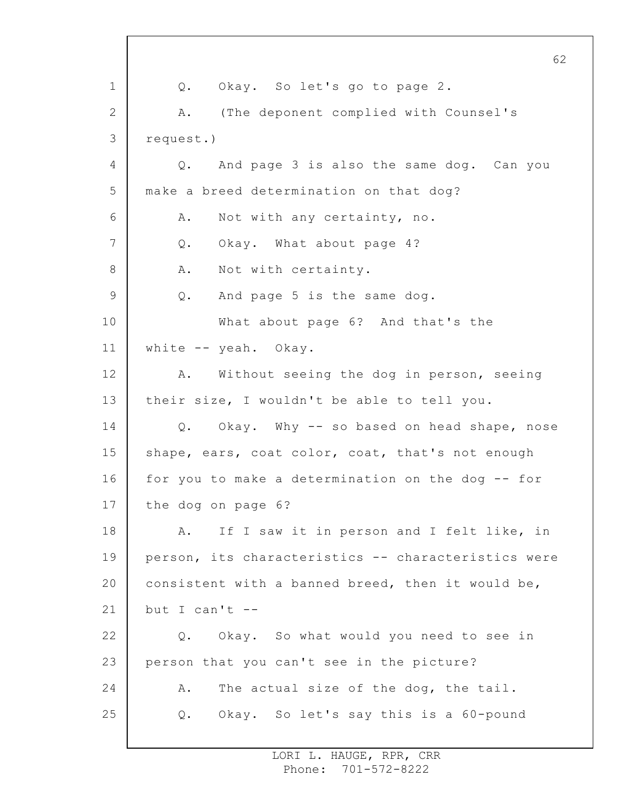1 2 3 4 5 6 7 8 9 10 11 12 13 14 15 16 17 18 19 20 21 22 23 24 25 62 Q. Okay. So let's go to page 2. A. (The deponent complied with Counsel's request.) Q. And page 3 is also the same dog. Can you make a breed determination on that dog? A. Not with any certainty, no. Q. Okay. What about page 4? A. Not with certainty. Q. And page 5 is the same dog. What about page 6? And that's the white -- yeah. Okay. A. Without seeing the dog in person, seeing their size, I wouldn't be able to tell you. Q. Okay. Why -- so based on head shape, nose shape, ears, coat color, coat, that's not enough for you to make a determination on the dog -- for the dog on page 6? A. If I saw it in person and I felt like, in person, its characteristics -- characteristics were consistent with a banned breed, then it would be, but I can't  $-$ Q. Okay. So what would you need to see in person that you can't see in the picture? A. The actual size of the dog, the tail. Q. Okay. So let's say this is a 60-pound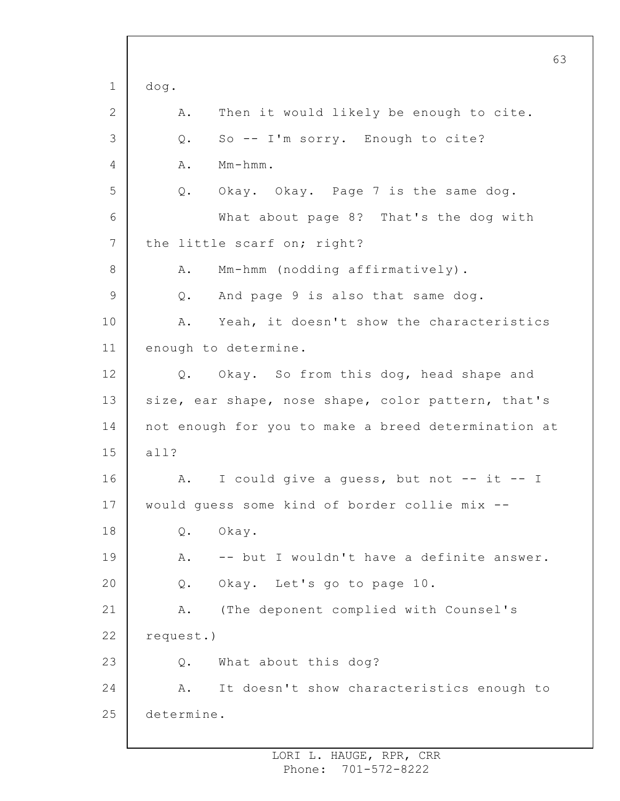1 2 3 4 5 6 7 8 9 10 11 12 13 14 15 16 17 18 19 20 21 22 23 24 25 63 dog. A. Then it would likely be enough to cite. Q. So -- I'm sorry. Enough to cite? A. Mm-hmm. Q. Okay. Okay. Page 7 is the same dog. What about page 8? That's the dog with the little scarf on; right? A. Mm-hmm (nodding affirmatively). Q. And page 9 is also that same dog. A. Yeah, it doesn't show the characteristics enough to determine. Q. Okay. So from this dog, head shape and size, ear shape, nose shape, color pattern, that's not enough for you to make a breed determination at all? A. I could give a quess, but not -- it -- I would guess some kind of border collie mix -- Q. Okay. A. -- but I wouldn't have a definite answer. Q. Okay. Let's go to page 10. A. (The deponent complied with Counsel's request.) Q. What about this dog? A. It doesn't show characteristics enough to determine.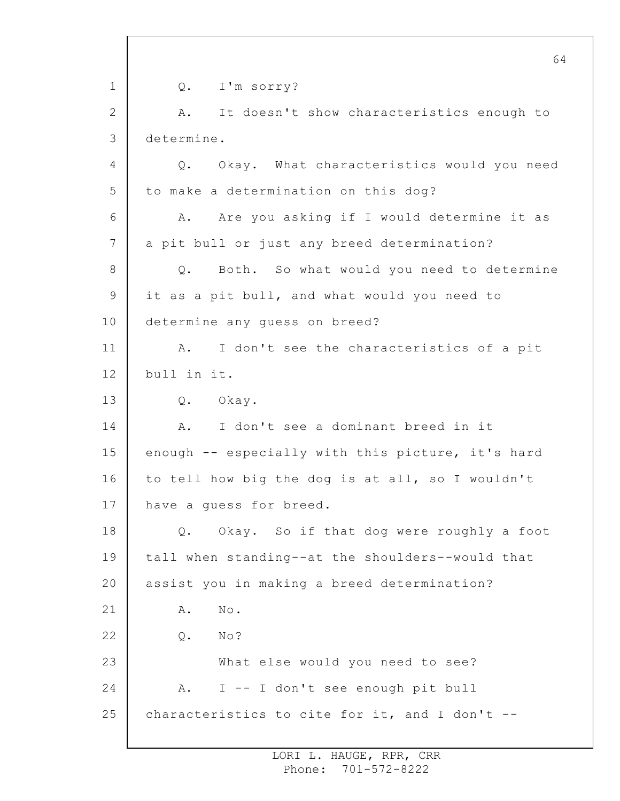1 2 3 4 5 6 7 8 9 10 11 12 13 14 15 16 17 18 19 20 21 22 23 24 25 64 Q. I'm sorry? A. It doesn't show characteristics enough to determine. Q. Okay. What characteristics would you need to make a determination on this dog? A. Are you asking if I would determine it as a pit bull or just any breed determination? Q. Both. So what would you need to determine it as a pit bull, and what would you need to determine any guess on breed? A. I don't see the characteristics of a pit bull in it. Q. Okay. A. I don't see a dominant breed in it enough -- especially with this picture, it's hard to tell how big the dog is at all, so I wouldn't have a guess for breed. Q. Okay. So if that dog were roughly a foot tall when standing--at the shoulders--would that assist you in making a breed determination? A. No. Q. No? What else would you need to see? A. I -- I don't see enough pit bull characteristics to cite for it, and I don't --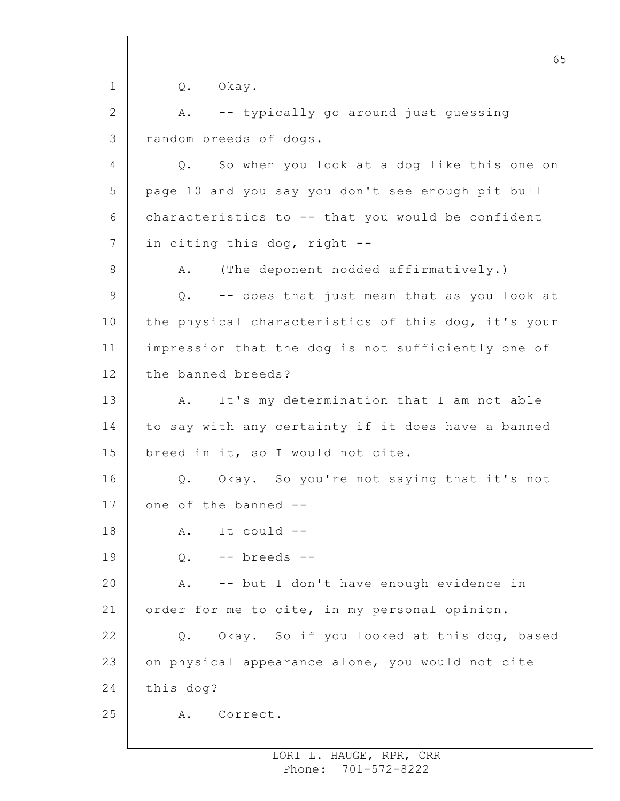1 2 3 4 5 6 7 8 9 10 11 12 13 14 15 16 17 18 19 20 21 22 23 24 25 65 Q. Okay. A. -- typically go around just guessing random breeds of dogs. Q. So when you look at a dog like this one on page 10 and you say you don't see enough pit bull characteristics to -- that you would be confident in citing this dog, right -- A. (The deponent nodded affirmatively.) Q. -- does that just mean that as you look at the physical characteristics of this dog, it's your impression that the dog is not sufficiently one of the banned breeds? A. It's my determination that I am not able to say with any certainty if it does have a banned breed in it, so I would not cite. Q. Okay. So you're not saying that it's not one of the banned -- A. It could --  $0.$  -- breeds --A. -- but I don't have enough evidence in order for me to cite, in my personal opinion. Q. Okay. So if you looked at this dog, based on physical appearance alone, you would not cite this dog? A. Correct.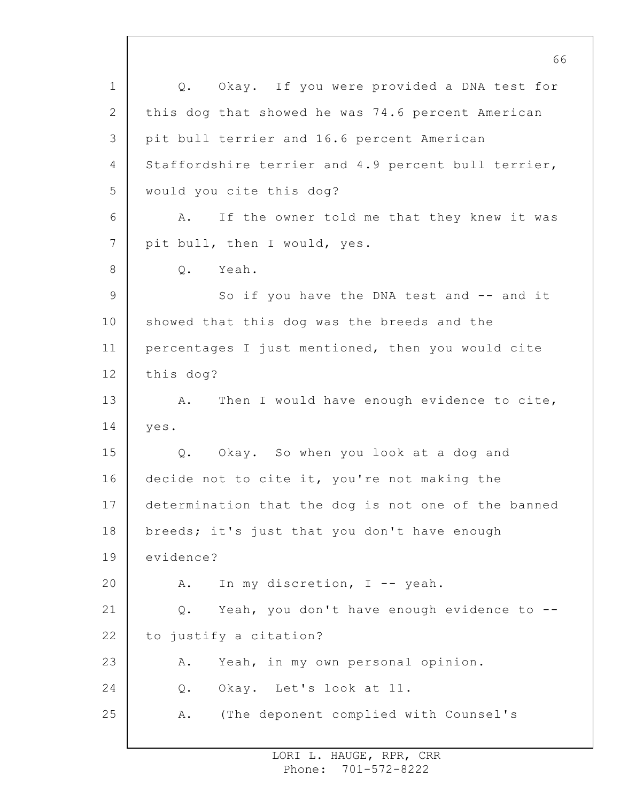1 2 3 4 5 6 7 8 9 10 11 12 13 14 15 16 17 18 19 20 21 22 23 24 25 Q. Okay. If you were provided a DNA test for this dog that showed he was 74.6 percent American pit bull terrier and 16.6 percent American Staffordshire terrier and 4.9 percent bull terrier, would you cite this dog? A. If the owner told me that they knew it was pit bull, then I would, yes. Q. Yeah. So if you have the DNA test and -- and it showed that this dog was the breeds and the percentages I just mentioned, then you would cite this dog? A. Then I would have enough evidence to cite, yes. Q. Okay. So when you look at a dog and decide not to cite it, you're not making the determination that the dog is not one of the banned breeds; it's just that you don't have enough evidence? A. In my discretion, I -- yeah. Q. Yeah, you don't have enough evidence to - to justify a citation? A. Yeah, in my own personal opinion. Q. Okay. Let's look at 11. A. (The deponent complied with Counsel's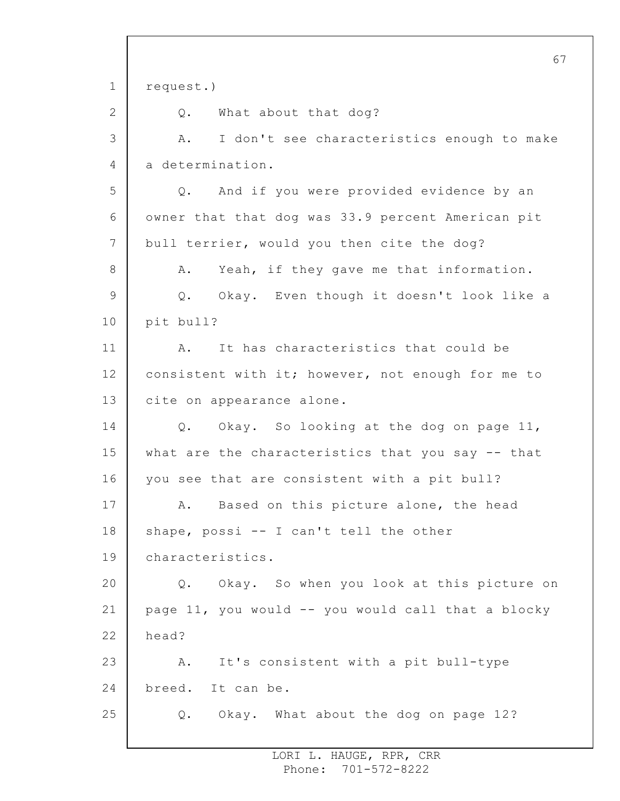1 2 3 4 5 6 7 8 9 10 11 12 13 14 15 16 17 18 19 20 21 22 23 24 25 67 request.) Q. What about that dog? A. I don't see characteristics enough to make a determination. Q. And if you were provided evidence by an owner that that dog was 33.9 percent American pit bull terrier, would you then cite the dog? A. Yeah, if they gave me that information. Q. Okay. Even though it doesn't look like a pit bull? A. It has characteristics that could be consistent with it; however, not enough for me to cite on appearance alone. Q. Okay. So looking at the dog on page 11, what are the characteristics that you say -- that you see that are consistent with a pit bull? A. Based on this picture alone, the head shape, possi -- I can't tell the other characteristics. Q. Okay. So when you look at this picture on page 11, you would -- you would call that a blocky head? A. It's consistent with a pit bull-type breed. It can be. Q. Okay. What about the dog on page 12?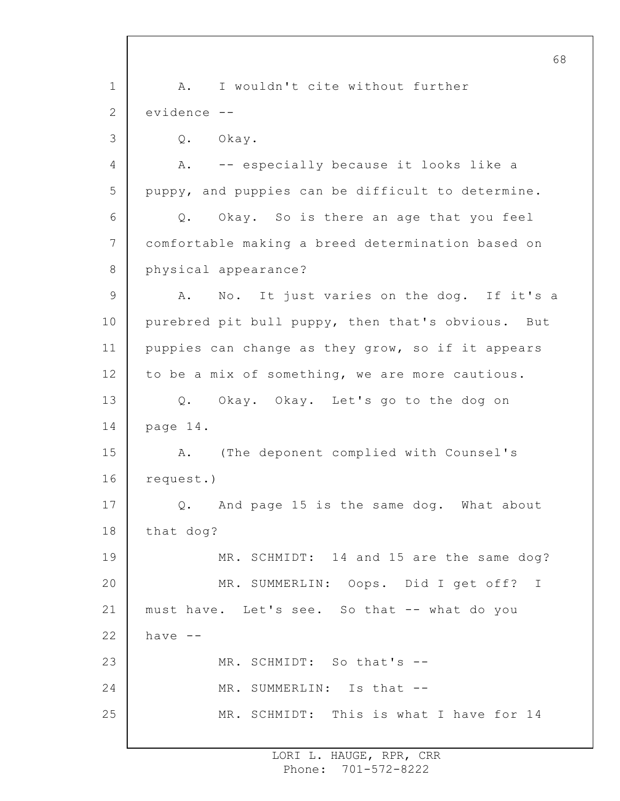1 2 3 4 5 6 7 8 9 10 11 12 13 14 15 16 17 18 19 20 21 22 23 24 25 A. I wouldn't cite without further evidence -- Q. Okay. A. -- especially because it looks like a puppy, and puppies can be difficult to determine. Q. Okay. So is there an age that you feel comfortable making a breed determination based on physical appearance? A. No. It just varies on the dog. If it's a purebred pit bull puppy, then that's obvious. But puppies can change as they grow, so if it appears to be a mix of something, we are more cautious. Q. Okay. Okay. Let's go to the dog on page 14. A. (The deponent complied with Counsel's request.) Q. And page 15 is the same dog. What about that dog? MR. SCHMIDT: 14 and 15 are the same dog? MR. SUMMERLIN: Oops. Did I get off? I must have. Let's see. So that -- what do you have  $--$ MR. SCHMIDT: So that's --MR. SUMMERLIN: Is that --MR. SCHMIDT: This is what I have for 14

> LORI L. HAUGE, RPR, CRR Phone: 701-572-8222

68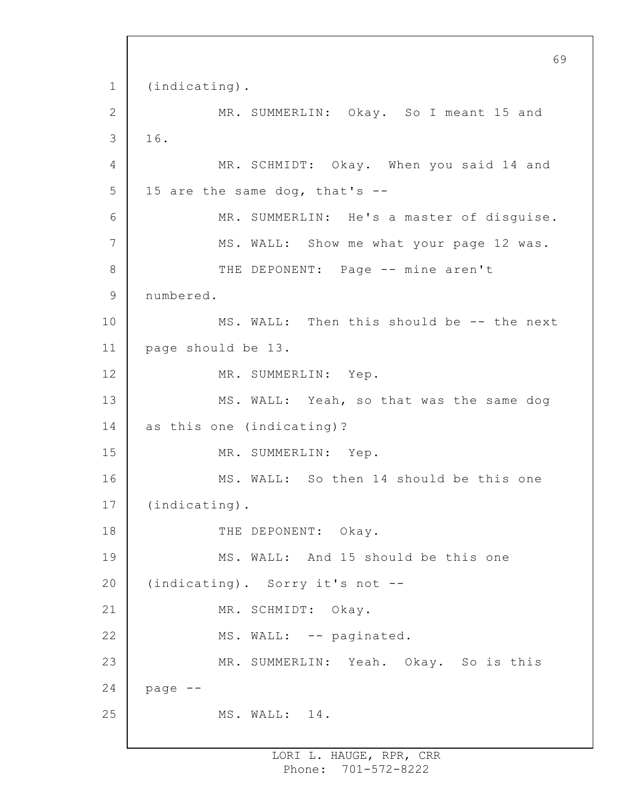```
1
2
3
 4
5
 6
7
8
9
10
11
12
13
14
15
16
17
18
19
20
21
22
23
24
25
                                                        69
     (indicating).
              MR. SUMMERLIN: Okay. So I meant 15 and
     16.
              MR. SCHMIDT: Okay. When you said 14 and
     15 are the same dog, that's --
              MR. SUMMERLIN: He's a master of disguise.
              MS. WALL: Show me what your page 12 was.
              THE DEPONENT: Page -- mine aren't
     numbered.
              MS. WALL: Then this should be -- the next
     page should be 13.
              MR. SUMMERLIN: Yep.
              MS. WALL: Yeah, so that was the same dog
     as this one (indicating)?
              MR. SUMMERLIN: Yep.
              MS. WALL: So then 14 should be this one
     (indicating).
              THE DEPONENT: Okay.
              MS. WALL: And 15 should be this one
     (indicating). Sorry it's not --
              MR. SCHMIDT: Okay.
              MS. WALL: -- paginated.
              MR. SUMMERLIN: Yeah. Okay. So is this
     page --
              MS. WALL: 14.
```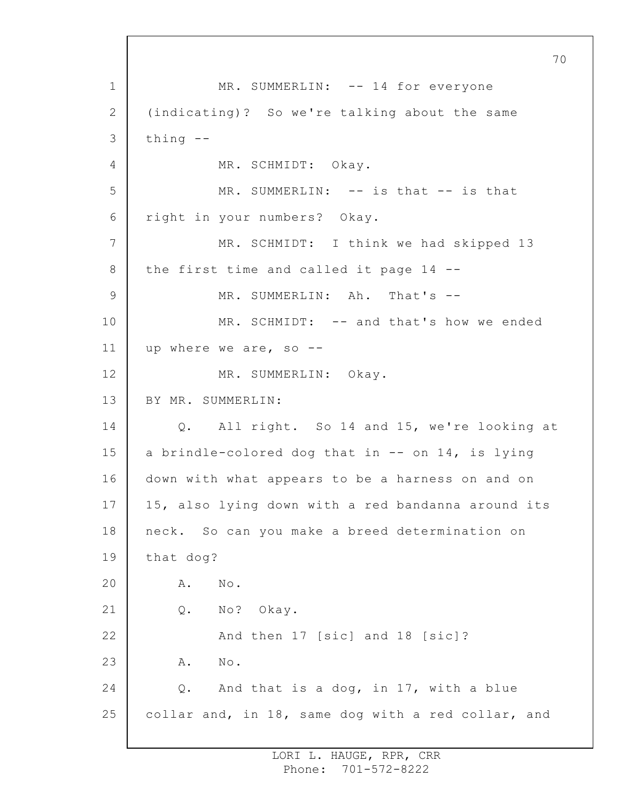1 2 3 4 5 6 7 8 9 10 11 12 13 14 15 16 17 18 19 20 21 22 23 24 25 70 MR. SUMMERLIN: -- 14 for everyone (indicating)? So we're talking about the same thing -- MR. SCHMIDT: Okay. MR. SUMMERLIN: -- is that -- is that right in your numbers? Okay. MR. SCHMIDT: I think we had skipped 13 the first time and called it page 14 -- MR. SUMMERLIN: Ah. That's --MR. SCHMIDT: -- and that's how we ended up where we are, so -- MR. SUMMERLIN: Okay. BY MR. SUMMERLIN: Q. All right. So 14 and 15, we're looking at a brindle-colored dog that in  $--$  on 14, is lying down with what appears to be a harness on and on 15, also lying down with a red bandanna around its neck. So can you make a breed determination on that dog? A. No. Q. No? Okay. And then 17 [sic] and 18 [sic]? A. No. Q. And that is a dog, in 17, with a blue collar and, in 18, same dog with a red collar, and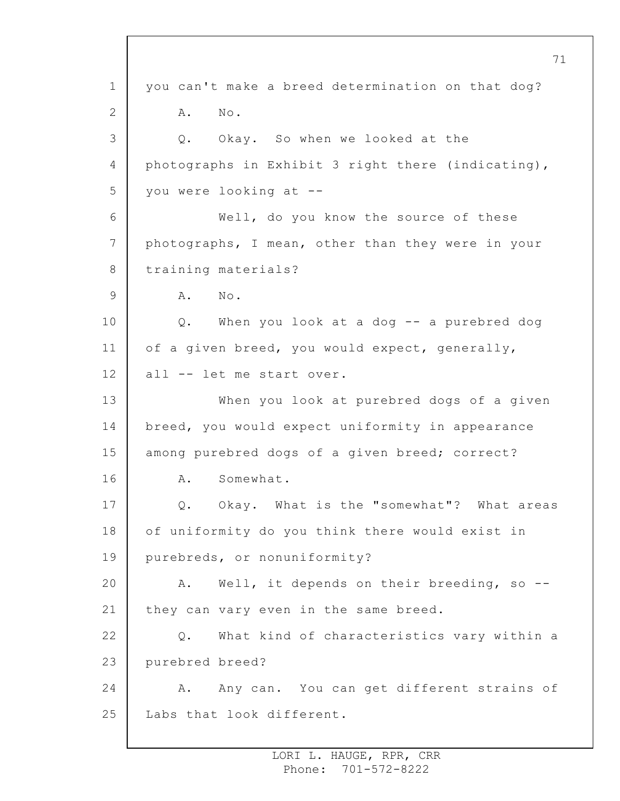1 2 3 4 5 6 7 8 9 10 11 12 13 14 15 16 17 18 19 20 21 22 23 24 25 you can't make a breed determination on that dog? A. No. Q. Okay. So when we looked at the photographs in Exhibit 3 right there (indicating), you were looking at -- Well, do you know the source of these photographs, I mean, other than they were in your training materials? A. No. Q. When you look at a dog -- a purebred dog of a given breed, you would expect, generally, all -- let me start over. When you look at purebred dogs of a given breed, you would expect uniformity in appearance among purebred dogs of a given breed; correct? A. Somewhat. Q. Okay. What is the "somewhat"? What areas of uniformity do you think there would exist in purebreds, or nonuniformity? A. Well, it depends on their breeding, so -they can vary even in the same breed. Q. What kind of characteristics vary within a purebred breed? A. Any can. You can get different strains of Labs that look different.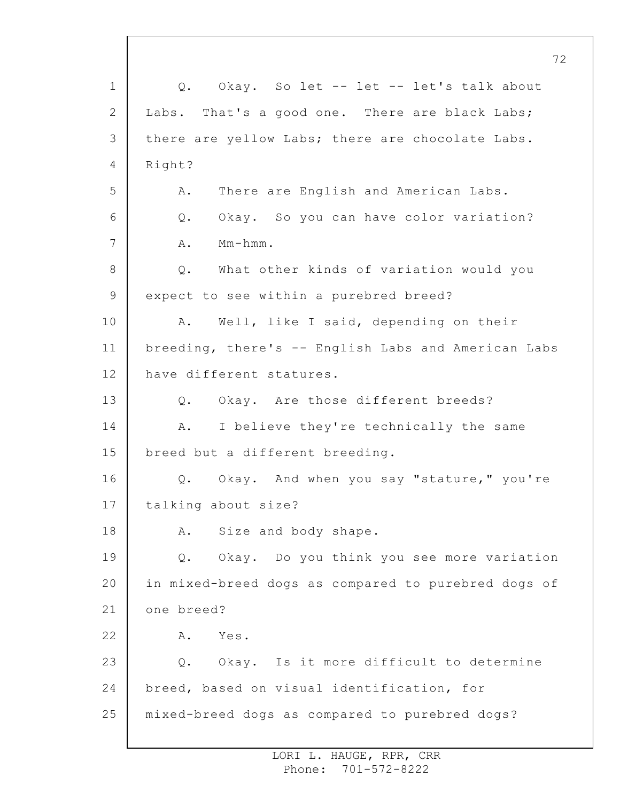1 2 3 4 5 6 7 8 9 10 11 12 13 14 15 16 17 18 19 20 21 22 23 24 25 72 Q. Okay. So let -- let -- let's talk about Labs. That's a good one. There are black Labs; there are yellow Labs; there are chocolate Labs. Right? A. There are English and American Labs. Q. Okay. So you can have color variation? A. Mm-hmm. Q. What other kinds of variation would you expect to see within a purebred breed? A. Well, like I said, depending on their breeding, there's -- English Labs and American Labs have different statures. Q. Okay. Are those different breeds? A. I believe they're technically the same breed but a different breeding. Q. Okay. And when you say "stature," you're talking about size? A. Size and body shape. Q. Okay. Do you think you see more variation in mixed-breed dogs as compared to purebred dogs of one breed? A. Yes. Q. Okay. Is it more difficult to determine breed, based on visual identification, for mixed-breed dogs as compared to purebred dogs?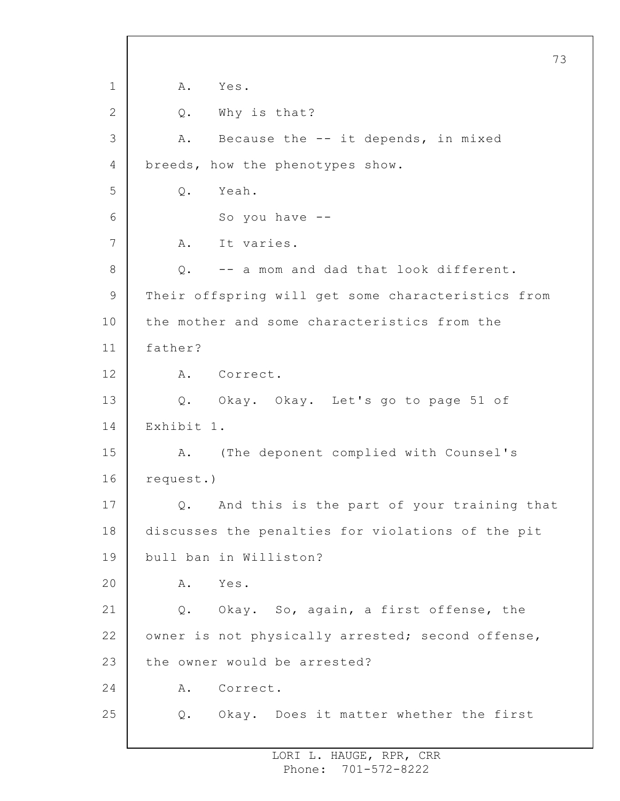1 2 3 4 5 6 7 8 9 10 11 12 13 14 15 16 17 18 19 20 21 22 23 24 25 73 A. Yes. Q. Why is that? A. Because the -- it depends, in mixed breeds, how the phenotypes show. Q. Yeah. So you have -- A. It varies. Q. -- a mom and dad that look different. Their offspring will get some characteristics from the mother and some characteristics from the father? A. Correct. Q. Okay. Okay. Let's go to page 51 of Exhibit 1. A. (The deponent complied with Counsel's request.) Q. And this is the part of your training that discusses the penalties for violations of the pit bull ban in Williston? A. Yes. Q. Okay. So, again, a first offense, the owner is not physically arrested; second offense, the owner would be arrested? A. Correct. Q. Okay. Does it matter whether the first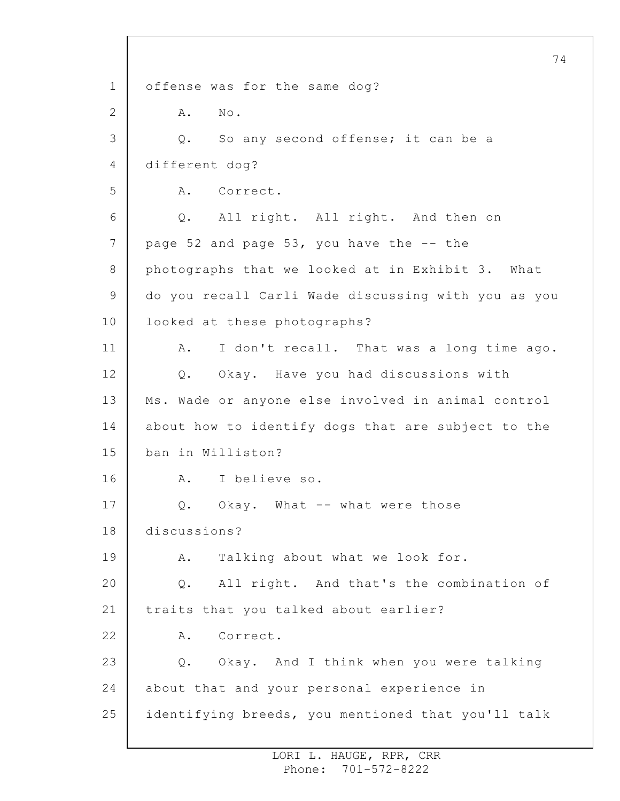1 2 3 4 5 6 7 8 9 10 11 12 13 14 15 16 17 18 19 20 21 22 23 24 25 74 offense was for the same dog? A. No. Q. So any second offense; it can be a different dog? A. Correct. Q. All right. All right. And then on page 52 and page 53, you have the -- the photographs that we looked at in Exhibit 3. What do you recall Carli Wade discussing with you as you looked at these photographs? A. I don't recall. That was a long time ago. Q. Okay. Have you had discussions with Ms. Wade or anyone else involved in animal control about how to identify dogs that are subject to the ban in Williston? A. I believe so. Q. Okay. What -- what were those discussions? A. Talking about what we look for. Q. All right. And that's the combination of traits that you talked about earlier? A. Correct. Q. Okay. And I think when you were talking about that and your personal experience in identifying breeds, you mentioned that you'll talk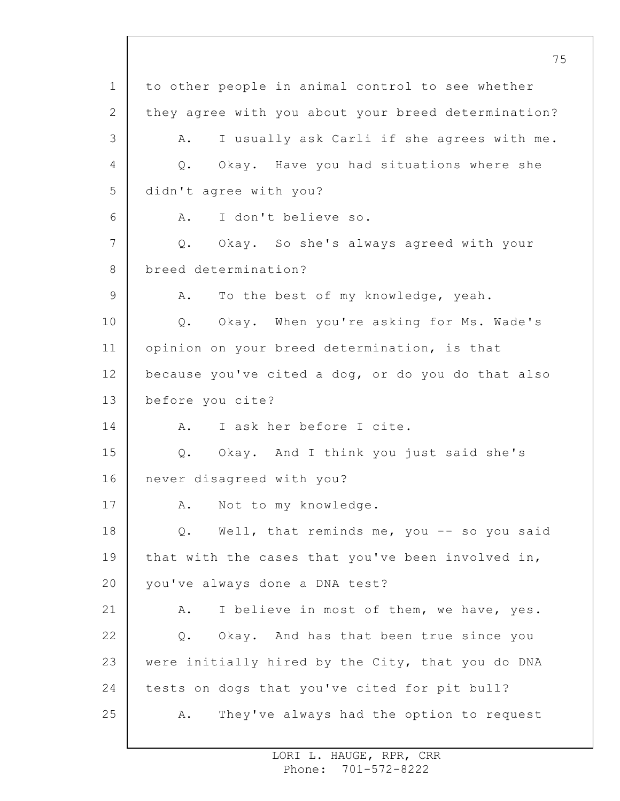1 2 3 4 5 6 7 8 9 10 11 12 13 14 15 16 17 18 19 20 21 22 23 24 25 to other people in animal control to see whether they agree with you about your breed determination? A. I usually ask Carli if she agrees with me. Q. Okay. Have you had situations where she didn't agree with you? A. I don't believe so. Q. Okay. So she's always agreed with your breed determination? A. To the best of my knowledge, yeah. Q. Okay. When you're asking for Ms. Wade's opinion on your breed determination, is that because you've cited a dog, or do you do that also before you cite? A. I ask her before I cite. Q. Okay. And I think you just said she's never disagreed with you? A. Not to my knowledge. Q. Well, that reminds me, you -- so you said that with the cases that you've been involved in, you've always done a DNA test? A. I believe in most of them, we have, yes. Q. Okay. And has that been true since you were initially hired by the City, that you do DNA tests on dogs that you've cited for pit bull? A. They've always had the option to request

> LORI L. HAUGE, RPR, CRR Phone: 701-572-8222

75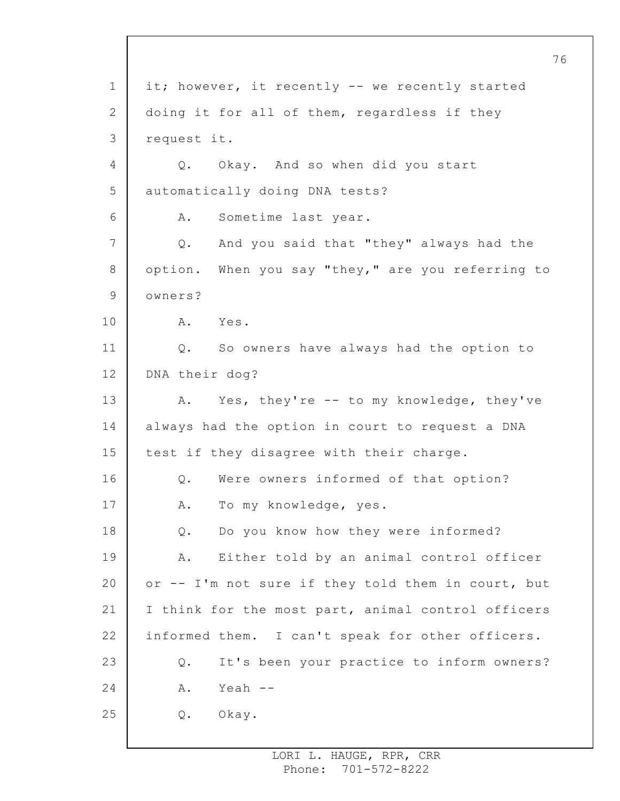1 2 3 4 5 6 7 8 9 10 11 12 13 14 15 16 17 18 19 20 21 22 23 24 25 it; however, it recently -- we recently started doing it for all of them, regardless if they request it. Q. Okay. And so when did you start automatically doing DNA tests? A. Sometime last year. Q. And you said that "they" always had the option. When you say "they," are you referring to owners? A. Yes. Q. So owners have always had the option to DNA their dog? A. Yes, they're -- to my knowledge, they've always had the option in court to request a DNA test if they disagree with their charge. Q. Were owners informed of that option? A. To my knowledge, yes. Q. Do you know how they were informed? A. Either told by an animal control officer or -- I'm not sure if they told them in court, but I think for the most part, animal control officers informed them. I can't speak for other officers. Q. It's been your practice to inform owners? A. Yeah -- Q. Okay.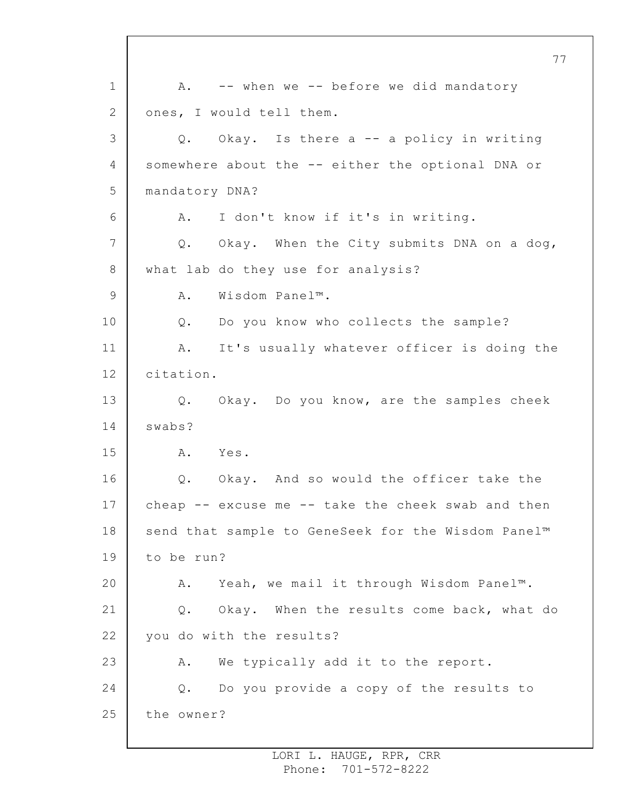1 2 3 4 5 6 7 8 9 10 11 12 13 14 15 16 17 18 19 20 21 22 23 24 25 A. -- when we -- before we did mandatory ones, I would tell them. Q. Okay. Is there a -- a policy in writing somewhere about the -- either the optional DNA or mandatory DNA? A. I don't know if it's in writing. Q. Okay. When the City submits DNA on a dog, what lab do they use for analysis? A. Wisdom Panel™. Q. Do you know who collects the sample? A. It's usually whatever officer is doing the citation. Q. Okay. Do you know, are the samples cheek swabs? A. Yes. Q. Okay. And so would the officer take the cheap -- excuse me -- take the cheek swab and then send that sample to GeneSeek for the Wisdom Panel™ to be run? A. Yeah, we mail it through Wisdom Panel™. Q. Okay. When the results come back, what do you do with the results? A. We typically add it to the report. Q. Do you provide a copy of the results to the owner?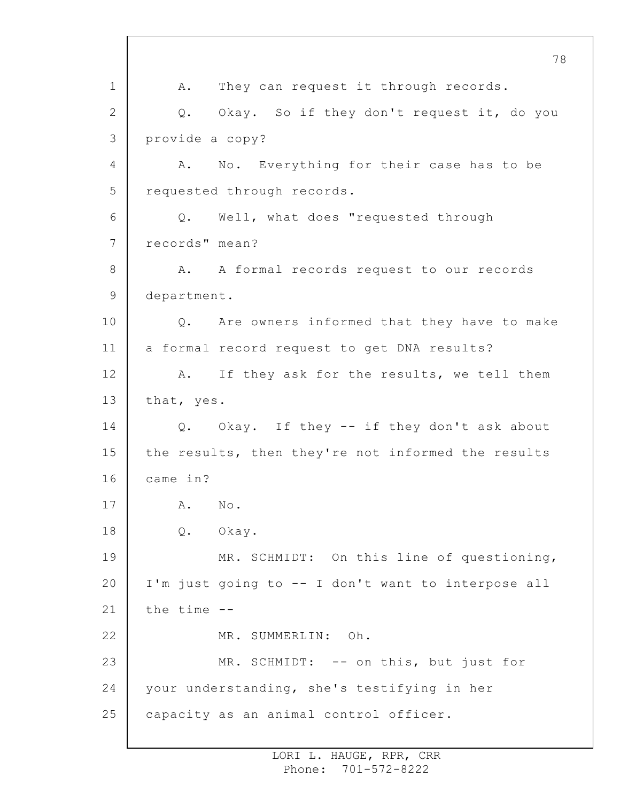1 2 3 4 5 6 7 8 9 10 11 12 13 14 15 16 17 18 19 20 21 22 23 24 25 78 A. They can request it through records. Q. Okay. So if they don't request it, do you provide a copy? A. No. Everything for their case has to be requested through records. Q. Well, what does "requested through records" mean? A. A formal records request to our records department. Q. Are owners informed that they have to make a formal record request to get DNA results? A. If they ask for the results, we tell them that, yes. Q. Okay. If they -- if they don't ask about the results, then they're not informed the results came in? A. No. Q. Okay. MR. SCHMIDT: On this line of questioning, I'm just going to -- I don't want to interpose all the time -- MR. SUMMERLIN: Oh. MR. SCHMIDT: -- on this, but just for your understanding, she's testifying in her capacity as an animal control officer.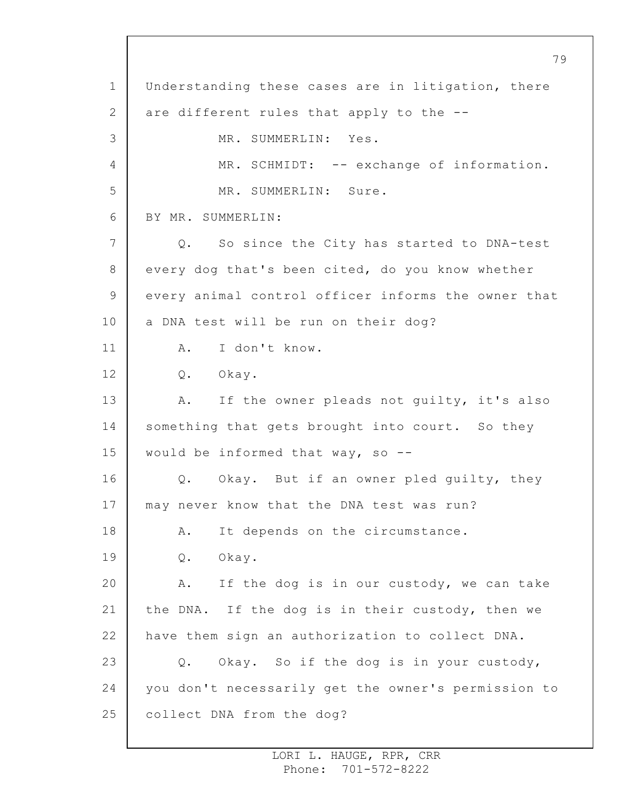1 2 3 4 5 6 7 8 9 10 11 12 13 14 15 16 17 18 19 20 21 22 23 24 25 79 Understanding these cases are in litigation, there are different rules that apply to the -- MR. SUMMERLIN: Yes. MR. SCHMIDT: -- exchange of information. MR. SUMMERLIN: Sure. BY MR. SUMMERLIN: Q. So since the City has started to DNA-test every dog that's been cited, do you know whether every animal control officer informs the owner that a DNA test will be run on their dog? A. I don't know. Q. Okay. A. If the owner pleads not guilty, it's also something that gets brought into court. So they would be informed that way, so  $-$ -Q. Okay. But if an owner pled guilty, they may never know that the DNA test was run? A. It depends on the circumstance. Q. Okay. A. If the dog is in our custody, we can take the DNA. If the dog is in their custody, then we have them sign an authorization to collect DNA. Q. Okay. So if the dog is in your custody, you don't necessarily get the owner's permission to collect DNA from the dog?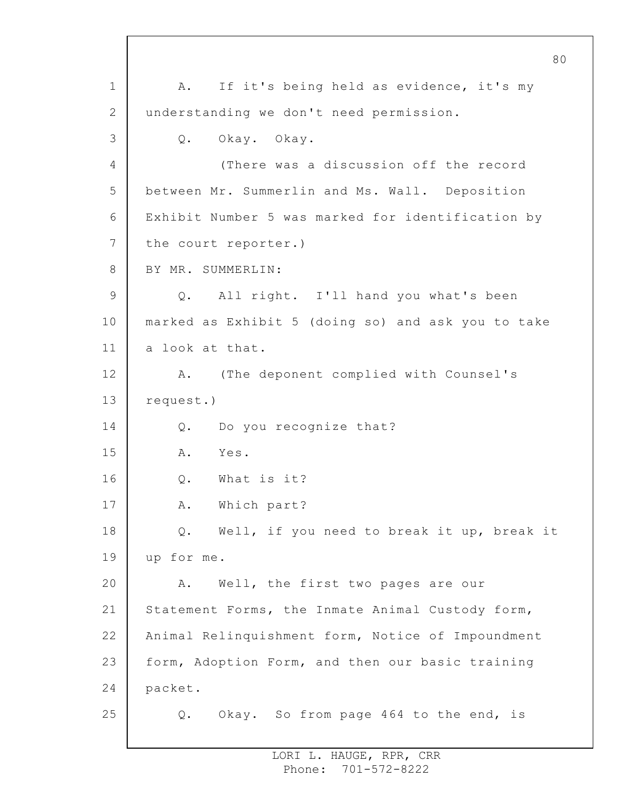1 2 3 4 5 6 7 8 9 10 11 12 13 14 15 16 17 18 19 20 21 22 23 24 25 A. If it's being held as evidence, it's my understanding we don't need permission. Q. Okay. Okay. (There was a discussion off the record between Mr. Summerlin and Ms. Wall. Deposition Exhibit Number 5 was marked for identification by the court reporter.) BY MR. SUMMERLIN: Q. All right. I'll hand you what's been marked as Exhibit 5 (doing so) and ask you to take a look at that. A. (The deponent complied with Counsel's request.) Q. Do you recognize that? A. Yes. Q. What is it? A. Which part? Q. Well, if you need to break it up, break it up for me. A. Well, the first two pages are our Statement Forms, the Inmate Animal Custody form, Animal Relinquishment form, Notice of Impoundment form, Adoption Form, and then our basic training packet. Q. Okay. So from page 464 to the end, is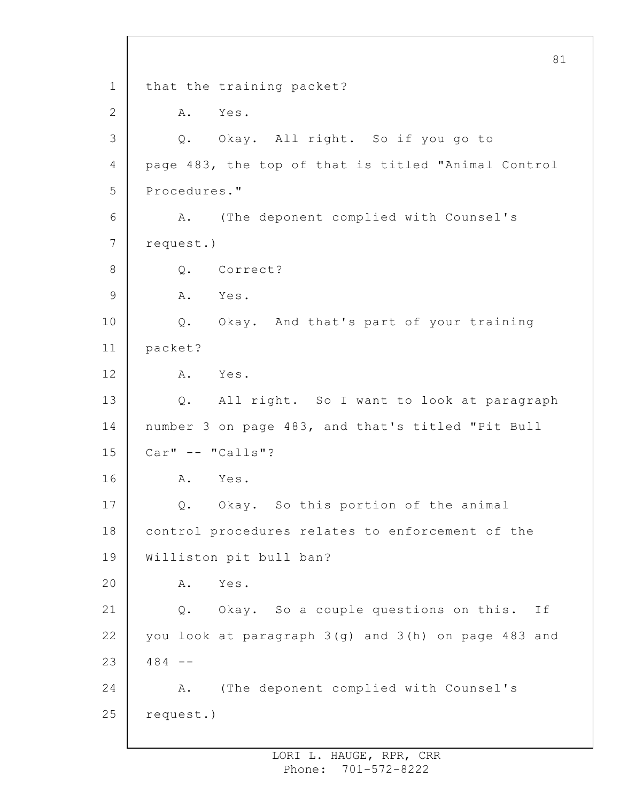1 2 3 4 5 6 7 8 9 10 11 12 13 14 15 16 17 18 19 20 21 22 23 24 25 81 that the training packet? A. Yes. Q. Okay. All right. So if you go to page 483, the top of that is titled "Animal Control Procedures." A. (The deponent complied with Counsel's request.) Q. Correct? A. Yes. Q. Okay. And that's part of your training packet? A. Yes. Q. All right. So I want to look at paragraph number 3 on page 483, and that's titled "Pit Bull  $Car'' -- "Calls"?$ A. Yes. Q. Okay. So this portion of the animal control procedures relates to enforcement of the Williston pit bull ban? A. Yes. Q. Okay. So a couple questions on this. If you look at paragraph 3(g) and 3(h) on page 483 and  $484 - -$ A. (The deponent complied with Counsel's request.)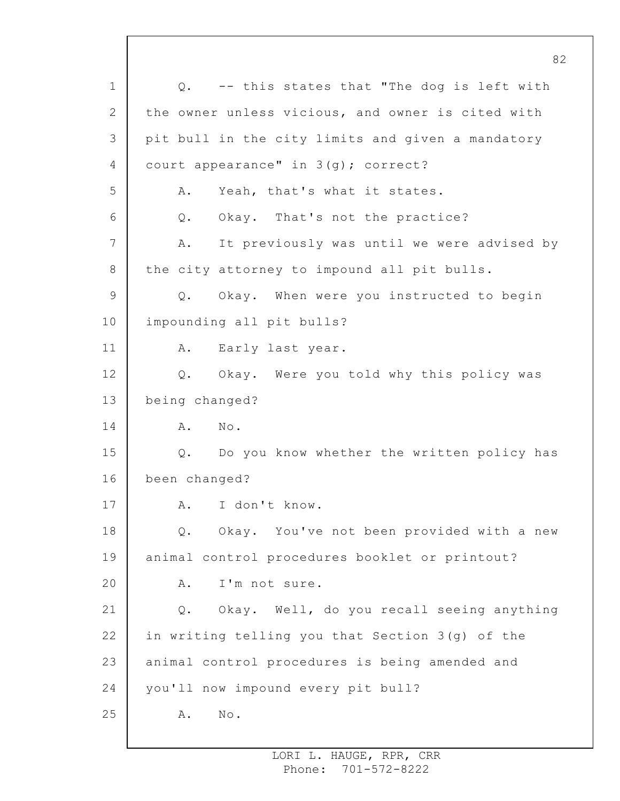1 2 3 4 5 6 7 8 9 10 11 12 13 14 15 16 17 18 19 20 21 22 23 24 25 Q. -- this states that "The dog is left with the owner unless vicious, and owner is cited with pit bull in the city limits and given a mandatory court appearance" in 3(g); correct? A. Yeah, that's what it states. Q. Okay. That's not the practice? A. It previously was until we were advised by the city attorney to impound all pit bulls. Q. Okay. When were you instructed to begin impounding all pit bulls? A. Early last year. Q. Okay. Were you told why this policy was being changed? A. No. Q. Do you know whether the written policy has been changed? A. I don't know. Q. Okay. You've not been provided with a new animal control procedures booklet or printout? A. I'm not sure. Q. Okay. Well, do you recall seeing anything in writing telling you that Section 3(g) of the animal control procedures is being amended and you'll now impound every pit bull? A. No.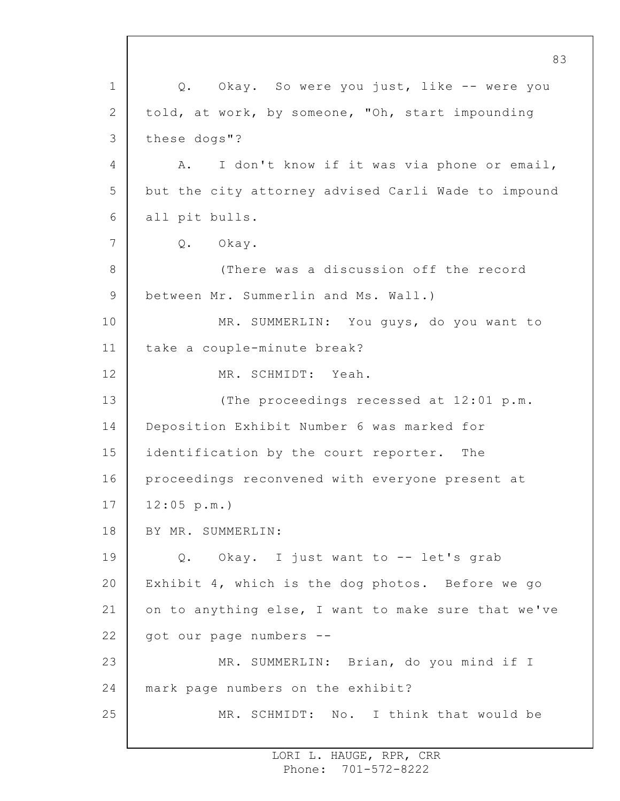1 2 3 4 5 6 7 8 9 10 11 12 13 14 15 16 17 18 19 20 21 22 23 24 25 83 Q. Okay. So were you just, like -- were you told, at work, by someone, "Oh, start impounding these dogs"? A. I don't know if it was via phone or email, but the city attorney advised Carli Wade to impound all pit bulls. Q. Okay. (There was a discussion off the record between Mr. Summerlin and Ms. Wall.) MR. SUMMERLIN: You guys, do you want to take a couple-minute break? MR. SCHMIDT: Yeah. (The proceedings recessed at 12:01 p.m. Deposition Exhibit Number 6 was marked for identification by the court reporter. The proceedings reconvened with everyone present at 12:05 p.m.) BY MR. SUMMERLIN: Q. Okay. I just want to -- let's grab Exhibit 4, which is the dog photos. Before we go on to anything else, I want to make sure that we've got our page numbers -- MR. SUMMERLIN: Brian, do you mind if I mark page numbers on the exhibit? MR. SCHMIDT: No. I think that would be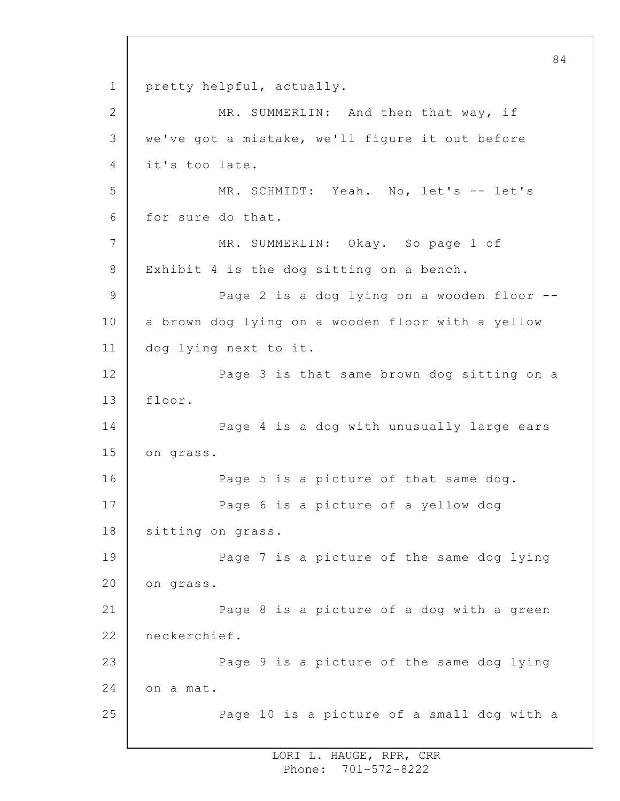```
1
 2
 3
 4
5
 6
7
8
9
10
11
12
13
14
15
16
17
18
19
20
21
22
23
24
25
                                                         84
     pretty helpful, actually.
              MR. SUMMERLIN: And then that way, if
     we've got a mistake, we'll figure it out before
     it's too late.
              MR. SCHMIDT: Yeah. No, let's -- let's
     for sure do that.
              MR. SUMMERLIN: Okay. So page 1 of
     Exhibit 4 is the dog sitting on a bench.
              Page 2 is a dog lying on a wooden floor --
     a brown dog lying on a wooden floor with a yellow
     dog lying next to it.
              Page 3 is that same brown dog sitting on a
     floor.
              Page 4 is a dog with unusually large ears
     on grass.
              Page 5 is a picture of that same dog.
              Page 6 is a picture of a yellow dog
     sitting on grass.
              Page 7 is a picture of the same dog lying
     on grass.
              Page 8 is a picture of a dog with a green
     neckerchief.
              Page 9 is a picture of the same dog lying
     on a mat.
              Page 10 is a picture of a small dog with a
```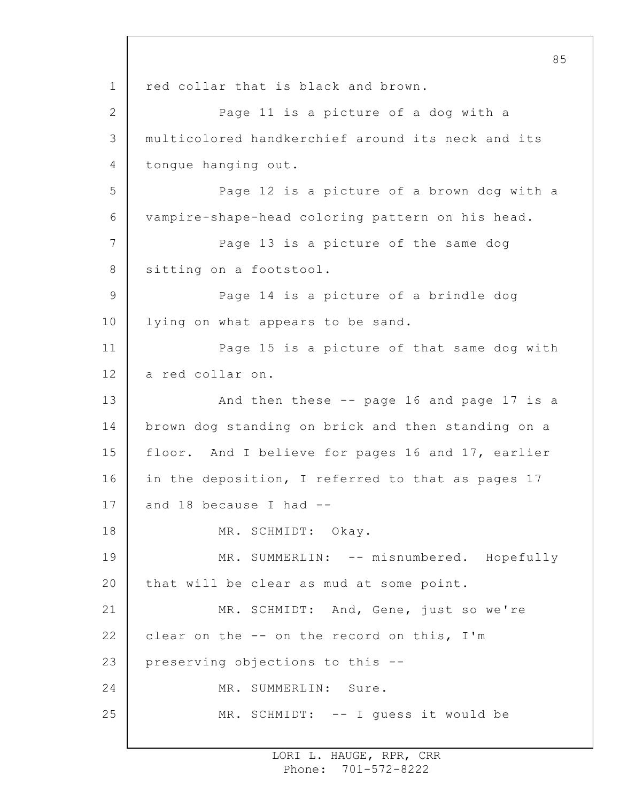1 2 3 4 5 6 7 8 9 10 11 12 13 14 15 16 17 18 19 20 21 22 23 24 25 85 red collar that is black and brown. Page 11 is a picture of a dog with a multicolored handkerchief around its neck and its tongue hanging out. Page 12 is a picture of a brown dog with a vampire-shape-head coloring pattern on his head. Page 13 is a picture of the same dog sitting on a footstool. Page 14 is a picture of a brindle dog lying on what appears to be sand. Page 15 is a picture of that same dog with a red collar on. And then these -- page 16 and page 17 is a brown dog standing on brick and then standing on a floor. And I believe for pages 16 and 17, earlier in the deposition, I referred to that as pages 17 and 18 because I had  $-$ MR. SCHMIDT: Okay. MR. SUMMERLIN: -- misnumbered. Hopefully that will be clear as mud at some point. MR. SCHMIDT: And, Gene, just so we're clear on the -- on the record on this, I'm preserving objections to this -- MR. SUMMERLIN: Sure. MR. SCHMIDT: -- I guess it would be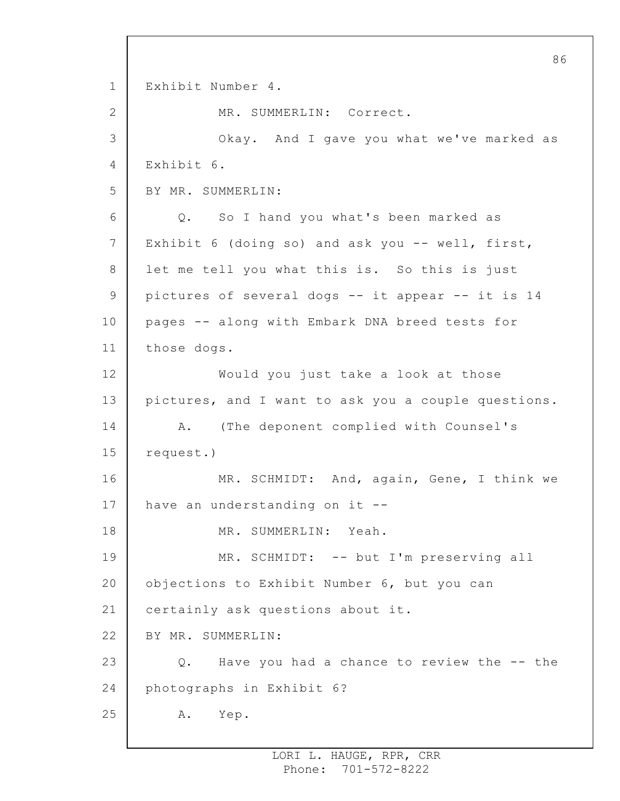1 2 3 4 5 6 7 8 9 10 11 12 13 14 15 16 17 18 19 20 21 22 23 24 25 86 Exhibit Number 4. MR. SUMMERLIN: Correct. Okay. And I gave you what we've marked as Exhibit 6. BY MR. SUMMERLIN: Q. So I hand you what's been marked as Exhibit 6 (doing so) and ask you -- well, first, let me tell you what this is. So this is just pictures of several dogs -- it appear -- it is 14 pages -- along with Embark DNA breed tests for those dogs. Would you just take a look at those pictures, and I want to ask you a couple questions. A. (The deponent complied with Counsel's request.) MR. SCHMIDT: And, again, Gene, I think we have an understanding on it -- MR. SUMMERLIN: Yeah. MR. SCHMIDT: -- but I'm preserving all objections to Exhibit Number 6, but you can certainly ask questions about it. BY MR. SUMMERLIN: Q. Have you had a chance to review the -- the photographs in Exhibit 6? A. Yep.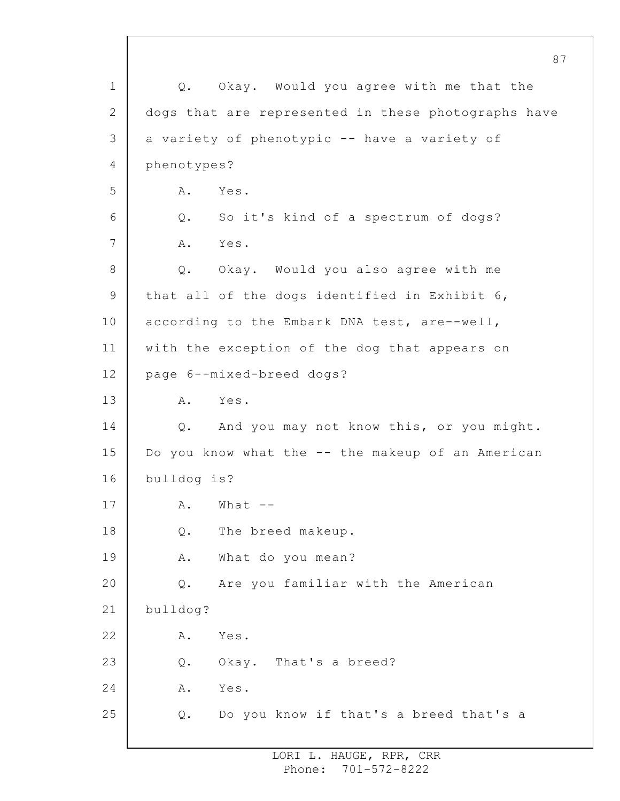1 2 3 4 5 6 7 8 9 10 11 12 13 14 15 16 17 18 19 20 21 22 23 24 25 Q. Okay. Would you agree with me that the dogs that are represented in these photographs have a variety of phenotypic -- have a variety of phenotypes? A. Yes. Q. So it's kind of a spectrum of dogs? A. Yes. Q. Okay. Would you also agree with me that all of the dogs identified in Exhibit 6, according to the Embark DNA test, are--well, with the exception of the dog that appears on page 6--mixed-breed dogs? A. Yes. Q. And you may not know this, or you might. Do you know what the -- the makeup of an American bulldog is?  $A.$  What  $-$ Q. The breed makeup. A. What do you mean? Q. Are you familiar with the American bulldog? A. Yes. Q. Okay. That's a breed? A. Yes. Q. Do you know if that's a breed that's a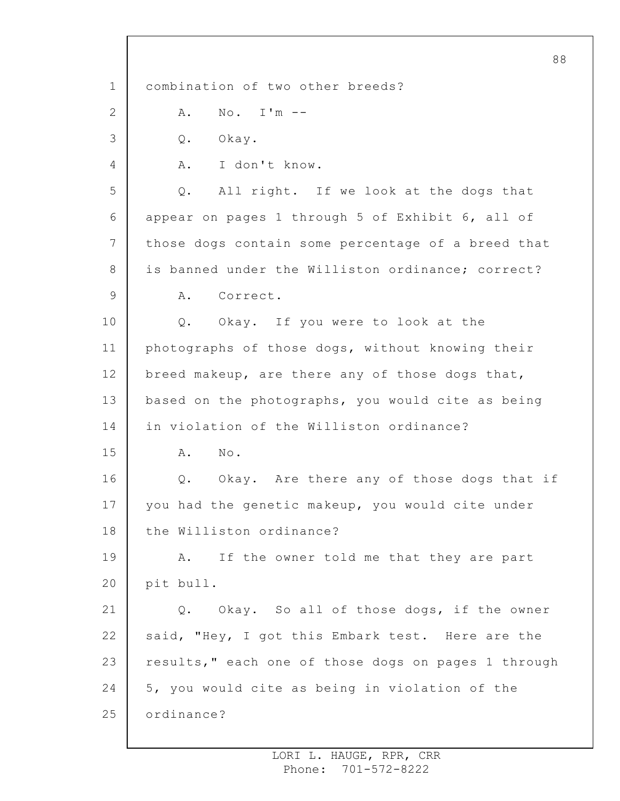1 2 3 4 5 6 7 8 9 10 11 12 13 14 15 16 17 18 19 20 21 22 23 24 25 88 combination of two other breeds? A. No. I'm -- Q. Okay. A. I don't know. Q. All right. If we look at the dogs that appear on pages 1 through 5 of Exhibit 6, all of those dogs contain some percentage of a breed that is banned under the Williston ordinance; correct? A. Correct. Q. Okay. If you were to look at the photographs of those dogs, without knowing their breed makeup, are there any of those dogs that, based on the photographs, you would cite as being in violation of the Williston ordinance? A. No. Q. Okay. Are there any of those dogs that if you had the genetic makeup, you would cite under the Williston ordinance? A. If the owner told me that they are part pit bull. Q. Okay. So all of those dogs, if the owner said, "Hey, I got this Embark test. Here are the results," each one of those dogs on pages 1 through 5, you would cite as being in violation of the ordinance?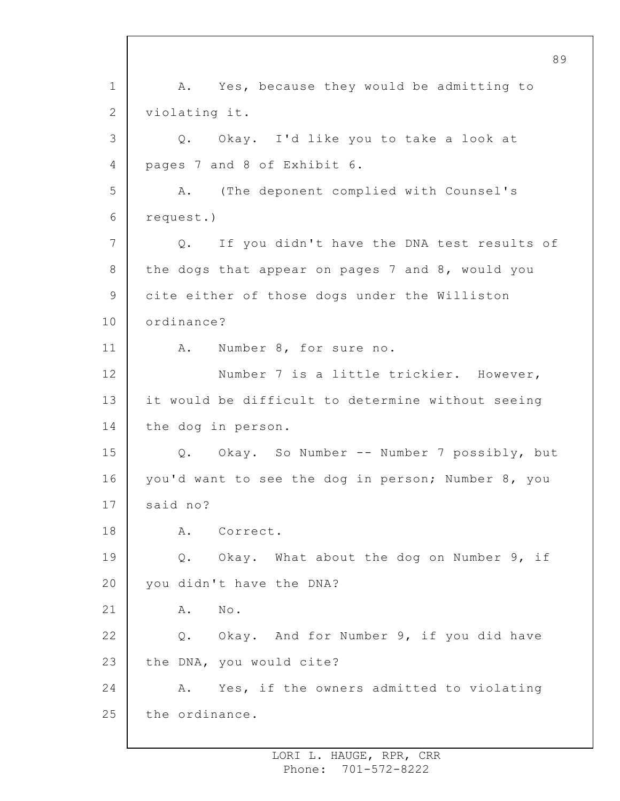1 2 3 4 5 6 7 8 9 10 11 12 13 14 15 16 17 18 19 20 21 22 23 24 25 A. Yes, because they would be admitting to violating it. Q. Okay. I'd like you to take a look at pages 7 and 8 of Exhibit 6. A. (The deponent complied with Counsel's request.) Q. If you didn't have the DNA test results of the dogs that appear on pages 7 and 8, would you cite either of those dogs under the Williston ordinance? A. Number 8, for sure no. Number 7 is a little trickier. However, it would be difficult to determine without seeing the dog in person. Q. Okay. So Number -- Number 7 possibly, but you'd want to see the dog in person; Number 8, you said no? A. Correct. Q. Okay. What about the dog on Number 9, if you didn't have the DNA? A. No. Q. Okay. And for Number 9, if you did have the DNA, you would cite? A. Yes, if the owners admitted to violating the ordinance.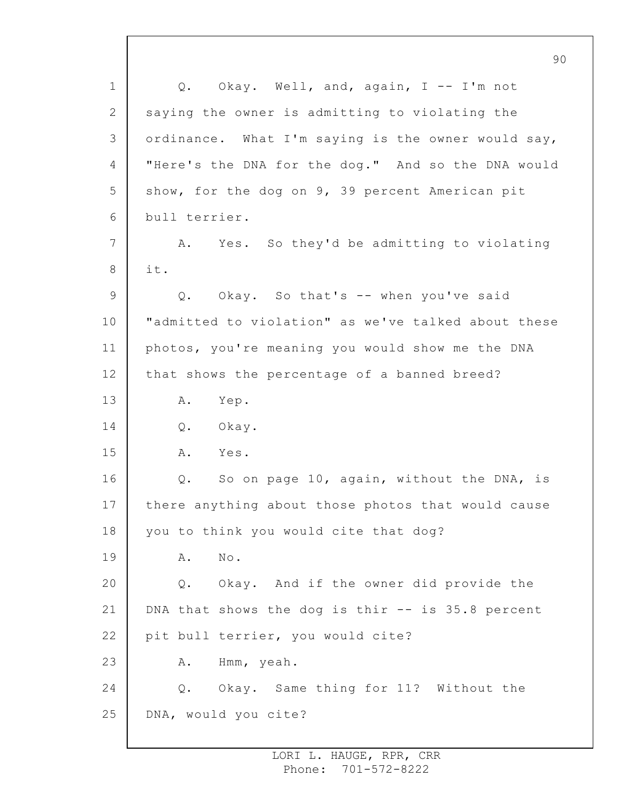1 2 3 4 5 6 7 8 9 10 11 12 13 14 15 16 17 18 19 20 21 22 23 24 25 Q. Okay. Well, and, again, I -- I'm not saying the owner is admitting to violating the ordinance. What I'm saying is the owner would say, "Here's the DNA for the dog." And so the DNA would show, for the dog on 9, 39 percent American pit bull terrier. A. Yes. So they'd be admitting to violating it. Q. Okay. So that's -- when you've said "admitted to violation" as we've talked about these photos, you're meaning you would show me the DNA that shows the percentage of a banned breed? A. Yep. Q. Okay. A. Yes. Q. So on page 10, again, without the DNA, is there anything about those photos that would cause you to think you would cite that dog? A. No. Q. Okay. And if the owner did provide the DNA that shows the dog is thir -- is 35.8 percent pit bull terrier, you would cite? A. Hmm, yeah. Q. Okay. Same thing for 11? Without the DNA, would you cite?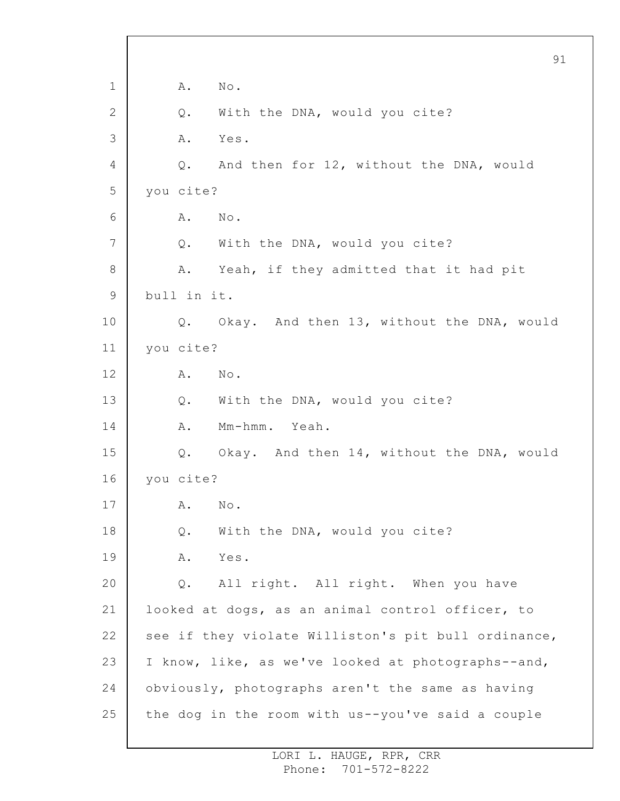1 2 3 4 5 6 7 8 9 10 11 12 13 14 15 16 17 18 19 20 21 22 23 24 25 91 A. No. Q. With the DNA, would you cite? A. Yes. Q. And then for 12, without the DNA, would you cite? A. No. Q. With the DNA, would you cite? A. Yeah, if they admitted that it had pit bull in it. Q. Okay. And then 13, without the DNA, would you cite? A. No. Q. With the DNA, would you cite? A. Mm-hmm. Yeah. Q. Okay. And then 14, without the DNA, would you cite? A. No. Q. With the DNA, would you cite? A. Yes. Q. All right. All right. When you have looked at dogs, as an animal control officer, to see if they violate Williston's pit bull ordinance, I know, like, as we've looked at photographs--and, obviously, photographs aren't the same as having the dog in the room with us--you've said a couple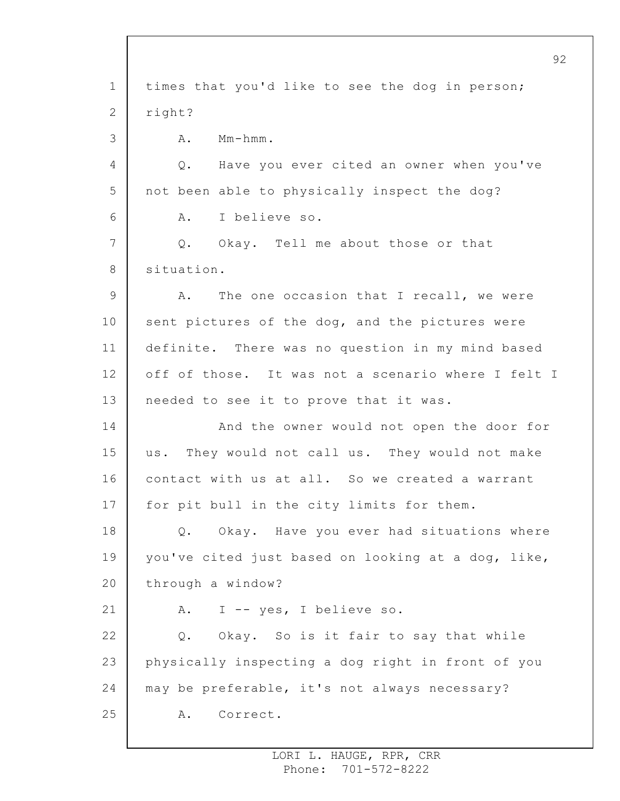1 2 3 4 5 6 7 8 9 10 11 12 13 14 15 16 17 18 19 20 21 22 23 24 25 times that you'd like to see the dog in person; right? A. Mm-hmm. Q. Have you ever cited an owner when you've not been able to physically inspect the dog? A. I believe so. Q. Okay. Tell me about those or that situation. A. The one occasion that I recall, we were sent pictures of the dog, and the pictures were definite. There was no question in my mind based off of those. It was not a scenario where I felt I needed to see it to prove that it was. And the owner would not open the door for us. They would not call us. They would not make contact with us at all. So we created a warrant for pit bull in the city limits for them. Q. Okay. Have you ever had situations where you've cited just based on looking at a dog, like, through a window? A. I -- yes, I believe so. Q. Okay. So is it fair to say that while physically inspecting a dog right in front of you may be preferable, it's not always necessary? A. Correct.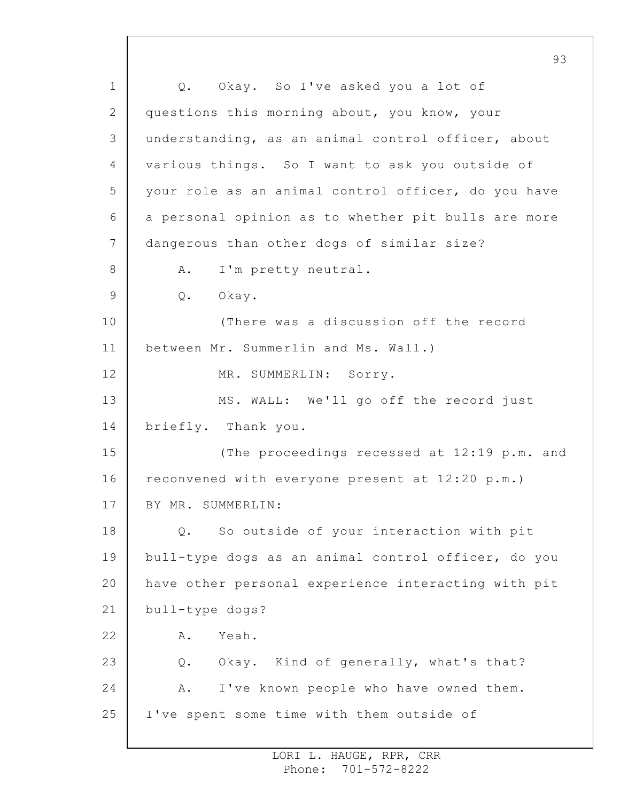1 2 3 4 5 6 7 8 9 10 11 12 13 14 15 16 17 18 19 20 21 22 23 24 25 Q. Okay. So I've asked you a lot of questions this morning about, you know, your understanding, as an animal control officer, about various things. So I want to ask you outside of your role as an animal control officer, do you have a personal opinion as to whether pit bulls are more dangerous than other dogs of similar size? A. I'm pretty neutral. Q. Okay. (There was a discussion off the record between Mr. Summerlin and Ms. Wall.) MR. SUMMERLIN: Sorry. MS. WALL: We'll go off the record just briefly. Thank you. (The proceedings recessed at 12:19 p.m. and reconvened with everyone present at 12:20 p.m.) BY MR. SUMMERLIN: Q. So outside of your interaction with pit bull-type dogs as an animal control officer, do you have other personal experience interacting with pit bull-type dogs? A. Yeah. Q. Okay. Kind of generally, what's that? A. I've known people who have owned them. I've spent some time with them outside of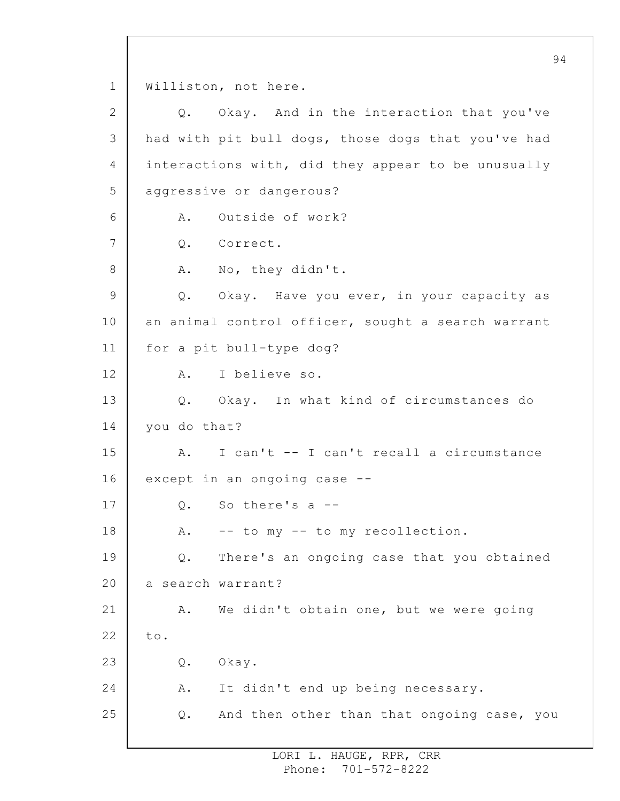1 2 3 4 5 6 7 8 9 10 11 12 13 14 15 16 17 18 19 20 21 22 23 24 25 94 Williston, not here. Q. Okay. And in the interaction that you've had with pit bull dogs, those dogs that you've had interactions with, did they appear to be unusually aggressive or dangerous? A. Outside of work? Q. Correct. A. No, they didn't. Q. Okay. Have you ever, in your capacity as an animal control officer, sought a search warrant for a pit bull-type dog? A. I believe so. Q. Okay. In what kind of circumstances do you do that? A. I can't -- I can't recall a circumstance except in an ongoing case -- Q. So there's a -- A. -- to my -- to my recollection. Q. There's an ongoing case that you obtained a search warrant? A. We didn't obtain one, but we were going to. Q. Okay. A. It didn't end up being necessary. Q. And then other than that ongoing case, you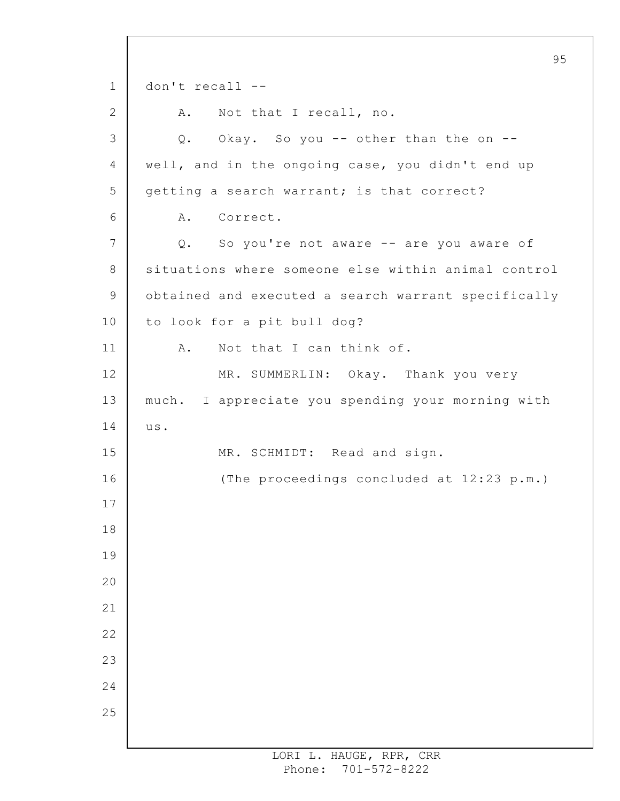1 2 3 4 5 6 7 8 9 10 11 12 13 14 15 16 17 18 19 20 21 22 23 24 25 95 don't recall -- A. Not that I recall, no. Q. Okay. So you -- other than the on - well, and in the ongoing case, you didn't end up getting a search warrant; is that correct? A. Correct. Q. So you're not aware -- are you aware of situations where someone else within animal control obtained and executed a search warrant specifically to look for a pit bull dog? A. Not that I can think of. MR. SUMMERLIN: Okay. Thank you very much. I appreciate you spending your morning with us. MR. SCHMIDT: Read and sign. (The proceedings concluded at 12:23 p.m.)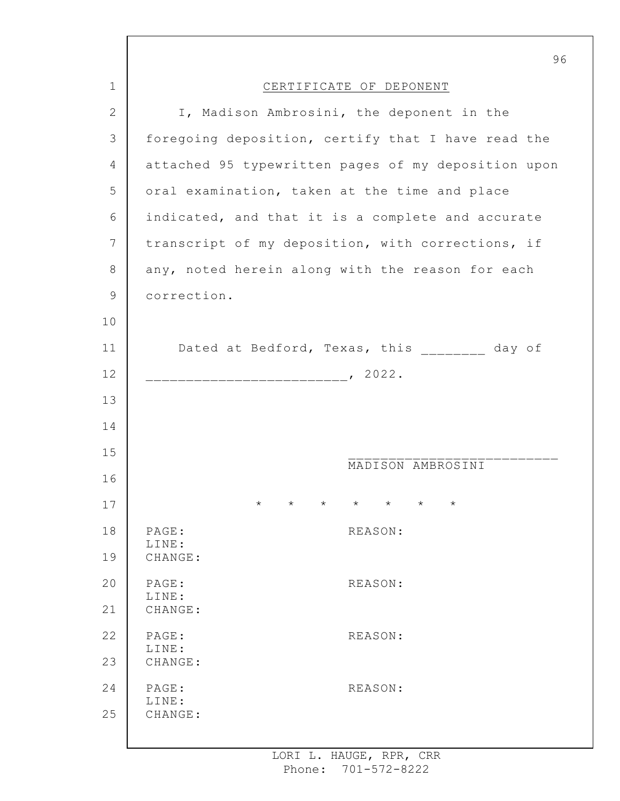|              | 96                                                                         |
|--------------|----------------------------------------------------------------------------|
| $\mathbf 1$  | CERTIFICATE OF DEPONENT                                                    |
| $\mathbf{2}$ | I, Madison Ambrosini, the deponent in the                                  |
| 3            | foregoing deposition, certify that I have read the                         |
| 4            | attached 95 typewritten pages of my deposition upon                        |
| 5            | oral examination, taken at the time and place                              |
| 6            | indicated, and that it is a complete and accurate                          |
| 7            | transcript of my deposition, with corrections, if                          |
| 8            | any, noted herein along with the reason for each                           |
| 9            | correction.                                                                |
| 10           |                                                                            |
| 11           | Dated at Bedford, Texas, this ________ day of                              |
| 12           |                                                                            |
| 13           |                                                                            |
| 14           |                                                                            |
| 15           |                                                                            |
| 16           | MADISON AMBROSINI                                                          |
| 17           | $\star$<br>$\star$<br>$\star$<br>$\star$<br>$\star$<br>$\star$<br>$^\star$ |
| 18           | PAGE:<br>REASON:                                                           |
| 19           | LINE:<br>CHANGE:                                                           |
| 20           | PAGE:<br>REASON:                                                           |
| 21           | LINE:<br>CHANGE:                                                           |
| 22           | PAGE:<br>REASON:                                                           |
| 23           | LINE:<br>CHANGE:                                                           |
| 24           | PAGE:<br>REASON:                                                           |
| 25           | LINE:<br>CHANGE:                                                           |
|              |                                                                            |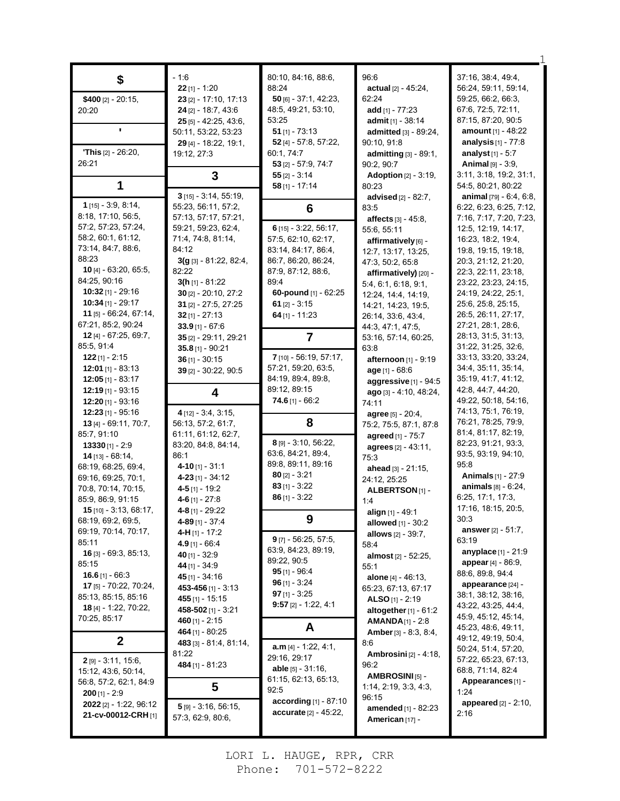|                                                    | - 1:6                                       | 80:10, 84:16, 88:6,                        | 96:6                                          | 37:16, 38:4, 49:4,                        |
|----------------------------------------------------|---------------------------------------------|--------------------------------------------|-----------------------------------------------|-------------------------------------------|
| \$                                                 | $22$ [1] - 1:20                             | 88:24                                      | actual $[2] - 45:24$ ,                        | 56:24, 59:11, 59:14,                      |
| \$400 [2] - 20:15,                                 | 23 [2] - 17:10, 17:13                       | $50$ [6] - 37:1, 42:23,                    | 62:24                                         | 59:25, 66:2, 66:3,                        |
| 20:20                                              | $24$ [2] - 18:7, 43:6                       | 48.5, 49.21, 53:10,                        | add $[1] - 77:23$                             | 67:6, 72:5, 72:11,                        |
|                                                    | 25 [5] - 42:25, 43:6,                       | 53:25                                      | admit $[1] - 38:14$                           | 87:15, 87:20, 90:5                        |
| $\blacksquare$                                     | 50:11, 53:22, 53:23                         | $51$ [1] - 73:13                           | admitted [3] - 89:24,                         | <b>amount</b> [1] - 48:22                 |
|                                                    | 29 [4] - 18:22, 19:1,                       | $52$ [4] - 57:8, 57:22,                    | 90:10, 91:8                                   | analysis $[1]$ - 77:8                     |
| <b>This</b> $[2] - 26:20$ ,                        | 19:12, 27:3                                 | 60:1, 74:7                                 | admitting $[3] - 89.1$ ,                      | analyst $[1] - 5:7$                       |
| 26:21                                              |                                             | $53$ [2] - 57:9, 74:7                      | 90:2, 90:7                                    | <b>Animal</b> $[9] - 3.9$                 |
|                                                    | 3                                           | $55$ [2] - 3:14                            | <b>Adoption [2] - 3:19,</b>                   | 3:11, 3:18, 19:2, 31:1,                   |
| 1                                                  |                                             | $58$ [1] - 17:14                           | 80:23                                         | 54:5, 80:21, 80:22                        |
|                                                    | 3 [15] - 3:14, 55:19,                       |                                            | advised [2] - 82:7.                           | animal [79] - 6:4, 6:8,                   |
| <b>1</b> [15] $-3.9, 8.14$ ,<br>8:18, 17:10, 56:5, | 55:23, 56:11, 57:2,                         | 6                                          | 83.5                                          | 6:22, 6:23, 6:25, 7:12,                   |
| 57:2, 57:23, 57:24,                                | 57:13, 57:17, 57:21,                        |                                            | <b>affects</b> $[3] - 45.8$ ,                 | 7:16, 7:17, 7:20, 7:23,                   |
| 58.2, 60.1, 61.12,                                 | 59.21, 59.23, 62.4,                         | $6$ [15] - 3:22, 56:17,                    | 55:6, 55:11                                   | 12:5, 12:19, 14:17,                       |
| 73:14, 84:7, 88:6,                                 | 71.4, 74.8, 81.14,<br>84:12                 | 57:5, 62:10, 62:17,<br>83:14, 84:17, 86:4, | affirmatively [6] -                           | 16:23, 18:2, 19:4,<br>19:8, 19:15, 19:18, |
| 88:23                                              | $3(g_{[3]} - 81:22, 82:4,$                  | 86:7, 86:20, 86:24,                        | 12:7, 13:17, 13:25,                           | 20:3, 21:12, 21:20,                       |
| <b>10</b> [4] - 63:20, 65:5,                       | 82:22                                       | 87:9, 87:12, 88:6,                         | 47:3, 50:2, 65:8                              | 22:3, 22:11, 23:18,                       |
| 84:25, 90:16                                       | $3(h$ [1] - 81:22                           | 89:4                                       | affirmatively) [20] -<br>5:4, 6:1, 6:18, 9:1, | 23:22, 23:23, 24:15,                      |
| $10:32$ [1] - 29:16                                | $30$ [2] - 20:10, 27:2                      | 60-pound [1] - 62:25                       | 12:24, 14:4, 14:19,                           | 24:19, 24:22, 25:1,                       |
| <b>10:34</b> [1] - 29:17                           | $31$ [2] - 27:5, 27:25                      | 61 $[2] - 3:15$                            | 14:21, 14:23, 19:5,                           | 25:6, 25:8, 25:15,                        |
| 11 [5] - 66:24, 67:14,                             | $32$ [1] - 27:13                            | $64$ [1] - 11:23                           | 26:14, 33:6, 43:4,                            | 26:5, 26:11, 27:17,                       |
| 67:21, 85:2, 90:24                                 | $33.9$ [1] - 67:6                           |                                            | 44:3, 47:1, 47:5,                             | 27:21, 28:1, 28:6,                        |
| <b>12</b> [4] - 67:25, 69:7,                       | 35 [2] - 29:11, 29:21                       | $\overline{7}$                             | 53:16, 57:14, 60:25,                          | 28:13, 31:5, 31:13,                       |
| 85.5, 91:4                                         | $35.8$ [1] - 90:21                          |                                            | 63:8                                          | 31:22, 31:25, 32:6,                       |
| $122$ [1] - 2:15                                   | $36$ [1] - 30:15                            | 7 [10] - 56:19, 57:17,                     | afternoon [1] - 9:19                          | 33:13, 33:20, 33:24,                      |
| 12:01 [1] - 83:13                                  | 39 [2] - 30:22, 90:5                        | 57:21, 59:20, 63:5,                        | age $[1] - 68.6$                              | 34:4, 35:11, 35:14,                       |
| <b>12:05</b> [1] - 83:17                           |                                             | 84:19, 89:4, 89:8,                         | aggressive <sup>[1]</sup> - 94:5              | 35:19, 41:7, 41:12,                       |
| $12:19$ [1] - 93:15                                | 4                                           | 89:12, 89:15                               | ago [3] - 4:10, 48:24,                        | 42:8, 44:7, 44:20,                        |
| 12:20 $[1] - 93:16$                                |                                             | <b>74.6</b> $[1]$ - 66:2                   | 74:11                                         | 49:22, 50:18, 54:16,                      |
| $12:23$ [1] - 95:16                                | 4 [12] - 3:4, 3:15,                         |                                            | <b>agree</b> [5] - 20:4,                      | 74:13, 75:1, 76:19,                       |
| 13 [4] - 69:11, 70:7,                              | 56:13, 57:2, 61:7,                          | 8                                          | 75:2, 75:5, 87:1, 87:8                        | 76:21, 78:25, 79.9,                       |
| 85:7, 91:10                                        | 61:11, 61:12, 62:7,                         | 8 [9] - 3:10, 56:22,                       | agreed [1] - 75:7                             | 81:4, 81:17, 82:19,                       |
| 13330 $[1] - 2:9$                                  | 83:20, 84:8, 84:14,                         | 63.6, 84:21, 89.4,                         | agrees [2] - 43:11,                           | 82:23, 91:21, 93:3,                       |
| <b>14</b> [13] - 68:14,                            | 86:1                                        | 89.8, 89.11, 89.16                         | 75:3                                          | 93:5, 93:19, 94:10,<br>95:8               |
| 68.19, 68:25, 69.4,                                | $4 - 10$ [1] - 31:1                         | $80$ [2] - 3:21                            | ahead [3] - 21:15,                            | <b>Animals</b> [1] - 27:9                 |
| 69:16, 69:25, 70:1,                                | $4 - 23$ [1] - 34:12                        | $83$ [1] - 3:22                            | 24:12, 25:25                                  | animals $[8] - 6:24$ ,                    |
| 70.8, 70.14, 70.15,                                | $4 - 5$ [1] - 19:2                          | $86$ [1] - 3:22                            | ALBERTSON[1]-                                 | 6:25, 17:1, 17:3,                         |
| 85:9, 86:9, 91:15<br>$15$ [10] - 3:13, 68:17,      | $4-6$ [1] - 27:8                            |                                            | 1:4                                           | 17:16, 18:15, 20:5,                       |
| 68:19, 69:2, 69:5,                                 | $4 - 8$ [1] - 29:22<br>$4 - 89$ [1] - 37:4  | 9                                          | align $[1] - 49.1$                            | 30:3                                      |
| 69:19, 70:14, 70:17,                               | 4-H [1] - 17:2                              |                                            | allowed [1] - 30:2                            | answer [2] - 51:7,                        |
| 85:11                                              | $4.9$ [1] - 66:4                            | $9$ [7] - 56:25, 57:5,                     | <b>allows</b> $[2] - 39.7$ ,<br>58:4          | 63:19                                     |
| $16$ [3] - 69:3, 85:13,                            | 40 $[1] - 32:9$                             | 63.9, 84.23, 89.19,                        | almost $[2] - 52.25$ ,                        | $anyplace[1] - 21.9$                      |
| 85:15                                              | 44 [1] - 34:9                               | 89:22, 90:5                                | 55:1                                          | appear [4] - 86:9,                        |
| 16.6 $[1] - 66:3$                                  | 45 [1] - 34:16                              | $95$ [1] - 96:4                            | alone $[4] - 46:13$ ,                         | 88.6, 89.8, 94.4                          |
| 17 [5] - 70:22, 70:24,                             | 453-456 [1] - 3:13                          | <b>96</b> [1] - $3:24$                     | 65:23, 67:13, 67:17                           | appearance [24] -                         |
| 85:13, 85:15, 85:16                                | 455 [1] - 15:15                             | $97$ [1] - 3:25                            | <b>ALSO</b> [1] - 2:19                        | 38:1, 38:12, 38:16,                       |
| 18 $[4] - 1.22, 70.22,$                            | 458-502 [1] - 3:21                          | $9:57$ [2] - 1:22, 4:1                     | altogether $[1] - 61:2$                       | 43.22, 43.25, 44.4,                       |
| 70:25, 85:17                                       | 460 $[1] - 2:15$                            |                                            | $AMANDA_{[1]} - 2:8$                          | 45:9, 45:12, 45:14,                       |
|                                                    | 464 [1] - 80:25                             | A                                          | <b>Amber</b> [3] $-8.3, 8.4,$                 | 45:23, 48:6, 49:11,                       |
| $\boldsymbol{2}$                                   | 483 [3] - 81.4, 81.14,                      | $a.m$ [4] - 1:22, 4:1,                     | 86                                            | 49.12, 49.19, 50.4,                       |
|                                                    | 81:22                                       | 29:16, 29:17                               | <b>Ambrosini</b> [2] - 4:18,                  | 50:24, 51:4, 57:20,                       |
| $2$ [9] - 3:11, 15:6,                              | 484 [1] - 81:23                             | able [5] - 31:16,                          | 96:2                                          | 57:22, 65:23, 67:13,<br>68:8, 71:14, 82:4 |
| 15:12, 43:6, 50:14,                                |                                             | 61.15, 62.13, 65.13,                       | <b>AMBROSINI</b> [5] -                        | Appearances [1] -                         |
| 56:8, 57:2, 62:1, 84:9<br>$200$ [1] - 2:9          | 5                                           | 92:5                                       | 1.14, 2.19, 3.3, 4.3,                         | 1:24                                      |
| <b>2022</b> [2] - 1:22, 96:12                      |                                             | <b>according</b> $[1] - 87:10$             | 96:15                                         | <b>appeared</b> $[2] - 2:10$ ,            |
| 21-cv-00012-CRH [1]                                | $5$ [9] - 3:16, 56:15,<br>57:3, 62:9, 80:6, | <b>accurate</b> [2] - 45:22,               | amended [1] - 82:23                           | 2:16                                      |
|                                                    |                                             |                                            | American [17] -                               |                                           |
|                                                    |                                             |                                            |                                               |                                           |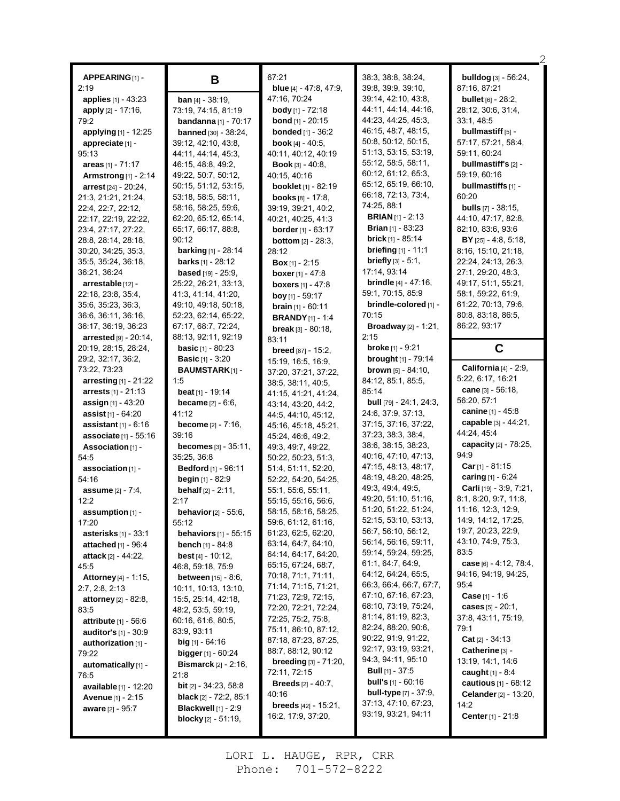|                                     |                                 | 67:21                           | 38:3, 38:8, 38:24,              |                                             |
|-------------------------------------|---------------------------------|---------------------------------|---------------------------------|---------------------------------------------|
| APPEARING[1] -<br>2:19              | B                               | <b>blue</b> $[4] - 47:8, 47:9,$ | 39.8, 39.9, 39.10,              | <b>bulldog</b> [3] - 56:24,<br>87:16, 87:21 |
|                                     |                                 |                                 | 39:14, 42:10, 43:8,             |                                             |
| <b>applies</b> [1] - 43:23          | <b>ban</b> $[4] - 38.19$ ,      | 47:16, 70:24                    | 44:11, 44:14, 44:16,            | <b>bullet</b> $[6] - 28:2$                  |
| apply [2] - 17:16,                  | 73:19, 74:15, 81:19             | <b>body</b> [1] - 72:18         |                                 | 28:12, 30:6, 31:4,                          |
| 79:2                                | <b>bandanna</b> $[1]$ - 70:17   | <b>bond</b> $[1] - 20:15$       | 44:23, 44:25, 45:3,             | 33:1, 48:5                                  |
| applying [1] - 12:25                | <b>banned</b> $[30] - 38:24$ ,  | <b>bonded</b> [1] - 36:2        | 46:15, 48:7, 48:15,             | bullmastiff [5] -                           |
| appreciate [1] -                    | 39:12, 42:10, 43:8,             | <b>book</b> [4] - 40:5,         | 50:8, 50:12, 50:15,             | 57:17, 57:21, 58:4,                         |
| 95:13                               | 44.11, 44.14, 45.3,             | 40.11, 40.12, 40.19             | 51:13, 53:15, 53:19,            | 59:11, 60:24                                |
| areas $[1]$ - 71:17                 | 46:15, 48:8, 49:2,              | <b>Book</b> [3] $-$ 40:8,       | 55:12, 58:5, 58:11,             | bullmastiff's [2] -                         |
| Armstrong $[1]$ - 2:14              | 49:22, 50:7, 50:12,             | 40:15, 40:16                    | 60:12, 61:12, 65:3,             | 59:19, 60:16                                |
| arrest [24] - 20:24,                | 50:15, 51:12, 53:15,            | <b>booklet</b> [1] - 82:19      | 65:12, 65:19, 66:10,            | bullmastiffs [1] -                          |
| 21:3, 21:21, 21:24,                 | 53:18, 58:5, 58:11,             | <b>books</b> $[8] - 17:8$ ,     | 66:18, 72:13, 73:4,             | 60:20                                       |
| 22:4, 22:7, 22:12,                  | 58:16, 58:25, 59:6,             | 39:19, 39:21, 40:2,             | 74:25, 88:1                     | <b>bulls</b> $[7] - 38:15$ ,                |
| 22:17, 22:19, 22:22,                | 62:20, 65:12, 65:14,            | 40:21, 40:25, 41:3              | <b>BRIAN</b> $[1]$ - 2:13       | 44:10, 47:17, 82:8,                         |
| 23:4, 27:17, 27:22,                 | 65:17, 66:17, 88:8,             | <b>border</b> [1] - 63:17       | <b>Brian</b> $[1]$ - 83:23      | 82:10, 83:6, 93:6                           |
| 28.8, 28.14, 28:18,                 | 90:12                           | <b>bottom</b> $[2] - 28:3$ ,    | <b>brick</b> $[1]$ - 85:14      | $BY$ [25] - 4:8, 5:18,                      |
| 30.20, 34:25, 35:3,                 | <b>barking</b> $[1]$ - 28:14    | 28:12                           | <b>briefing</b> $[1] - 11:1$    | 8:16, 15:10, 21:18,                         |
| 35:5, 35:24, 36:18,                 | <b>barks</b> [1] - 28:12        | <b>Box</b> $[1]$ - 2:15         | <b>briefly</b> $[3] - 5:1$ ,    | 22.24, 24:13, 26:3,                         |
| 36.21, 36:24                        | <b>based</b> [19] - $25:9$ ,    | <b>boxer</b> [1] - 47:8         | 17:14, 93:14                    | 27:1, 29:20, 48:3,                          |
| arrestable [12] -                   | 25:22, 26:21, 33:13,            | <b>boxers</b> [1] - 47:8        | <b>brindle</b> $[4] - 47:16$ ,  | 49:17, 51:1, 55:21,                         |
| 22:18, 23:8, 35:4,                  | 41.3, 41.14, 41.20,             | boy $[1] - 59:17$               | 59:1, 70:15, 85:9               | 58:1, 59:22, 61:9,                          |
| 35.6, 35.23, 36.3,                  | 49:10, 49:18, 50:18,            | <b>brain</b> $[1] - 60:11$      | brindle-colored [1] -           | 61:22, 70:13, 79:6,                         |
| 36.6, 36.11, 36.16,                 | 52:23, 62:14, 65:22,            | <b>BRANDY</b> $[1] - 1.4$       | 70:15                           | 80.8, 83:18, 86:5,                          |
| 36.17, 36.19, 36.23                 | 67:17, 68:7, 72:24,             | <b>break</b> $[3]$ - 80:18,     | <b>Broadway</b> [2] - 1:21,     | 86:22, 93:17                                |
| arrested $[9] - 20:14$ ,            | 88:13, 92:11, 92:19             | 83:11                           | 2:15                            |                                             |
| 20:19, 28:15, 28:24,                | <b>basic</b> $[1] - 80.23$      | <b>breed</b> $[87] - 15:2$ ,    | <b>broke</b> $[1] - 9:21$       | C                                           |
| 29:2, 32:17, 36:2,                  | <b>Basic</b> [1] - $3:20$       | 15:19, 16:5, 16:9,              | <b>brought</b> $[1]$ - 79:14    |                                             |
| 73:22, 73:23                        | <b>BAUMSTARK[1]-</b>            | 37:20, 37:21, 37:22,            | <b>brown</b> $[5] - 84:10$ ,    | California [4] - 2:9,                       |
| arresting $[1]$ - 21:22             | 1:5                             | 38:5, 38:11, 40:5,              | 84:12, 85:1, 85:5,              | 5:22, 6:17, 16:21                           |
| <b>arrests</b> $[1] - 21:13$        | beat $[1]$ - 19:14              | 41:15, 41:21, 41:24,            | 85:14                           | cane $[3] - 56:18$ ,                        |
| assign [1] - 43:20                  | <b>became</b> $[2] - 6:6$ ,     | 43.14, 43.20, 44.2,             | bull [79] - 24:1, 24:3,         | 56:20, 57:1                                 |
| <b>assist</b> [1] - 64:20           | 41:12                           | 44:5, 44:10, 45:12,             | 24:6, 37:9, 37:13,              | canine [1] - 45:8                           |
| assistant $[1] - 6:16$              | <b>become</b> $[2] - 7:16$ ,    | 45:16, 45:18, 45:21,            | 37:15, 37:16, 37:22,            | capable [3] - 44:21,                        |
| associate [1] - 55:16               | 39:16                           | 45:24, 46:6, 49:2,              | 37:23, 38:3, 38:4,              | 44.24, 45.4                                 |
| Association [1] -                   | <b>becomes</b> $[3] - 35:11$ ,  | 49:3, 49:7, 49:22,              | 38.6, 38.15, 38.23,             | capacity [2] - 78:25,                       |
| 54.5                                | 35:25, 36:8                     | 50:22, 50:23, 51:3,             | 40:16, 47:10, 47:13,            | 94:9                                        |
| association [1] -                   | Bedford [1] - 96:11             | 51:4, 51:11, 52:20,             | 47:15, 48:13, 48:17,            | $Car[1] - 81:15$                            |
| 54:16                               | begin [1] - 82:9                | 52:22, 54:20, 54:25,            | 48:19, 48:20, 48:25,            | caring [1] - 6:24                           |
| <b>assume</b> $[2] - 7:4$ ,         | <b>behalf</b> $[2] - 2:11$ ,    | 55:1, 55:6, 55:11,              | 49:3, 49:4, 49:5,               | Carli [19] - 3:9, 7:21,                     |
| 12:2                                | 2:17                            | 55:15, 55:16, 56:6,             | 49:20, 51:10, 51:16,            | 8:1, 8:20, 9:7, 11:8,                       |
| assumption $[1]$ -                  | <b>behavior</b> $[2] - 55.6$ ,  | 58:15, 58:16, 58:25,            | 51:20, 51:22, 51:24,            | 11:16, 12:3, 12:9,                          |
| 17:20                               | 55:12                           | 59.6, 61.12, 61.16,             | 52:15, 53:10, 53:13,            | 14:9, 14:12, 17:25,                         |
| <b>asterisks</b> [1] - 33:1         | <b>behaviors</b> $[1]$ - 55:15  | 61:23, 62:5, 62:20,             | 56:7, 56:10, 56:12,             | 19:7, 20:23, 22:9,                          |
| attached [1] - 96:4                 | <b>bench</b> $[1] - 84.8$       | 63:14, 64:7, 64:10,             | 56:14, 56:16, 59:11,            | 43:10, 74:9, 75:3,                          |
| <b>attack</b> $[2] - 44:22$         | <b>best</b> $[4] - 10:12$       | 64:14, 64:17, 64:20,            | 59:14, 59:24, 59:25,            | 83:5                                        |
| 45:5                                | 46.8, 59.18, 75.9               | 65:15, 67:24, 68:7,             | 61:1, 64:7, 64:9,               | case $[6] - 4.12, 78.4,$                    |
| Attorney [4] - 1:15,                | <b>between</b> [15] - 8:6,      | 70:18, 71:1, 71:11,             | 64:12, 64:24, 65:5,             | 94:16, 94:19, 94:25,                        |
|                                     | 10:11, 10:13, 13:10,            | 71:14, 71:15, 71:21,            | 66:3, 66:4, 66:7, 67:7,         | 95:4                                        |
| 2.7, 2.8, 2.13                      | 15:5, 25:14, 42:18,             | 71:23, 72:9, 72:15,             | 67:10, 67:16, 67:23,            | <b>Case</b> [1] - 1:6                       |
| <b>attorney</b> [2] - 82:8,<br>83:5 | 48:2, 53:5, 59:19,              | 72:20, 72:21, 72:24,            | 68:10, 73:19, 75:24,            | cases $[5] - 20:1$ ,                        |
|                                     | 60:16, 61:6, 80:5,              | 72:25, 75:2, 75:8,              | 81:14, 81:19, 82:3,             | 37:8, 43:11, 75:19,                         |
| <b>attribute</b> [1] - 56:6         | 83.9, 93.11                     | 75:11, 86:10, 87:12,            | 82:24, 88:20, 90:6,             | 79:1                                        |
| auditor's [1] - 30:9                |                                 | 87:18, 87:23, 87:25,            | 90:22, 91:9, 91:22,             | <b>Cat</b> $[2] - 34:13$                    |
| authorization [1] -                 | <b>big</b> $[1]$ - 64:16        | 88:7, 88:12, 90:12              | 92:17, 93:19, 93:21,            | Catherine [3] -                             |
| 79:22                               | <b>bigger</b> $[1] - 60:24$     | <b>breeding</b> $[3] - 71:20$ , | 94:3, 94:11, 95:10              | 13:19, 14:1, 14:6                           |
| automatically [1] -                 | <b>Bismarck</b> $[2] - 2:16$ ,  | 72:11, 72:15                    | <b>Bull</b> $[1]$ - 37:5        | caught $[1] - 8.4$                          |
| 76.5                                | 21:8                            | <b>Breeds</b> $[2] - 40:7$ ,    | <b>bull's</b> $[1]$ - 60:16     | cautious [1] - 68:12                        |
| <b>available</b> [1] - 12:20        | <b>bit</b> $[2]$ - 34.23, 58.8  | 40:16                           | <b>bull-type</b> $[7] - 37.9$ , | <b>Celander</b> [2] - 13:20,                |
| <b>Avenue</b> $[1] - 2:15$          | <b>black</b> $[2] - 72:2, 85:1$ | <b>breeds</b> $[42] - 15:21$ ,  | 37:13, 47:10, 67:23,            | 14:2                                        |
| <b>aware</b> [2] - 95:7             | <b>Blackwell</b> $[1]$ - 2:9    | 16:2, 17:9, 37:20,              | 93:19, 93:21, 94:11             | <b>Center</b> $[1] - 21.8$                  |
|                                     | <b>blocky</b> $[2] - 51.19$ ,   |                                 |                                 |                                             |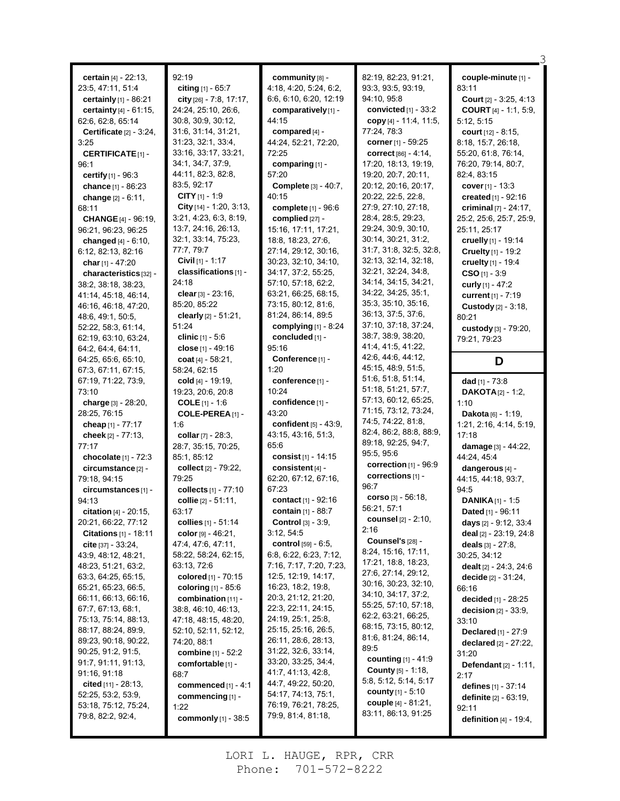| certain [4] - 22:13,                                                                      | 92:19                                                                              | community [8] -                                                                          | 82:19, 82:23, 91:21,                                                                       | couple-minute [1] -                                                           |
|-------------------------------------------------------------------------------------------|------------------------------------------------------------------------------------|------------------------------------------------------------------------------------------|--------------------------------------------------------------------------------------------|-------------------------------------------------------------------------------|
| 23:5, 47:11, 51:4                                                                         | citing [1] - 65:7                                                                  | 4:18, 4:20, 5:24, 6:2,                                                                   | 93:3, 93:5, 93:19,                                                                         | 83:11                                                                         |
| certainly $[1]$ - 86:21                                                                   | city $[26] - 7:8, 17:17,$                                                          | 6.6, 6.10, 6.20, 12:19                                                                   | 94:10, 95:8                                                                                | <b>Court</b> $[2] - 3.25, 4.13$                                               |
| certainty [4] - 61:15,                                                                    | 24.24, 25:10, 26.6,                                                                | comparatively [1] -                                                                      | convicted $[1]$ - 33:2                                                                     | <b>COURT</b> [4] - 1:1, 5:9,                                                  |
| 62:6, 62:8, 65:14                                                                         | 30:8, 30:9, 30:12,                                                                 | 44:15                                                                                    | copy $[4] - 11.4, 11.5,$                                                                   | 5:12, 5:15                                                                    |
| Certificate $[2] - 3.24$ ,                                                                | 31:6, 31:14, 31:21,                                                                | compared [4] -                                                                           | 77:24, 78:3                                                                                | court $[12] - 8.15$ ,                                                         |
| 3:25                                                                                      | 31:23, 32:1, 33:4,                                                                 | 44:24, 52:21, 72:20,                                                                     | corner [1] - 59:25                                                                         | 8:18, 15:7, 26:18,                                                            |
| <b>CERTIFICATE</b> [1] -                                                                  | 33:16, 33:17, 33:21,                                                               | 72:25                                                                                    | <b>correct</b> $[86] - 4.14$ ,                                                             | 55:20, 61:8, 76:14,                                                           |
| 96:1                                                                                      | 34:1, 34:7, 37:9,                                                                  | comparing [1] -                                                                          | 17:20, 18:13, 19:19,                                                                       | 76:20, 79:14, 80:7,                                                           |
| certify [1] - 96:3                                                                        | 44:11, 82:3, 82:8,                                                                 | 57:20                                                                                    | 19:20, 20:7, 20:11,                                                                        | 82:4, 83:15                                                                   |
| chance [1] - 86:23                                                                        | 83:5, 92:17                                                                        | Complete [3] - 40:7,                                                                     | 20:12, 20:16, 20:17,                                                                       | cover $[1] - 13.3$                                                            |
| change $[2] - 6.11$ ,                                                                     | <b>CITY</b> $[1]$ - 1:9                                                            | 40:15                                                                                    | 20:22, 22:5, 22:8,                                                                         | created [1] - 92:16                                                           |
| 68:11                                                                                     | City $[14] - 1:20, 3:13,$                                                          | complete [1] - 96:6                                                                      | 27:9, 27:10, 27:18,                                                                        | criminal $[7] - 24:17$ ,                                                      |
| <b>CHANGE</b> [4] - 96:19,                                                                | 3:21, 4:23, 6:3, 8:19,                                                             | complied [27] -                                                                          | 28:4, 28:5, 29:23,                                                                         | 25:2, 25:6, 25:7, 25:9,                                                       |
| 96:21, 96:23, 96:25                                                                       | 13:7, 24:16, 26:13,                                                                | 15:16, 17:11, 17:21,                                                                     | 29:24, 30:9, 30:10,                                                                        | 25:11, 25:17                                                                  |
| changed $[4] - 6:10$ ,                                                                    | 32:1, 33:14, 75:23,                                                                | 18:8, 18:23, 27:6,                                                                       | 30:14, 30:21, 31:2,                                                                        | cruelly [1] - 19:14                                                           |
| 6:12, 82:13, 82:16                                                                        | 77:7, 79:7                                                                         | 27:14, 29:12, 30:16,                                                                     | 31:7, 31:8, 32:5, 32:8,                                                                    | Cruelty [1] - 19:2                                                            |
| char $[1] - 47:20$                                                                        | Civil [1] - 1:17                                                                   | 30:23, 32:10, 34:10,                                                                     | 32:13, 32:14, 32:18,                                                                       | cruelty [1] - 19:4                                                            |
| characteristics [32] -                                                                    | classifications [1] -                                                              | 34:17, 37:2, 55:25,                                                                      | 32.21, 32:24, 34:8,                                                                        | $CSO$ [1] - 3:9                                                               |
| 38:2, 38:18, 38:23,<br>41:14, 45:18, 46:14,<br>46:16, 46:18, 47:20,                       | 24:18<br>clear $[3] - 23:16$ ,<br>85:20, 85:22<br>clearly $[2] - 51.21$ ,          | 57:10, 57:18, 62:2,<br>63:21, 66:25, 68:15,<br>73:15, 80:12, 81:6,<br>81:24, 86:14, 89:5 | 34:14, 34:15, 34:21,<br>34:22, 34:25, 35:1,<br>35:3, 35:10, 35:16,<br>36:13, 37:5, 37:6,   | curly [1] - 47:2<br>current [1] - 7:19<br>Custody [2] - 3:18,                 |
| 48:6, 49:1, 50:5,<br>52:22, 58:3, 61:14,<br>62.19, 63.10, 63.24,<br>64.2, 64.4, 64.11,    | 51:24<br><b>clinic</b> $[1] - 5.6$<br>close $[1] - 49:16$                          | complying [1] - 8:24<br>concluded [1] -<br>95:16                                         | 37:10, 37:18, 37:24,<br>38:7, 38:9, 38:20,<br>41.4, 41.5, 41.22,                           | 80:21<br>custody [3] - 79:20,<br>79:21, 79:23                                 |
| 64:25, 65:6, 65:10,                                                                       | coat $[4] - 58.21$ ,                                                               | Conference [1] -                                                                         | 42.6, 44.6, 44.12,                                                                         | D                                                                             |
| 67:3, 67:11, 67:15,                                                                       | 58:24, 62:15                                                                       | 1:20                                                                                     | 45:15, 48:9, 51:5,                                                                         |                                                                               |
| 67:19, 71:22, 73:9,<br>73:10<br>charge [3] - 28:20,                                       | cold $[4]$ - 19:19,<br>19:23, 20:6, 20:8                                           | conference [1] -<br>10:24                                                                | 51:6, 51:8, 51:14,<br>51:18, 51:21, 57:7,<br>57:13, 60:12, 65:25,                          | dad [1] - 73:8<br>$DAKOTA[2] - 1:2,$                                          |
|                                                                                           |                                                                                    |                                                                                          |                                                                                            |                                                                               |
| 28:25, 76:15<br>cheap [1] - 77:17                                                         | <b>COLE</b> $[1] - 1.6$<br>COLE-PEREA [1] -<br>1:6                                 | confidence [1] -<br>43:20<br>confident [5] - 43:9,                                       | 71:15, 73:12, 73:24,<br>74:5, 74:22, 81:8,<br>82:4, 86:2, 88:8, 88:9,                      | 1:10<br>Dakota [6] - 1:19,<br>1:21, 2:16, 4:14, 5:19,                         |
| cheek [2] - 77:13,                                                                        | collar [7] - 28:3,                                                                 | 43:15, 43:16, 51:3,                                                                      | 89:18, 92:25, 94:7,                                                                        | 17:18                                                                         |
| 77:17                                                                                     | 28:7, 35:15, 70:25,                                                                | 65.6                                                                                     | 95:5, 95:6                                                                                 | <b>damage</b> [3] - 44:22,                                                    |
| chocolate $[1]$ - 72:3                                                                    | 85:1, 85:12                                                                        | consist [1] - 14:15                                                                      | correction [1] - 96:9                                                                      | 44:24, 45:4                                                                   |
| circumstance <sup>[2]</sup> -<br>79:18, 94:15<br>circumstances [1] -<br>94:13             | collect [2] - 79:22,<br>79:25<br>collects [1] - 77:10<br>collie [2] - 51:11,       | consistent [4] -<br>62:20, 67:12, 67:16,<br>67:23<br>contact [1] - 92:16                 | corrections $[1]$ -<br>96:7<br><b>corso</b> $[3] - 56:18$ ,                                | dangerous [4] -<br>44:15, 44:18, 93:7,<br>94:5<br><b>DANIKA</b> $[1]$ - 1:5   |
| citation [4] - 20:15,                                                                     | 63:17                                                                              | contain [1] - 88:7                                                                       | 56:21, 57:1                                                                                | Dated [1] - 96:11                                                             |
| 20:21, 66:22, 77:12                                                                       | collies $[1] - 51.14$                                                              | Control [3] - 3:9,                                                                       | counsel [2] - 2:10,                                                                        | <b>days</b> $[2] - 9.12, 33.4$                                                |
| <b>Citations</b> $[1] - 18:11$                                                            | color $[9] - 46.21$ ,                                                              | 3:12, 54:5                                                                               | 2:16                                                                                       | deal [2] - 23:19, 24:8                                                        |
| cite $[37] - 33.24$ ,                                                                     | 47:4, 47:6, 47:11,                                                                 | control [59] - 6:5,                                                                      | Counsel's [28] -                                                                           | deals $[3] - 27:8$ ,                                                          |
| 43.9, 48.12, 48.21,                                                                       | 58:22, 58:24, 62:15,                                                               | 6:8, 6:22, 6:23, 7:12,                                                                   | 8:24, 15:16, 17:11,                                                                        | 30:25, 34:12                                                                  |
| 48:23, 51:21, 63:2,                                                                       | 63:13, 72:6                                                                        | 7:16, 7:17, 7:20, 7:23,                                                                  | 17:21, 18:8, 18:23,                                                                        | dealt $[2] - 24:3, 24:6$                                                      |
| 63:3, 64:25, 65:15,<br>65:21, 65:23, 66:5,<br>66:11, 66:13, 66:16,                        | colored [1] - 70:15<br>coloring [1] - 85:6<br>combination [11] -                   | 12:5, 12:19, 14:17,<br>16:23, 18:2, 19:8,<br>20:3, 21:12, 21:20,                         | 27:6, 27:14, 29:12,<br>30:16, 30:23, 32:10,<br>34:10, 34:17, 37:2,<br>55:25, 57:10, 57:18, | <b>decide</b> $[2] - 31:24$ ,<br>66:16<br>decided $[1] - 28:25$               |
| 67:7, 67:13, 68:1,<br>75:13, 75:14, 88:13,<br>88:17, 88:24, 89:9,<br>89:23, 90:18, 90:22, | 38.8, 46.10, 46.13,<br>47:18, 48:15, 48:20,<br>52:10, 52:11, 52:12,<br>74:20, 88:1 | 22:3, 22:11, 24:15,<br>24:19, 25:1, 25:8,<br>25:15, 25:16, 26:5,<br>26:11, 28:6, 28:13,  | 62:2, 63:21, 66:25,<br>68:15, 73:15, 80:12,<br>81.6, 81.24, 86.14,                         | decision [2] - 33:9,<br>33:10<br>Declared [1] - 27:9<br>declared [2] - 27:22, |
| 90:25, 91:2, 91:5,                                                                        | <b>combine</b> [1] - 52:2                                                          | 31:22, 32:6, 33:14,                                                                      | 89.5                                                                                       | 31:20                                                                         |
| 91:7, 91:11, 91:13,                                                                       | comfortable [1] -                                                                  | 33:20, 33:25, 34:4,                                                                      | <b>counting</b> $[1] - 41.9$                                                               | <b>Defendant</b> $[2] - 1:11$ ,                                               |
| 91:16, 91:18                                                                              | 68:7                                                                               | 41:7, 41:13, 42:8,                                                                       | <b>County</b> $[5] - 1.18$ ,                                                               | 2:17                                                                          |
| <b>cited</b> $[11] - 28.13$ ,                                                             | commenced $[1] - 4:1$                                                              | 44:7, 49:22, 50:20,                                                                      | 5:8, 5:12, 5:14, 5:17                                                                      | defines $[1] - 37:14$                                                         |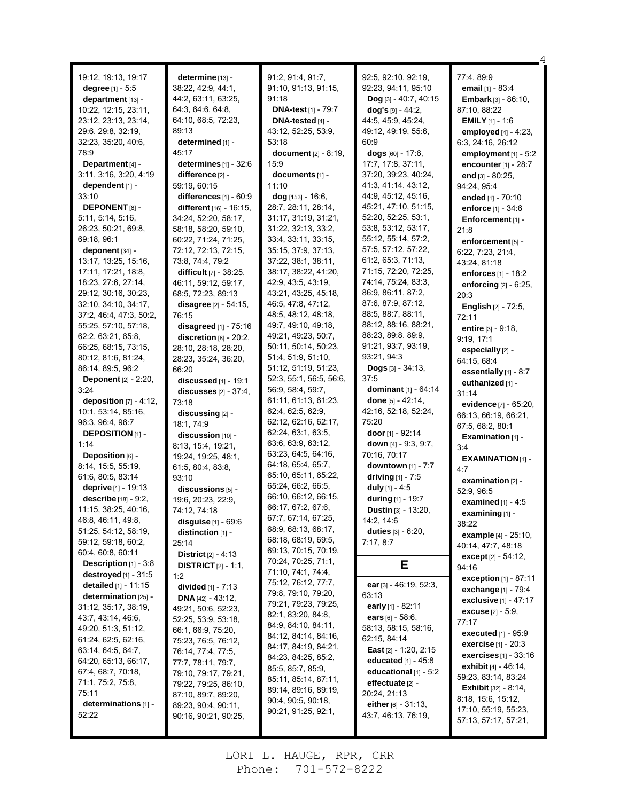| 19:12, 19:13, 19:17            | determine [13] -              | 91:2, 91:4, 91:7,                        | 92:5, 92:10, 92:19,            | 77:4, 89:9                                   |
|--------------------------------|-------------------------------|------------------------------------------|--------------------------------|----------------------------------------------|
| degree [1] - 5:5               | 38:22, 42:9, 44:1,            | 91:10, 91:13, 91:15,                     | 92:23, 94:11, 95:10            | <b>email</b> $[1]$ - 83:4                    |
| department [13] -              | 44.2, 63.11, 63.25,           | 91:18                                    | $\log$ [3] - 40:7, 40:15       | <b>Embark</b> [3] - 86:10,                   |
| 10:22, 12:15, 23:11,           | 64:3, 64:6, 64:8,             | DNA-test [1] - 79:7                      | dog's [9] - 44:2,              | 87:10, 88:22                                 |
| 23:12, 23:13, 23:14,           | 64:10, 68:5, 72:23,           | DNA-tested [4] -                         | 44:5, 45:9, 45:24,             | <b>EMILY</b> $[1] - 1.6$                     |
| 29:6, 29:8, 32:19,             | 89:13                         | 43:12, 52:25, 53:9,                      | 49:12, 49:19, 55:6,            | employed $[4] - 4.23$ ,                      |
| 32:23, 35:20, 40:6,            | determined [1] -              | 53:18                                    | 60.9                           | 6:3, 24:16, 26:12                            |
| 78.9                           | 45:17                         | document [2] - 8:19,                     | <b>dogs</b> $[60] - 17:6$ ,    | employment $[1]$ - 5:2                       |
| Department [4] -               | determines $[1]$ - 32:6       | 15:9                                     | 17:7, 17:8, 37:11,             | encounter [1] - 28:7                         |
| 3:11, 3:16, 3:20, 4:19         | difference [2] -              | documents [1] -                          | 37:20, 39:23, 40:24,           | end $[3] - 80:25$ ,                          |
| dependent [1] -                | 59:19, 60:15                  | 11:10                                    | 41:3, 41:14, 43:12,            | 94:24, 95:4                                  |
| 33:10                          | differences $[1]$ - $60:9$    | $dog$ [153] - 16:6,                      | 44.9, 45.12, 45.16,            | ended [1] - 70:10                            |
| <b>DEPONENT</b> [8] -          | different [16] - 16:15,       | 28:7, 28:11, 28:14,                      | 45:21, 47:10, 51:15,           | enforce [1] - 34:6                           |
| 5.11, 5.14, 5.16,              | 34:24, 52:20, 58:17,          | 31:17, 31:19, 31:21,                     | 52:20, 52:25, 53:1,            | Enforcement <sub>[1]</sub> -                 |
| 26:23, 50:21, 69:8,            | 58:18, 58:20, 59:10,          | 31:22, 32:13, 33:2,                      | 53:8, 53:12, 53:17,            | 21:8                                         |
| 69:18, 96:1                    | 60:22, 71:24, 71:25,          | 33:4, 33:11, 33:15,                      | 55:12, 55:14, 57:2,            | enforcement [5] -                            |
| deponent [34] -                | 72:12, 72:13, 72:15,          | 35:15, 37:9, 37:13,                      | 57:5, 57:12, 57:22,            | 6:22, 7:23, 21:4,                            |
| 13:17, 13:25, 15:16,           | 73:8, 74:4, 79:2              | 37:22, 38:1, 38:11,                      | 61:2, 65:3, 71:13,             | 43:24, 81:18                                 |
| 17:11, 17:21, 18:8,            | difficult [7] - 38:25,        | 38:17, 38:22, 41:20,                     | 71:15, 72:20, 72:25,           | enforces [1] - 18:2                          |
| 18:23, 27:6, 27:14,            | 46:11, 59:12, 59:17,          | 42:9, 43:5, 43:19,                       | 74:14, 75:24, 83:3,            | enforcing [2] - 6:25,                        |
| 29:12, 30:16, 30:23,           | 68:5, 72:23, 89:13            | 43:21, 43:25, 45:18,                     | 86:9, 86:11, 87:2,             | 20:3                                         |
| 32:10, 34:10, 34:17,           | disagree $[2] - 54:15$ ,      | 46:5, 47:8, 47:12,                       | 87:6, 87:9, 87:12,             | <b>English</b> $[2] - 72.5$ ,                |
| 37:2, 46:4, 47:3, 50:2,        | 76:15                         | 48:5, 48:12, 48:18,                      | 88:5, 88:7, 88:11,             | 72:11                                        |
| 55:25, 57:10, 57:18,           | disagreed $[1]$ - 75:16       | 49:7, 49:10, 49:18,                      | 88:12, 88:16, 88:21,           | <b>entire</b> $[3] - 9.18$ ,                 |
| 62.2, 63.21, 65.8,             | discretion $[8] - 20:2$ ,     | 49:21, 49:23, 50:7,                      | 88:23, 89:8, 89:9,             | 9:19, 17:1                                   |
| 66:25, 68:15, 73:15,           | 28:10, 28:18, 28:20,          | 50:11, 50:14, 50:23,                     | 91:21, 93:7, 93:19,            |                                              |
| 80:12, 81:6, 81:24,            | 28:23, 35:24, 36:20,          | 51:4, 51:9, 51:10,                       | 93:21, 94:3                    | especially [2] -                             |
| 86:14, 89:5, 96:2              | 66:20                         | 51:12, 51:19, 51:23,                     | <b>Dogs</b> $[3] - 34:13$ ,    | 64:15, 68:4                                  |
| <b>Deponent</b> $[2] - 2:20$ , | discussed [1] - 19.1          | 52:3, 55:1, 56:5, 56:6,                  | 37:5                           | essentially [1] - 8:7                        |
| 3:24                           | discusses $[2] - 37:4$ ,      | 56:9, 58:4, 59:7,                        | <b>dominant</b> $[1] - 64:14$  | euthanized [1] -                             |
| deposition $[7] - 4:12$ ,      | 73:18                         | 61:11, 61:13, 61:23,                     | done $[5] - 42:14$ ,           | 31:14                                        |
| 10:1, 53:14, 85:16,            |                               | 62:4, 62:5, 62:9,                        | 42:16, 52:18, 52:24,           | evidence [7] - 65:20,                        |
| 96:3, 96:4, 96:7               | discussing [2] -              | 62:12, 62:16, 62:17,                     | 75:20                          | 66:13, 66:19, 66:21,                         |
| <b>DEPOSITION</b> [1] -        | 18:1, 74:9                    | 62:24, 63:1, 63:5,                       | door [1] - 92:14               | 67:5, 68:2, 80:1                             |
| 1:14                           | discussion [10] -             | 63.6, 63.9, 63.12,                       | down $[4] - 9.3, 9.7,$         | Examination [1] -                            |
| Deposition [6] -               | 8:13, 15:4, 19:21,            | 63:23, 64:5, 64:16,                      | 70:16, 70:17                   | 3:4                                          |
| 8:14, 15:5, 55:19,             | 19:24, 19:25, 48:1,           | 64:18, 65:4, 65:7,                       | downtown [1] - 7:7             | EXAMINATION $[1]$ -                          |
| 61:6, 80:5, 83:14              | 61:5, 80:4, 83:8,             | 65:10, 65:11, 65:22,                     |                                | 4:7                                          |
|                                | 93:10                         | 65:24, 66:2, 66:5,                       | driving $[1] - 7.5$            | examination [2] -                            |
| deprive [1] - 19:13            | discussions [5] -             | 66:10, 66:12, 66:15,                     | duly $[1] - 4:5$               | 52:9, 96:5                                   |
| describe [18] - 9:2,           | 19:6, 20:23, 22:9,            | 66:17, 67:2, 67:6,                       | during [1] - 19:7              | examined $[1] - 4.5$                         |
| 11:15, 38:25, 40:16,           | 74:12, 74:18                  | 67:7, 67:14, 67:25,                      | <b>Dustin</b> $[3] - 13:20$ ,  | examining [1] -                              |
| 46:8, 46:11, 49:8,             | <b>disguise</b> $[1]$ - 69:6  | 68.9, 68.13, 68.17,                      | 14:2, 14:6                     | 38:22                                        |
| 51:25, 54:12, 58:19,           | distinction $[1]$ -           | 68:18, 68:19, 69:5,                      | <b>duties</b> $[3] - 6:20$ ,   | <b>example</b> $[4] - 25:10$ ,               |
| 59:12, 59:18, 60:2,            | 25:14                         | 69:13, 70:15, 70:19,                     | 7:17, 8:7                      | 40:14, 47:7, 48:18                           |
| 60.4, 60.8, 60.11              | <b>District</b> $[2] - 4:13$  | 70:24, 70:25, 71:1,                      |                                | <b>except</b> $[2] - 54:12$ ,                |
| Description [1] - 3:8          | <b>DISTRICT</b> $[2] - 1:1$ , | 71:10, 74:1, 74:4,                       | Е                              | 94:16                                        |
| destroyed $[1]$ - 31:5         | 1:2                           | 75:12, 76:12, 77:7,                      |                                | <b>exception</b> $[1] - 87:11$               |
| detailed $[1] - 11:15$         | divided [1] - 7:13            | 79:8, 79:10, 79:20,                      | ear $[3] - 46:19, 52:3,$       | exchange [1] - 79:4                          |
| determination [25] -           | <b>DNA</b> $[42] - 43:12$ ,   | 79:21, 79:23, 79:25,                     | 63:13                          | <b>exclusive</b> $[1] - 47:17$               |
| 31:12, 35:17, 38:19,           | 49.21, 50:6, 52:23,           |                                          | early $[1] - 82:11$            | excuse [2] - 5:9,                            |
| 43.7, 43.14, 46.6,             | 52:25, 53:9, 53:18,           | 82:1, 83:20, 84:8,                       | ears [6] - 58:6,               | 77:17                                        |
| 49.20, 51:3, 51:12,            | 66:1, 66:9, 75:20,            | 84.9, 84.10, 84.11,                      | 58:13, 58:15, 58:16,           | executed [1] - 95:9                          |
| 61:24, 62:5, 62:16,            | 75:23, 76:5, 76:12,           | 84:12, 84:14, 84:16,                     | 62:15, 84:14                   | <b>exercise</b> $[1] - 20.3$                 |
| 63:14, 64:5, 64:7,             | 76:14, 77:4, 77:5,            | 84:17, 84:19, 84:21,                     | <b>East</b> $[2] - 1:20, 2:15$ | <b>exercises</b> $[1] - 33.16$               |
| 64:20, 65:13, 66:17,           | 77:7, 78:11, 79:7,            | 84:23, 84:25, 85:2,<br>85:5, 85:7, 85:9, | <b>educated</b> $[1] - 45.8$   | exhibit $[4] - 46:14$ ,                      |
| 67:4, 68:7, 70:18,             | 79:10, 79:17, 79:21,          |                                          | educational $[1]$ - 5:2        | 59:23, 83:14, 83:24                          |
| 71:1, 75:2, 75:8,              | 79:22, 79:25, 86:10,          | 85:11, 85:14, 87:11,                     | $effectuate$ [2] -             | <b>Exhibit</b> $[32] - 8.14$ ,               |
| 75:11                          | 87:10, 89:7, 89:20,           | 89:14, 89:16, 89:19,                     | 20:24, 21:13                   | 8:18, 15:6, 15:12,                           |
| determinations [1] -           |                               |                                          |                                |                                              |
|                                | 89:23, 90:4, 90:11,           | 90.4, 90.5, 90.18,                       | either $[6] - 31.13$ ,         |                                              |
| 52:22                          | 90:16, 90:21, 90:25,          | 90:21, 91:25, 92:1,                      | 43:7, 46:13, 76:19,            | 17:10, 55:19, 55:23,<br>57:13, 57:17, 57:21, |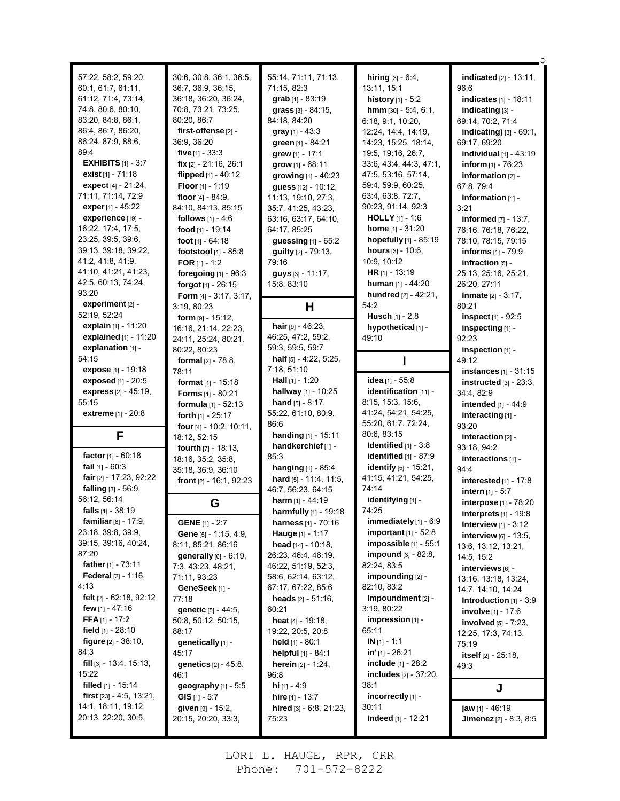| 57:22, 58:2, 59:20,               | 30.6, 30.8, 36.1, 36.5,                     | 55:14, 71:11, 71:13,<br>71:15, 82:3       | hiring $[3] - 6.4$ ,            | indicated [2] - 13:11,          |
|-----------------------------------|---------------------------------------------|-------------------------------------------|---------------------------------|---------------------------------|
| 60.1, 61.7, 61.11,                | 36:7, 36:9, 36:15,                          |                                           | 13:11, 15:1                     | 96:6                            |
| 61.12, 71.4, 73.14,               | 36:18, 36:20, 36:24,                        | $grab$ [1] - 83:19                        | history $[1]$ - 5:2             | <b>indicates</b> [1] - 18:11    |
| 74:8, 80:6, 80:10,                | 70:8, 73:21, 73:25,                         | $qrass$ [3] - 84:15,                      | $hmm$ [30] - 5.4, 6.1,          | indicating [3] -                |
| 83:20, 84:8, 86:1,                | 80:20, 86:7                                 | 84:18, 84:20                              | 6:18.9:1.10:20.                 | 69:14, 70:2, 71:4               |
| 86:4, 86:7, 86:20,                | first-offense <sup>[2]</sup> -              | gray $[1] - 43.3$                         | 12:24, 14:4, 14:19,             | indicating) [3] - 69:1,         |
| 86.24, 87.9, 88.6,                | 36:9, 36:20                                 | green [1] - 84:21                         | 14:23, 15:25, 18:14,            | 69:17, 69:20                    |
| 89:4                              | five $[1] - 33.3$                           | grew [1] - 17:1                           | 19:5, 19:16, 26:7,              | individual [1] - 43:19          |
| <b>EXHIBITS</b> $[1] - 3:7$       | fix $[2] - 21.16$ , $26.1$                  | grow [1] - 68:11                          | 33:6, 43:4, 44:3, 47:1,         | inform $[1] - 76:23$            |
| exist $[1] - 71:18$               | flipped [1] - 40:12                         | growing [1] - 40:23                       | 47:5, 53:16, 57:14,             | information $[2]$ -             |
| expect $[4] - 21:24$ ,            | <b>Floor</b> $[1]$ - 1:19                   | guess [12] - 10:12,                       | 59.4, 59.9, 60.25,              | 67:8, 79:4                      |
| 71:11, 71:14, 72:9                | floor $[4] - 84.9$ ,                        | 11:13, 19:10, 27:3,                       | 63.4, 63.8, 72.7,               | Information [1] -               |
| exper $[1] - 45:22$               | 84:10, 84:13, 85:15                         | 35:7, 41:25, 43:23,                       | 90:23, 91:14, 92:3              | 3:21                            |
| experience [19] -                 | <b>follows</b> $[1] - 4.6$                  | 63:16, 63:17, 64:10,                      | <b>HOLLY</b> $[1] - 1.6$        | <b>informed</b> $[7] - 13:7$ ,  |
| 16:22, 17:4, 17:5,                | food [1] - 19:14                            | 64:17, 85:25                              | home [1] - 31:20                | 76:16, 76:18, 76:22,            |
| 23:25, 39:5, 39:6,                | foot $[1] - 64:18$                          | guessing [1] - 65:2                       | hopefully [1] - 85:19           | 78:10, 78:15, 79:15             |
| 39:13, 39:18, 39:22,              | footstool [1] - 85:8                        | guilty [2] - 79:13,                       | <b>hours</b> $[3] - 10:6$ ,     | informs [1] - 79:9              |
| 41.2, 41.8, 41.9,                 | FOR $[1] - 1:2$                             | 79:16                                     | 10:9, 10:12                     | infraction $[5]$ -              |
| 41:10, 41:21, 41:23,              | foregoing [1] - 96:3                        | guys [3] - 11:17,                         | <b>HR</b> $[1]$ - 13:19         | 25:13, 25:16, 25:21,            |
| 42.5, 60.13, 74.24,               | forgot $[1] - 26:15$                        | 15:8, 83:10                               | human [1] - 44:20               | 26:20, 27:11                    |
| 93:20                             | Form [4] - 3:17, 3:17,                      |                                           | hundred [2] - 42:21.            | <b>Inmate</b> $[2] - 3:17$ ,    |
| experiment [2] -                  | 3:19, 80:23                                 | Н                                         | 54:2                            | 80:21                           |
| 52:19, 52:24                      | form $[9] - 15:12$ ,                        |                                           | <b>Husch</b> $[1] - 2:8$        | inspect [1] - 92:5              |
| explain [1] - 11:20               | 16:16, 21:14, 22:23,                        | hair $[9] - 46:23$ ,                      | hypothetical [1] -              | inspecting [1] -                |
| explained $[1] - 11:20$           | 24:11, 25:24, 80:21,                        | 46:25, 47:2, 59:2,                        | 49:10                           | 92:23                           |
| explanation [1] -                 | 80:22, 80:23                                | 59:3, 59:5, 59:7                          |                                 | inspection [1] -                |
| 54:15                             | formal $[2] - 78.8$ ,                       | half [5] - 4:22, 5:25,                    | ı                               | 49:12                           |
| expose [1] - 19:18                | 78:11                                       | 7:18, 51:10                               |                                 | instances [1] - 31:15           |
| exposed [1] - 20:5                | format <sub>[1]</sub> - 15:18               | <b>Hall</b> $[1]$ - 1:20                  | idea [1] - 55:8                 | instructed [3] - 23:3,          |
| express [2] - 45:19,              | <b>Forms</b> $[1] - 80:21$                  | hallway [1] - 10:25                       | identification [11] -           |                                 |
|                                   |                                             |                                           |                                 |                                 |
| 55:15                             |                                             | <b>hand</b> $[5] - 8:17$ ,                | 8:15, 15:3, 15:6,               | 34:4, 82:9                      |
|                                   | formula [1] - 52:13                         | 55:22, 61:10, 80:9,                       | 41:24, 54:21, 54:25,            | intended [1] - 44:9             |
| <b>extreme</b> $[1] - 20.8$       | forth [1] - 25:17                           | 86.6                                      | 55:20, 61:7, 72:24,             | interacting [1] -               |
|                                   | four $[4] - 10.2$ , 10.11,                  | handing [1] - 15:11                       | 80:6, 83:15                     | 93:20                           |
| F                                 | 18:12, 52:15                                | handkerchief [1] -                        | Identified [1] - 3:8            | interaction [2] -               |
| factor [1] - 60:18                | fourth [7] - 18:13.                         | 85:3                                      | identified $[1]$ - 87:9         | 93:18, 94:2                     |
| fail $[1] - 60.3$                 | 18:16, 35:2, 35:8,                          | hanging [1] - 85:4                        | <b>identify</b> $[5] - 15:21$ , | interactions [1] -              |
| fair [2] - 17:23, 92:22           | 35:18, 36:9, 36:10                          | hard [5] - 11:4, 11:5,                    | 41:15, 41:21, 54:25,            | 94:4                            |
| falling [3] - 56:9,               | front [2] - 16:1, 92:23                     | 46:7, 56:23, 64:15                        | 74:14                           | interested [1] - 17:8           |
| 56:12, 56:14                      |                                             | harm [1] - 44:19                          | identifying [1] -               | <b>intern</b> $[1] - 5:7$       |
| <b>falls</b> $[1]$ - 38:19        | G                                           | harmfully [1] - 19:18                     | 74:25                           | <b>interpose</b> [1] - 78:20    |
| <b>familiar</b> $[8] - 17.9$ ,    | <b>GENE</b> $[1] - 2:7$                     | harness [1] - 70:16                       | immediately $[1]$ - $6:9$       | interprets $[1]$ - 19:8         |
| 23:18, 39:8, 39:9,                | Gene [5] - 1:15, 4:9,                       | Hauge [1] - 1:17                          | important $[1]$ - 52:8          | Interview $[1] - 3.12$          |
| 39:15, 39:16, 40:24,              |                                             |                                           | impossible $[1]$ - 55:1         | interview $[6] - 13.5$ ,        |
| 87:20                             | 8:11, 85:21, 86:16                          | head [14] - 10:18,<br>26:23, 46:4, 46:19, | <b>impound</b> $[3] - 82.8$ ,   | 13:6, 13:12, 13:21,             |
| father $[1] - 73:11$              | generally [6] - 6:19,<br>7:3, 43:23, 48:21, | 46.22, 51:19, 52:3,                       | 82:24, 83:5                     | 14:5, 15:2                      |
| <b>Federal</b> $[2] - 1.16$ ,     | 71:11, 93:23                                |                                           | impounding [2] -                | interviews [6] -                |
| 4:13                              | GeneSeek [1] -                              | 58:6, 62:14, 63:12,<br>67:17, 67:22, 85:6 | 82:10, 83:2                     | 13:16, 13:18, 13:24,            |
| felt $[2] - 62:18, 92:12$         | 77:18                                       | heads $[2] - 51:16$ ,                     | Impoundment [2] -               | 14:7, 14:10, 14:24              |
| few $[1] - 47.16$                 | genetic [5] - 44:5.                         | 60:21                                     | 3:19, 80:22                     | <b>Introduction</b> $[1] - 3:9$ |
| <b>FFA</b> $[1]$ - 17:2           | 50:8, 50:12, 50:15,                         | heat [4] - 19:18,                         | impression [1] -                | involve [1] - 17:6              |
| field $[1]$ - 28:10               | 88:17                                       | 19:22, 20:5, 20:8                         | 65:11                           | involved $[5] - 7:23$ ,         |
| <b>figure</b> $[2] - 38.10$ ,     | genetically [1] -                           | held $[1] - 80:1$                         | $IN[1] - 1:1$                   | 12:25, 17:3, 74:13,             |
| 84:3                              | 45:17                                       | helpful [1] - 84:1                        | $in$ [1] - 26:21                | 75:19                           |
| fill $[3]$ - 13:4, 15:13,         | <b>genetics</b> $[2] - 45.8$ ,              | <b>herein</b> $[2] - 1:24$ ,              | include [1] - 28:2              | itself [2] - 25:18,             |
| 15:22                             | 46:1                                        | 96:8                                      | includes $[2] - 37:20$ ,        | 49:3                            |
| filled [1] - 15:14                | geography $[1]$ - 5:5                       | <b>hi</b> $[1] - 4.9$                     | 38:1                            |                                 |
| <b>first</b> $[23] - 4.5, 13.21,$ | <b>GIS</b> $[1]$ - 5:7                      | hire [1] - 13:7                           | incorrectly [1] -               | J                               |
| 14:1, 18:11, 19:12,               | given $[9] - 15.2$ ,                        | hired [3] - 6:8, 21:23,                   | 30:11                           | jaw [1] - 46:19                 |
| 20:13, 22:20, 30:5,               | 20:15, 20:20, 33:3,                         | 75:23                                     | Indeed [1] - 12:21              | Jimenez [2] - 8:3, 8:5          |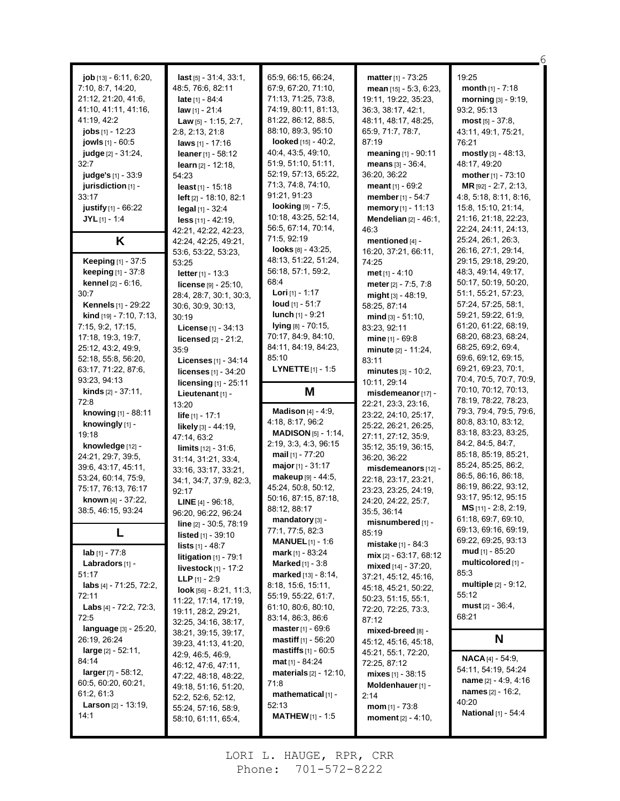| job [13] - 6:11, 6:20,          | $last$ [5] - 31:4, 33:1,                             | 65:9, 66:15, 66:24,<br>67:9, 67:20, 71:10, | matter [1] - 73:25           | 19:25                         |
|---------------------------------|------------------------------------------------------|--------------------------------------------|------------------------------|-------------------------------|
| 7:10, 8:7, 14:20,               | 48:5, 76:6, 82:11                                    |                                            | mean $[15] - 5:3, 6:23$ ,    | month [1] - 7:18              |
| 21:12, 21:20, 41:6,             | late [1] - 84:4                                      | 71:13, 71:25, 73:8,                        | 19:11, 19:22, 35:23,         | morning [3] - 9:19,           |
| 41:10, 41:11, 41:16,            | $law_{[1]} - 21:4$                                   | 74:19, 80:11, 81:13,                       | 36:3, 38:17, 42:1,           | 93:2, 95:13                   |
| 41:19, 42:2                     | Law [5] - 1:15, 2:7,                                 | 81:22, 86:12, 88:5,                        | 48:11, 48:17, 48:25,         | most $[5] - 37:8$ ,           |
| <b>jobs</b> $[1]$ - 12:23       | 2:8, 2:13, 21:8                                      | 88.10, 89.3, 95.10                         | 65.9, 71.7, 78.7,            | 43:11, 49:1, 75:21,           |
| jowls [1] - 60:5                | laws $[1] - 17:16$                                   | <b>looked</b> $[15] - 40.2$ ,              | 87:19                        | 76:21                         |
| <b>judge</b> [2] - 31:24,       | leaner [1] - 58:12                                   | 40:4, 43:5, 49:10,                         | meaning [1] - 90:11          | <b>mostly</b> $[3] - 48:13$ , |
| 32:7                            | learn [2] - 12:18,                                   | 51:9, 51:10, 51:11,                        | <b>means</b> $[3] - 36.4$ ,  | 48:17, 49:20                  |
| <b>judge's</b> $[1] - 33.9$     | 54:23                                                | 52:19, 57:13, 65:22,                       | 36:20, 36:22                 | mother $[1] - 73:10$          |
| jurisdiction [1] -              | $least$ [1] - 15:18                                  | 71:3, 74:8, 74:10,                         | <b>meant</b> $[1] - 69:2$    | MR [92] - 2:7, 2:13,          |
| 33:17                           | left [2] - 18.10, 82:1                               | 91:21, 91:23                               | member [1] - 54:7            | 4:8, 5:18, 8:11, 8:16,        |
| <b>justify</b> $[1] - 66.22$    | legal $[1] - 32.4$                                   | looking [9] - 7:5,                         | memory $[1] - 11:13$         | 15:8, 15:10, 21:14,           |
| $JYL$ [1] - 1:4                 | $less$ [11] - 42:19,                                 | 10:18, 43:25, 52:14,                       | Mendelian $[2] - 46:1$ ,     | 21:16, 21:18, 22:23,          |
|                                 | 42:21, 42:22, 42.23,                                 | 56:5, 67:14, 70:14,                        | 46:3                         | 22:24, 24:11, 24:13,          |
| Κ                               | 42:24, 42:25, 49:21,                                 | 71:5, 92:19                                | mentioned [4] -              | 25:24, 26:1, 26:3,            |
|                                 | 53:6, 53:22, 53:23,                                  | looks [8] - 43:25,                         | 16:20, 37:21, 66:11,         | 26:16, 27:1, 29:14,           |
| <b>Keeping</b> [1] - 37:5       | 53:25                                                | 48:13, 51:22, 51:24,                       | 74:25                        | 29:15, 29:18, 29:20,          |
| <b>keeping</b> $[1] - 37:8$     | letter [1] - 13:3                                    | 56:18, 57:1, 59:2,                         | <b>met</b> $[1] - 4:10$      | 48.3, 49.14, 49.17,           |
| <b>kennel</b> [2] - 6:16,       | license [9] - 25:10,                                 | 68:4                                       | meter [2] - 7:5, 7:8         | 50:17, 50:19, 50:20,          |
| 30:7                            | 28:4, 28:7, 30:1, 30:3,                              | <b>Lori</b> [1] - 1:17                     | might $[3] - 48:19$ ,        | 51:1, 55:21, 57:23,           |
| <b>Kennels</b> [1] - 29:22      | 30:6, 30:9, 30:13,                                   | loud $[1] - 51:7$                          | 58:25, 87:14                 | 57:24, 57:25, 58:1,           |
| kind [19] - 7:10, 7:13,         | 30:19                                                | lunch [1] - 9:21                           | $mid$ $[3] - 51:10$ ,        | 59:21, 59:22, 61:9,           |
| 7:15, 9:2, 17:15,               | License [1] - 34:13                                  | lying [8] - 70:15,                         | 83:23, 92:11                 | 61:20, 61:22, 68:19,          |
| 17:18, 19:3, 19:7,              | <b>licensed</b> $[2] - 21:2$ ,                       | 70:17, 84:9, 84:10,                        | mine $[1] - 69.8$            | 68:20, 68:23, 68:24,          |
| 25:12, 43:2, 49:9,              | 35:9                                                 | 84:11, 84:19, 84:23,                       | minute [2] - 11:24,          | 68:25, 69:2, 69:4,            |
| 52:18, 55:8, 56:20,             | Licenses [1] - 34:14                                 | 85:10                                      | 83:11                        | 69:6, 69:12, 69:15,           |
| 63:17, 71:22, 87:6,             | <b>licenses</b> $[1] - 34:20$                        | <b>LYNETTE</b> $[1]$ - 1:5                 | minutes $[3] - 10:2$ ,       | 69:21, 69:23, 70:1,           |
| 93.23, 94:13                    | licensing [1] - 25:11                                |                                            | 10:11, 29:14                 | 70:4, 70:5, 70:7, 70:9,       |
| <b>kinds</b> $[2] - 37:11$ ,    |                                                      | Μ                                          |                              | 70:10, 70:12, 70:13,          |
|                                 | Lieutenant [1] -                                     |                                            | misdemeanor [17] -           |                               |
| 72:8                            | 13:20                                                |                                            | 22:21, 23:3, 23:16,          | 78:19, 78:22, 78:23,          |
| knowing [1] - 88:11             | life [1] - 17:1                                      | <b>Madison</b> [4] - 4:9,                  | 23:22, 24:10, 25:17,         | 79:3, 79:4, 79:5, 79:6,       |
| knowingly [1] -                 | likely [3] - 44:19,                                  | 4:18, 8:17, 96:2                           | 25:22, 26:21, 26:25,         | 80:8, 83:10, 83:12,           |
| 19:18                           | 47:14, 63:2                                          | <b>MADISON</b> [5] - 1:14,                 | 27:11, 27:12, 35:9,          | 83:18, 83:23, 83:25,          |
| knowledge [12] -                |                                                      | 2:19, 3:3, 4:3, 96:15                      | 35:12, 35:19, 36:15,         | 84:2, 84:5, 84:7,             |
| 24:21, 29:7, 39:5,              | <b>limits</b> $[12] - 31:6$ ,<br>31:14, 31:21, 33:4, | mail $[1] - 77:20$                         | 36:20, 36:22                 | 85:18, 85:19, 85:21,          |
| 39:6, 43:17, 45:11,             | 33:16, 33:17, 33:21,                                 | major $[1] - 31:17$                        | misdemeanors [12] -          | 85:24, 85:25, 86:2,           |
| 53:24, 60:14, 75:9,             | 34:1, 34:7, 37:9, 82:3,                              | makeup [9] - 44:5,                         | 22:18, 23:17, 23:21,         | 86:5, 86:16, 86:18,           |
| 75:17, 76:13, 76:17             | 92:17                                                | 45:24, 50:8, 50:12,                        | 23:23, 23:25, 24:19,         | 86:19, 86:22, 93:12,          |
| known [4] - 37:22,              |                                                      | 50:16, 87:15, 87:18,                       | 24:20, 24:22, 25:7,          | 93:17, 95:12, 95:15           |
| 38:5, 46:15, 93:24              | LINE [4] - 96:18,<br>96:20, 96:22, 96:24             | 88:12, 88:17                               | 35:5, 36:14                  | MS [11] - 2:8, 2:19,          |
|                                 | line [2] - 30:5, 78:19                               | mandatory [3] -                            | misnumbered [1] -            | 61:18, 69:7, 69:10,           |
| L                               | <b>listed</b> [1] - 39:10                            | 77:1, 77:5, 82:3                           | 85:19                        | 69:13, 69:16, 69:19,          |
|                                 | <b>lists</b> $[1] - 48:7$                            | <b>MANUEL</b> $[1]$ - 1:6                  | <b>mistake</b> [1] - 84:3    | 69:22, 69:25, 93:13           |
| $lab_{[1]} - 77:8$              | litigation $[1]$ - 79:1                              | <b>mark</b> [1] - 83:24                    | mix [2] - 63:17, 68:12       | <b>mud</b> [1] - $85:20$      |
| Labradors [1] -                 |                                                      | <b>Marked</b> [1] - 3:8                    | mixed [14] - 37:20,          | multicolored [1] -            |
| 51:17                           | livestock $[1]$ - 17:2                               | <b>marked</b> [13] - 8:14,                 | 37:21, 45:12, 45:16,         | 85:3                          |
| labs [4] - 71:25, 72:2,         | <b>LLP</b> $[1] - 2:9$                               | 8:18, 15:6, 15:11,                         | 45:18, 45:21, 50:22,         | multiple [2] - 9:12,          |
| 72:11                           | look $[56] - 8:21, 11:3,$<br>11:22, 17:14, 17:19,    | 55:19, 55:22, 61:7,                        | 50:23, 51:15, 55:1,          | 55:12                         |
| <b>Labs</b> $[4]$ - 72.2, 72:3, |                                                      | 61:10, 80:6, 80:10,                        | 72:20, 72:25, 73:3,          | <b>must</b> $[2] - 36.4$ ,    |
| 72:5                            | 19:11, 28:2, 29:21,<br>32:25, 34:16, 38:17,          | 83.14, 86.3, 86.6                          | 87:12                        | 68:21                         |
| $language [3] - 25:20,$         | 38:21, 39:15, 39:17,                                 | <b>master</b> $[1] - 69.6$                 | mixed-breed [8] -            |                               |
| 26:19, 26:24                    | 39:23, 41:13, 41:20,                                 | mastiff $[1] - 56:20$                      | 45:12, 45:16, 45:18,         | N                             |
| $large [2] - 52.11,$            | 42:9, 46:5, 46:9,                                    | mastiffs $[1] - 60.5$                      | 45:21, 55:1, 72:20,          |                               |
| 84:14                           | 46:12, 47:6, 47:11,                                  | $mat_{[1]} - 84:24$                        | 72:25, 87:12                 | <b>NACA</b> [4] - 54:9,       |
| $larger[7] - 58.12,$            | 47:22, 48:18, 48:22,                                 | materials [2] - 12:10,                     | mixes $[1]$ - 38:15          | 54:11, 54:19, 54:24           |
| 60:5, 60:20, 60:21,             | 49:18, 51:16, 51:20,                                 | 71:8                                       | Moldenhauer [1] -            | <b>name</b> $[2] - 4.9, 4.16$ |
| 61.2, 61.3                      | 52:2, 52:6, 52:12,                                   | mathematical [1] -                         | 2:14                         | names [2] - 16:2,             |
| <b>Larson</b> $[2] - 13:19$ ,   | 55:24, 57:16, 58:9,                                  | 52:13                                      | mom $[1] - 73:8$             | 40:20                         |
| 14:1                            | 58:10, 61:11, 65:4,                                  | <b>MATHEW</b> $[1]$ - 1:5                  | <b>moment</b> $[2] - 4:10$ , | <b>National</b> [1] - 54:4    |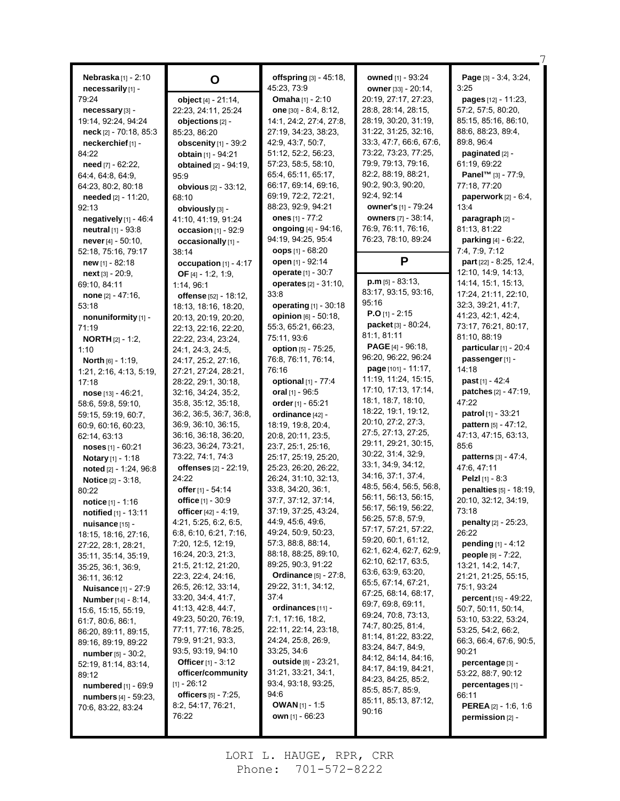| <b>Nebraska</b> $[1]$ - 2:10<br>necessarily [1] - | O                                             | <b>offspring</b> $[3] - 45:18$ ,<br>45:23, 73:9 | owned [1] - 93:24<br>owner [33] - 20:14,    | Page [3] - 3:4, 3:24,<br>3:25                  |
|---------------------------------------------------|-----------------------------------------------|-------------------------------------------------|---------------------------------------------|------------------------------------------------|
| 79:24                                             | object [4] - 21:14,                           | Omaha [1] - 2:10                                | 20:19, 27:17, 27:23,                        | pages [12] - 11:23,                            |
| necessary [3] -                                   | 22:23, 24:11, 25:24                           | one $[30] - 8.4, 8.12,$                         | 28:8, 28:14, 28:15,                         | 57:2, 57:5, 80:20,                             |
| 19.14, 92.24, 94.24                               | objections [2] -                              | 14:1, 24:2, 27:4, 27:8,                         | 28:19, 30:20, 31:19,                        | 85:15, 85:16, 86:10,                           |
| neck [2] - 70:18, 85:3                            | 85:23, 86:20                                  | 27:19, 34:23, 38:23,                            | 31:22, 31:25, 32:16,                        | 88:6, 88:23, 89:4,                             |
| neckerchief [1] -                                 | obscenity [1] - 39:2                          | 42:9, 43:7, 50:7,                               | 33:3, 47:7, 66:6, 67:6,                     | 89:8, 96:4                                     |
| 84:22                                             | obtain [1] - 94:21                            | 51:12, 52:2, 56:23,                             | 73:22, 73:23, 77:25,                        | paginated [2] -                                |
| need [7] - 62:22,                                 | obtained [2] - 94:19,                         | 57:23, 58:5, 58:10,                             | 79:9, 79:13, 79:16,                         | 61:19, 69:22                                   |
| 64.4, 64.8, 64.9,                                 | 95:9                                          | 65:4, 65:11, 65:17,                             | 82:2, 88:19, 88:21,                         | Panel <sup>™</sup> [3] - 77:9,                 |
| 64:23, 80:2, 80:18                                | <b>obvious</b> [2] - 33:12,                   | 66:17, 69:14, 69:16,                            | 90:2, 90:3, 90:20,                          | 77:18, 77:20                                   |
| needed [2] - 11:20.                               | 68:10                                         | 69.19, 72:2, 72:21,                             | 92:4, 92:14                                 | paperwork $[2] - 6:4$ ,                        |
| 92:13                                             | obviously [3] -                               | 88.23, 92.9, 94.21                              | owner's [1] - 79:24                         | 13:4                                           |
| negatively $[1]$ - 46:4                           | 41:10, 41:19, 91:24                           | ones $[1] - 77:2$                               | <b>owners</b> [7] - 38:14,                  | paragraph [2] -                                |
| neutral [1] - 93:8                                | occasion [1] - 92:9                           | ongoing [4] - 94:16,                            | 76:9, 76:11, 76:16,                         | 81:13, 81:22                                   |
| never [4] - 50:10,                                | occasionally [1] -                            | 94:19, 94:25, 95:4                              | 76:23, 78:10, 89:24                         | parking [4] - 6:22,                            |
| 52:18, 75:16, 79:17                               | 38:14                                         | oops $[1] - 68:20$                              |                                             | 7:4, 7:9, 7:12                                 |
| new [1] - 82:18                                   | occupation [1] - 4:17                         | open [1] - 92:14                                | P                                           | part [22] - 8:25, 12:4,                        |
| $next[3] - 20:9,$                                 | OF $[4] - 1:2, 1:9,$                          | operate [1] - 30:7                              |                                             | 12:10, 14:9, 14:13,                            |
| 69:10, 84:11                                      | 1:14, 96:1                                    | operates [2] - 31:10,                           | $p.m$ [5] - 83:13,                          | 14:14, 15:1, 15:13,                            |
| <b>none</b> $[2] - 47:16$ ,                       | offense [52] - 18:12,                         | 33.8                                            | 83:17, 93:15, 93:16,                        | 17:24, 21:11, 22:10,                           |
| 53:18                                             | 18:13, 18:16, 18:20,                          | operating [1] - 30:18                           | 95:16                                       | 32:3, 39:21, 41:7,                             |
| nonuniformity [1] -                               | 20:13, 20:19, 20:20,                          | <b>opinion</b> [6] - 50:18,                     | <b>P.O</b> [1] - 2:15                       | 41:23, 42:1, 42:4,                             |
| 71:19                                             | 22:13, 22:16, 22:20,                          | 55:3, 65:21, 66:23,                             | packet [3] - 80:24,                         | 73:17, 76:21, 80:17,                           |
| <b>NORTH</b> $[2] - 1:2$ ,                        | 22:22, 23:4, 23:24,                           | 75:11, 93:6                                     | 81:1, 81:11                                 | 81:10, 88:19                                   |
| 1:10                                              | 24:1, 24:3, 24:5,                             | option [5] - 75:25,                             | <b>PAGE</b> [4] - 96:18,                    | particular $[1]$ - 20:4                        |
| <b>North</b> [6] - 1:19,                          | 24:17, 25:2, 27:16,                           | 76:8, 76:11, 76:14,                             | 96:20, 96:22, 96:24                         | passenger [1] -                                |
| 1:21, 2:16, 4:13, 5:19,                           | 27:21, 27:24, 28:21,                          | 76:16                                           | page [101] - 11:17,                         | 14:18                                          |
| 17:18                                             | 28:22, 29:1, 30:18,                           | optional [1] - 77:4                             | 11:19, 11:24, 15:15,                        | past [1] - 42:4                                |
| <b>nose</b> $[13] - 46.21$ ,                      | 32:16, 34:24, 35:2,                           | oral [1] - 96:5                                 | 17:10, 17:13, 17:14,                        | patches [2] - 47:19,                           |
| 58.6, 59.8, 59.10,                                | 35:8, 35:12, 35:18,                           | order $[1] - 65:21$                             | 18:1, 18:7, 18:10,                          | 47:22                                          |
| 59:15, 59:19, 60:7,                               | 36:2, 36:5, 36:7, 36:8,                       | ordinance [42] -                                | 18:22, 19:1, 19:12,                         | patrol [1] - 33:21                             |
| 60:9, 60:16, 60:23,                               | 36.9, 36.10, 36.15,                           | 18:19, 19:8, 20:4,                              | 20:10, 27:2, 27:3,                          | pattern [5] - 47:12,                           |
| 62:14, 63:13                                      | 36:16, 36:18, 36:20,                          | 20:8, 20:11, 23:5,                              | 27:5, 27:13, 27:25,<br>29:11, 29:21, 30:15, | 47:13, 47:15, 63:13,                           |
| noses $[1] - 60.21$                               | 36:23, 36:24, 73:21,                          | 23.7, 25.1, 25.16,                              | 30:22, 31:4, 32:9,                          | 85.6                                           |
| Notary [1] - 1:18                                 | 73:22, 74:1, 74:3                             | 25:17, 25:19, 25:20,                            | 33:1, 34:9, 34:12,                          | patterns [3] - 47.4,                           |
| noted [2] - 1:24, 96:8                            | <b>offenses</b> [2] - 22:19,                  | 25:23, 26:20, 26:22,                            | 34:16, 37:1, 37:4,                          | 47:6, 47:11                                    |
| Notice [2] - 3:18.                                | 24:22                                         | 26:24, 31:10, 32:13,<br>33:8, 34:20, 36:1,      | 48:5, 56:4, 56:5, 56:8,                     | Pelzl $[1] - 8:3$                              |
| 80:22                                             | offer $[1] - 54.14$<br>office [1] - 30:9      | 37:7, 37:12, 37:14,                             | 56:11, 56:13, 56:15,                        | penalties [5] - 18:19,<br>20:10, 32:12, 34:19, |
| notice [1] - 1:16                                 |                                               | 37:19, 37:25, 43:24,                            | 56:17, 56:19, 56:22,                        | 73:18                                          |
| notified [1] - 13:11                              | officer [42] - 4:19,<br>4:21, 5:25, 6:2, 6:5, | 44:9, 45:6, 49:6,                               | 56:25, 57:8, 57:9,                          | <b>penalty</b> $[2] - 25.23$ ,                 |
| nuisance $[15]$ -<br>18:15, 18:16, 27:16,         | 6:8, 6:10, 6:21, 7:16,                        | 49:24, 50:9, 50:23,                             | 57:17, 57:21, 57:22,                        | 26:22                                          |
| 27:22, 28:1, 28:21,                               | 7:20, 12:5, 12:19,                            | 57:3, 88:8, 88:14,                              | 59:20, 60:1, 61:12,                         | pending $[1] - 4:12$                           |
| 35:11, 35:14, 35:19,                              | 16:24, 20:3, 21:3,                            | 88:18, 88:25, 89:10,                            | 62:1, 62:4, 62:7, 62:9,                     | people [9] - 7:22,                             |
| 35:25, 36:1, 36:9,                                | 21:5, 21:12, 21:20,                           | 89 25, 90 3, 91:22                              | 62:10, 62:17, 63:5,                         | 13:21, 14:2, 14:7,                             |
| 36:11, 36:12                                      | 22.3, 22.4, 24.16,                            | <b>Ordinance</b> [5] - 27:8,                    | 63.6, 63.9, 63.20,                          | 21:21, 21:25, 55:15,                           |
| <b>Nuisance</b> [1] - 27:9                        | 26:5, 26:12, 33:14,                           | 29:22, 31:1, 34:12,                             | 65:5, 67:14, 67:21,                         | 75:1, 93:24                                    |
| <b>Number</b> $[14] - 8:14$ ,                     | 33:20, 34:4, 41:7,                            | 37:4                                            | 67:25, 68:14, 68:17,                        | percent [15] - 49:22,                          |
| 15:6, 15:15, 55:19,                               | 41:13, 42:8, 44:7,                            | ordinances [11] -                               | 69.7, 69.8, 69.11,                          | 50:7, 50:11, 50:14,                            |
| 61.7, 80.6, 86.1,                                 | 49:23, 50:20, 76:19,                          | 7:1, 17:16, 18:2,                               | 69:24, 70:8, 73:13,<br>74:7, 80:25, 81:4,   | 53:10, 53:22, 53:24,                           |
| 86:20, 89:11, 89:15,                              | 77:11, 77:16, 78:25,                          | 22:11, 22:14, 23:18,                            | 81:14, 81:22, 83:22,                        | 53:25, 54:2, 66:2,                             |
| 89:16, 89:19, 89:22                               | 79:9, 91:21, 93:3,                            | 24:24, 25:8, 26:9,                              | 83:24, 84:7, 84:9,                          | 66:3, 66:4, 67:6, 90:5,                        |
| <b>number</b> $[5] - 30:2$ ,                      | 93:5, 93:19, 94:10                            | 33:25, 34:6                                     | 84:12, 84:14, 84:16,                        | 90:21                                          |
| 52:19, 81:14, 83:14,                              | Officer $[1] - 3:12$                          | <b>outside</b> $[8] - 23:21$ ,                  | 84:17, 84:19, 84:21,                        | percentage [3] -                               |
| 89:12                                             | officer/community                             | 31:21, 33:21, 34:1,                             | 84:23, 84:25, 85:2,                         | 53:22, 88:7, 90:12                             |
| <b>numbered</b> [1] - 69:9                        | $[1] - 26:12$                                 | 93:4, 93:18, 93:25,                             | 85:5, 85:7, 85:9,                           | percentages [1] -                              |
| numbers [4] - 59:23,                              | officers $[5] - 7:25$ ,                       | 94:6<br><b>OWAN</b> $[1]$ - 1:5                 | 85:11, 85:13, 87:12,                        | 66:11                                          |
| 70.6, 83.22, 83.24                                | 8:2, 54:17, 76:21,<br>76:22                   | own $[1] - 66:23$                               | 90:16                                       | <b>PEREA</b> $[2] - 1.6, 1.6$                  |
|                                                   |                                               |                                                 |                                             | permission [2] -                               |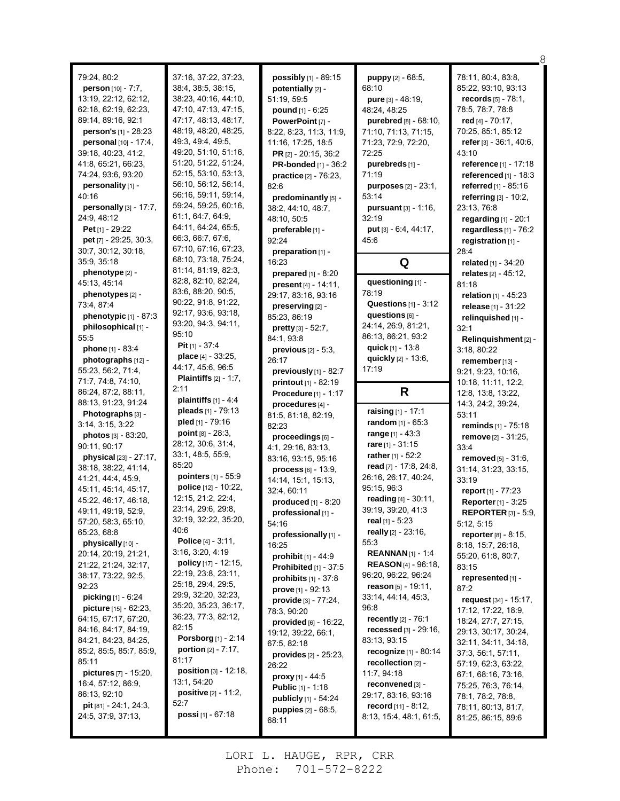| 79:24, 80:2<br>person [10] - 7:7,<br>13:19, 22:12, 62:12,<br>62:18, 62:19, 62:23,<br>89:14, 89:16, 92:1<br>person's [1] - 28:23<br><b>personal</b> $[10] - 17:4$ ,<br>39.18, 40:23, 41:2,<br>41.8, 65.21, 66.23,<br>74:24, 93:6, 93:20<br>personality [1] -<br>40:16<br>personally $[3] - 17:7$ ,<br>24:9, 48:12<br>Pet [1] - 29:22<br>pet [7] - 29:25, 30:3,<br>30:7, 30:12, 30:18, | 37:16, 37:22, 37:23,<br>38:4, 38:5, 38:15,<br>38:23, 40:16, 44:10,<br>47:10, 47:13, 47:15,<br>47:17, 48:13, 48:17,<br>48:19, 48:20, 48:25,<br>49:3, 49:4, 49:5,<br>49:20, 51:10, 51:16,<br>51:20, 51:22, 51:24,<br>52:15, 53:10, 53:13,<br>56:10, 56:12, 56:14,<br>56:16, 59:11, 59:14,<br>59:24, 59:25, 60:16,<br>61:1, 64:7, 64:9,<br>64:11, 64:24, 65:5,<br>66:3, 66:7, 67:6,<br>67:10, 67:16, 67:23,<br>68:10, 73:18, 75:24, | <b>possibly</b> $[1]$ - 89:15<br>potentially [2] -<br>51:19, 59:5<br>pound [1] - 6:25<br>PowerPoint [7] -<br>8:22, 8:23, 11:3, 11:9,<br>11:16, 17:25, 18:5<br>PR [2] - 20:15, 36:2<br><b>PR-bonded</b> [1] - 36:2<br>practice [2] - 76:23,<br>82:6<br>predominantly [5] -<br>38:2, 44:10, 48:7,<br>48:10, 50:5<br>preferable [1] -<br>92:24<br>preparation [1] - | puppy [2] - 68:5,<br>68:10<br>pure [3] - 48:19,<br>48:24, 48:25<br>purebred [8] - 68:10,<br>71:10, 71:13, 71:15,<br>71:23, 72:9, 72:20,<br>72:25<br>purebreds [1] -<br>71:19<br><b>purposes</b> [2] - 23:1,<br>53:14<br>pursuant [3] - 1:16,<br>32:19<br>put [3] - 6:4, 44:17,<br>45.6 | 78:11, 80:4, 83:8,<br>85:22, 93:10, 93:13<br>records [5] - 78:1,<br>78:5, 78:7, 78:8<br>red $[4] - 70:17$ ,<br>70:25, 85:1, 85:12<br>refer [3] - 36:1, 40:6,<br>43:10<br>reference [1] - 17:18<br>referenced $[1]$ - 18:3<br>referred $[1] - 85:16$<br>referring [3] - 10:2,<br>23:13, 76:8<br>regarding $[1]$ - 20:1<br>regardless $[1]$ - $76:2$<br>registration [1] -<br>28.4 |
|--------------------------------------------------------------------------------------------------------------------------------------------------------------------------------------------------------------------------------------------------------------------------------------------------------------------------------------------------------------------------------------|----------------------------------------------------------------------------------------------------------------------------------------------------------------------------------------------------------------------------------------------------------------------------------------------------------------------------------------------------------------------------------------------------------------------------------|------------------------------------------------------------------------------------------------------------------------------------------------------------------------------------------------------------------------------------------------------------------------------------------------------------------------------------------------------------------|----------------------------------------------------------------------------------------------------------------------------------------------------------------------------------------------------------------------------------------------------------------------------------------|----------------------------------------------------------------------------------------------------------------------------------------------------------------------------------------------------------------------------------------------------------------------------------------------------------------------------------------------------------------------------------|
| 35:9, 35:18<br>phenotype [2] -                                                                                                                                                                                                                                                                                                                                                       | 81:14, 81:19, 82:3,                                                                                                                                                                                                                                                                                                                                                                                                              | 16:23<br><b>prepared</b> $[1] - 8:20$                                                                                                                                                                                                                                                                                                                            | Q                                                                                                                                                                                                                                                                                      | related $[1] - 34:20$<br>relates [2] - 45:12,                                                                                                                                                                                                                                                                                                                                    |
| 45:13, 45:14                                                                                                                                                                                                                                                                                                                                                                         | 82.8, 82.10, 82.24,                                                                                                                                                                                                                                                                                                                                                                                                              | present [4] - 14:11,                                                                                                                                                                                                                                                                                                                                             | questioning [1] -                                                                                                                                                                                                                                                                      | 81:18                                                                                                                                                                                                                                                                                                                                                                            |
| phenotypes [2] -                                                                                                                                                                                                                                                                                                                                                                     | 83.6, 88.20, 90.5,                                                                                                                                                                                                                                                                                                                                                                                                               | 29:17, 83:16, 93:16                                                                                                                                                                                                                                                                                                                                              | 78:19                                                                                                                                                                                                                                                                                  | relation [1] - 45:23                                                                                                                                                                                                                                                                                                                                                             |
| 73.4, 87:4                                                                                                                                                                                                                                                                                                                                                                           | 90:22, 91:8, 91:22,                                                                                                                                                                                                                                                                                                                                                                                                              | $preserving [2] -$                                                                                                                                                                                                                                                                                                                                               | Questions [1] - 3:12                                                                                                                                                                                                                                                                   | release [1] - 31:22                                                                                                                                                                                                                                                                                                                                                              |
| phenotypic [1] - 87:3                                                                                                                                                                                                                                                                                                                                                                | 92:17, 93:6, 93:18,<br>93:20, 94:3, 94:11,                                                                                                                                                                                                                                                                                                                                                                                       | 85:23, 86:19                                                                                                                                                                                                                                                                                                                                                     | questions [6] -                                                                                                                                                                                                                                                                        | relinquished [1] -                                                                                                                                                                                                                                                                                                                                                               |
| philosophical [1] -                                                                                                                                                                                                                                                                                                                                                                  | 95:10                                                                                                                                                                                                                                                                                                                                                                                                                            | pretty [3] - 52:7,                                                                                                                                                                                                                                                                                                                                               | 24:14, 26:9, 81:21,                                                                                                                                                                                                                                                                    | 32:1                                                                                                                                                                                                                                                                                                                                                                             |
| 55:5                                                                                                                                                                                                                                                                                                                                                                                 | Pit $[1] - 37:4$                                                                                                                                                                                                                                                                                                                                                                                                                 | 84:1, 93:8                                                                                                                                                                                                                                                                                                                                                       | 86:13, 86:21, 93:2                                                                                                                                                                                                                                                                     | Relinquishment [2] -                                                                                                                                                                                                                                                                                                                                                             |
| <b>phone</b> $[1] - 83:4$                                                                                                                                                                                                                                                                                                                                                            | place [4] - 33:25,                                                                                                                                                                                                                                                                                                                                                                                                               | previous $[2] - 5:3$ ,                                                                                                                                                                                                                                                                                                                                           | quick [1] - 13:8<br>quickly [2] - 13:6,                                                                                                                                                                                                                                                | 3:18, 80:22                                                                                                                                                                                                                                                                                                                                                                      |
| photographs [12] -<br>55:23, 56:2, 71:4,                                                                                                                                                                                                                                                                                                                                             | 44:17, 45:6, 96:5                                                                                                                                                                                                                                                                                                                                                                                                                | 26:17                                                                                                                                                                                                                                                                                                                                                            | 17:19                                                                                                                                                                                                                                                                                  | remember [13] -                                                                                                                                                                                                                                                                                                                                                                  |
| 71.7, 74.8, 74.10,                                                                                                                                                                                                                                                                                                                                                                   | <b>Plaintiffs</b> [2] - 1:7,                                                                                                                                                                                                                                                                                                                                                                                                     | previously $[1]$ - 82:7                                                                                                                                                                                                                                                                                                                                          |                                                                                                                                                                                                                                                                                        | 9:21, 9:23, 10:16,                                                                                                                                                                                                                                                                                                                                                               |
| 86.24, 87:2, 88:11,                                                                                                                                                                                                                                                                                                                                                                  | 2:11                                                                                                                                                                                                                                                                                                                                                                                                                             | <b>printout</b> $[1]$ - 82:19<br><b>Procedure [1] - 1:17</b>                                                                                                                                                                                                                                                                                                     | R                                                                                                                                                                                                                                                                                      | 10:18, 11:11, 12:2,<br>12:8, 13:8, 13:22,                                                                                                                                                                                                                                                                                                                                        |
| 88:13, 91:23, 91:24                                                                                                                                                                                                                                                                                                                                                                  | plaintiffs $[1] - 4.4$                                                                                                                                                                                                                                                                                                                                                                                                           | procedures [4] -                                                                                                                                                                                                                                                                                                                                                 |                                                                                                                                                                                                                                                                                        | 14:3, 24:2, 39:24,                                                                                                                                                                                                                                                                                                                                                               |
| Photographs [3] -                                                                                                                                                                                                                                                                                                                                                                    | pleads $[1] - 79.13$                                                                                                                                                                                                                                                                                                                                                                                                             | 81:5, 81:18, 82:19,                                                                                                                                                                                                                                                                                                                                              | <b>raising</b> $[1] - 17:1$                                                                                                                                                                                                                                                            | 53:11                                                                                                                                                                                                                                                                                                                                                                            |
| 3:14, 3:15, 3:22                                                                                                                                                                                                                                                                                                                                                                     | <b>pled</b> [1] - 79:16                                                                                                                                                                                                                                                                                                                                                                                                          | 82:23                                                                                                                                                                                                                                                                                                                                                            | random [1] - 65:3                                                                                                                                                                                                                                                                      | reminds [1] - 75:18                                                                                                                                                                                                                                                                                                                                                              |
| photos [3] - 83:20,                                                                                                                                                                                                                                                                                                                                                                  | <b>point</b> $[8] - 28:3$ ,                                                                                                                                                                                                                                                                                                                                                                                                      | proceedings [6] -                                                                                                                                                                                                                                                                                                                                                | range $[1] - 43.3$                                                                                                                                                                                                                                                                     | remove [2] - 31:25,                                                                                                                                                                                                                                                                                                                                                              |
| 90:11, 90:17                                                                                                                                                                                                                                                                                                                                                                         | 28:12, 30:6, 31:4,                                                                                                                                                                                                                                                                                                                                                                                                               | 4:1, 29:16, 83:13,                                                                                                                                                                                                                                                                                                                                               | rare $[1]$ - 31:15                                                                                                                                                                                                                                                                     | 33:4                                                                                                                                                                                                                                                                                                                                                                             |
| physical [23] - 27:17,                                                                                                                                                                                                                                                                                                                                                               | 33:1, 48:5, 55:9,<br>85:20                                                                                                                                                                                                                                                                                                                                                                                                       | 83:16, 93:15, 95:16                                                                                                                                                                                                                                                                                                                                              | rather $[1] - 52:2$                                                                                                                                                                                                                                                                    | removed $[5] - 31:6$ ,                                                                                                                                                                                                                                                                                                                                                           |
| 38:18, 38:22, 41:14,                                                                                                                                                                                                                                                                                                                                                                 | <b>pointers</b> $[1] - 55.9$                                                                                                                                                                                                                                                                                                                                                                                                     | $process[6] - 13:9,$                                                                                                                                                                                                                                                                                                                                             | read [7] - 17:8, 24:8,                                                                                                                                                                                                                                                                 | 31:14, 31:23, 33:15,                                                                                                                                                                                                                                                                                                                                                             |
| 41:21, 44:4, 45:9,                                                                                                                                                                                                                                                                                                                                                                   | police [12] - 10:22,                                                                                                                                                                                                                                                                                                                                                                                                             | 14:14, 15:1, 15:13,                                                                                                                                                                                                                                                                                                                                              | 26:16, 26:17, 40:24,<br>95:15, 96:3                                                                                                                                                                                                                                                    | 33:19                                                                                                                                                                                                                                                                                                                                                                            |
| 45:11, 45:14, 45:17,<br>45:22, 46:17, 46:18,                                                                                                                                                                                                                                                                                                                                         | 12:15, 21:2, 22:4,                                                                                                                                                                                                                                                                                                                                                                                                               | 32:4, 60:11                                                                                                                                                                                                                                                                                                                                                      | reading $[4] - 30:11$ ,                                                                                                                                                                                                                                                                | report [1] - 77:23                                                                                                                                                                                                                                                                                                                                                               |
| 49:11, 49:19, 52:9,                                                                                                                                                                                                                                                                                                                                                                  | 23:14, 29:6, 29:8,                                                                                                                                                                                                                                                                                                                                                                                                               | produced [1] - 8:20                                                                                                                                                                                                                                                                                                                                              | 39:19, 39:20, 41:3                                                                                                                                                                                                                                                                     | <b>Reporter</b> [1] - 3:25                                                                                                                                                                                                                                                                                                                                                       |
| 57:20, 58:3, 65:10,                                                                                                                                                                                                                                                                                                                                                                  | 32:19, 32:22, 35:20,                                                                                                                                                                                                                                                                                                                                                                                                             | professional [1] -<br>54:16                                                                                                                                                                                                                                                                                                                                      | real $[1] - 5:23$                                                                                                                                                                                                                                                                      | <b>REPORTER</b> $[3] - 5:9$ ,<br>5:12, 5:15                                                                                                                                                                                                                                                                                                                                      |
| 65:23, 68:8                                                                                                                                                                                                                                                                                                                                                                          | 40:6                                                                                                                                                                                                                                                                                                                                                                                                                             | professionally [1] -                                                                                                                                                                                                                                                                                                                                             | really $[2] - 23.16$ ,                                                                                                                                                                                                                                                                 | <b>reporter</b> $[8] - 8.15$ ,                                                                                                                                                                                                                                                                                                                                                   |
| physically [10] -                                                                                                                                                                                                                                                                                                                                                                    | <b>Police</b> $[4] - 3.11$ ,                                                                                                                                                                                                                                                                                                                                                                                                     | 16:25                                                                                                                                                                                                                                                                                                                                                            | 55:3                                                                                                                                                                                                                                                                                   | 8:18, 15:7, 26:18,                                                                                                                                                                                                                                                                                                                                                               |
| 20:14, 20:19, 21:21,                                                                                                                                                                                                                                                                                                                                                                 | 3:16, 3:20, 4:19                                                                                                                                                                                                                                                                                                                                                                                                                 | prohibit [1] - 44:9                                                                                                                                                                                                                                                                                                                                              | <b>REANNAN</b> $[1]$ - 1:4                                                                                                                                                                                                                                                             | 55:20, 61:8, 80:7,                                                                                                                                                                                                                                                                                                                                                               |
| 21:22, 21:24, 32:17,                                                                                                                                                                                                                                                                                                                                                                 | policy [17] - 12:15,                                                                                                                                                                                                                                                                                                                                                                                                             | Prohibited $[1]$ - 37:5                                                                                                                                                                                                                                                                                                                                          | <b>REASON</b> [4] - 96:18,                                                                                                                                                                                                                                                             | 83:15                                                                                                                                                                                                                                                                                                                                                                            |
| 38:17, 73:22, 92:5,                                                                                                                                                                                                                                                                                                                                                                  | 22:19, 23:8, 23:11,                                                                                                                                                                                                                                                                                                                                                                                                              | prohibits $[1]$ - 37:8                                                                                                                                                                                                                                                                                                                                           | 96:20, 96:22, 96:24                                                                                                                                                                                                                                                                    | represented [1] -                                                                                                                                                                                                                                                                                                                                                                |
| 92:23                                                                                                                                                                                                                                                                                                                                                                                | 25:18, 29:4, 29:5,                                                                                                                                                                                                                                                                                                                                                                                                               | <b>prove</b> $[1]$ - 92:13                                                                                                                                                                                                                                                                                                                                       | reason $[5]$ - 19:11,                                                                                                                                                                                                                                                                  | 87:2                                                                                                                                                                                                                                                                                                                                                                             |
| <b>picking</b> $[1] - 6.24$                                                                                                                                                                                                                                                                                                                                                          | 29:9, 32:20, 32:23,<br>35:20, 35:23, 36:17,                                                                                                                                                                                                                                                                                                                                                                                      | <b>provide</b> $[3] - 77:24$ ,                                                                                                                                                                                                                                                                                                                                   | 33:14, 44:14, 45:3,                                                                                                                                                                                                                                                                    | request [34] - 15:17,                                                                                                                                                                                                                                                                                                                                                            |
| picture [15] - 62:23,                                                                                                                                                                                                                                                                                                                                                                | 36.23, 77:3, 82:12,                                                                                                                                                                                                                                                                                                                                                                                                              | 78:3, 90:20                                                                                                                                                                                                                                                                                                                                                      | 96:8                                                                                                                                                                                                                                                                                   | 17:12, 17:22, 18:9,                                                                                                                                                                                                                                                                                                                                                              |
| 64:15, 67:17, 67:20,<br>84:16, 84:17, 84:19,                                                                                                                                                                                                                                                                                                                                         | 82:15                                                                                                                                                                                                                                                                                                                                                                                                                            | <b>provided</b> $[6] - 16:22$                                                                                                                                                                                                                                                                                                                                    | <b>recently</b> $[2] - 76:1$<br>recessed $[3] - 29:16$ ,                                                                                                                                                                                                                               | 18:24, 27:7, 27:15,                                                                                                                                                                                                                                                                                                                                                              |
| 84:21, 84:23, 84:25,                                                                                                                                                                                                                                                                                                                                                                 | <b>Porsborg</b> [1] - 2:14                                                                                                                                                                                                                                                                                                                                                                                                       | 19:12, 39:22, 66:1,                                                                                                                                                                                                                                                                                                                                              | 83:13, 93:15                                                                                                                                                                                                                                                                           | 29:13, 30:17, 30:24,<br>32:11, 34:11, 34:18,                                                                                                                                                                                                                                                                                                                                     |
| 85:2, 85:5, 85:7, 85:9,                                                                                                                                                                                                                                                                                                                                                              | <b>portion</b> $[2] - 7:17$ ,                                                                                                                                                                                                                                                                                                                                                                                                    | 67:5, 82:18                                                                                                                                                                                                                                                                                                                                                      | recognize [1] - 80:14                                                                                                                                                                                                                                                                  | 37:3, 56:1, 57:11,                                                                                                                                                                                                                                                                                                                                                               |
| 85:11                                                                                                                                                                                                                                                                                                                                                                                | 81:17                                                                                                                                                                                                                                                                                                                                                                                                                            | <b>provides</b> $[2] - 25:23$ ,<br>26:22                                                                                                                                                                                                                                                                                                                         | recollection $[2]$ -                                                                                                                                                                                                                                                                   | 57:19, 62:3, 63:22,                                                                                                                                                                                                                                                                                                                                                              |
| pictures [7] - 15:20,                                                                                                                                                                                                                                                                                                                                                                | position [3] - 12:18,                                                                                                                                                                                                                                                                                                                                                                                                            | <b>proxy</b> [1] - 44:5                                                                                                                                                                                                                                                                                                                                          | 11:7, 94:18                                                                                                                                                                                                                                                                            | 67:1, 68:16, 73:16,                                                                                                                                                                                                                                                                                                                                                              |
| 16.4, 57.12, 86.9,                                                                                                                                                                                                                                                                                                                                                                   | 13:1, 54:20                                                                                                                                                                                                                                                                                                                                                                                                                      | <b>Public</b> $[1] - 1:18$                                                                                                                                                                                                                                                                                                                                       | reconvened [3] -                                                                                                                                                                                                                                                                       | 75:25, 76:3, 76:14,                                                                                                                                                                                                                                                                                                                                                              |
| 86.13, 92.10                                                                                                                                                                                                                                                                                                                                                                         | <b>positive</b> $[2] - 11:2$ ,                                                                                                                                                                                                                                                                                                                                                                                                   | publicly [1] - 54:24                                                                                                                                                                                                                                                                                                                                             | 29:17, 83:16, 93:16                                                                                                                                                                                                                                                                    | 78:1, 78:2, 78:8,                                                                                                                                                                                                                                                                                                                                                                |
| <b>pit</b> $[81] - 24:1$ , 24:3,                                                                                                                                                                                                                                                                                                                                                     | 52:7                                                                                                                                                                                                                                                                                                                                                                                                                             | <b>puppies</b> [2] - 68:5,                                                                                                                                                                                                                                                                                                                                       | <b>record</b> $[11] - 8.12$ ,                                                                                                                                                                                                                                                          | 78:11, 80:13, 81:7,                                                                                                                                                                                                                                                                                                                                                              |
| 24:5, 37:9, 37:13,                                                                                                                                                                                                                                                                                                                                                                   | <b>possi</b> $[1] - 67:18$                                                                                                                                                                                                                                                                                                                                                                                                       | 68:11                                                                                                                                                                                                                                                                                                                                                            | 8:13, 15:4, 48:1, 61:5,                                                                                                                                                                                                                                                                | 81:25, 86:15, 89:6                                                                                                                                                                                                                                                                                                                                                               |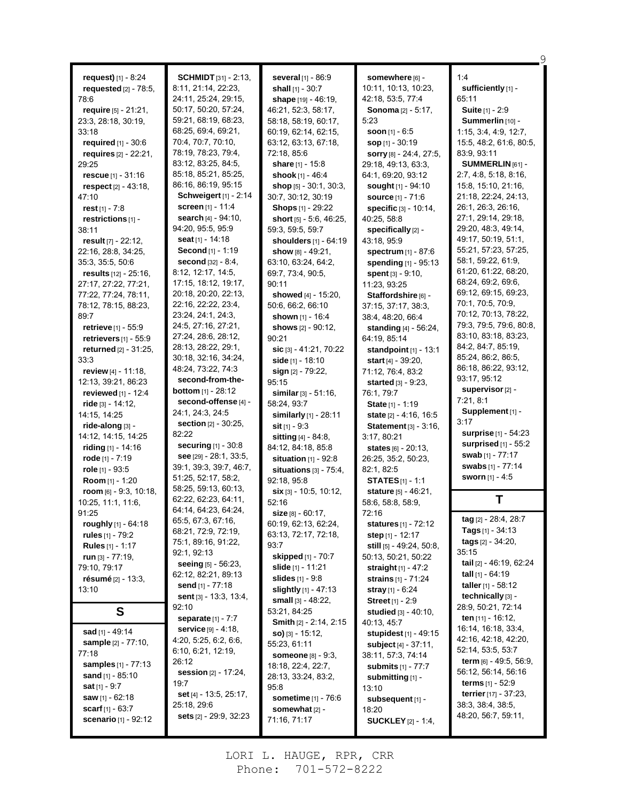| request) [1] - 8:24<br>requested $[2]$ - 78:5,<br>78:6<br>require $[5] - 21:21$ ,<br>23:3, 28:18, 30:19,<br>33:18<br><b>required</b> $[1] - 30.6$<br>requires $[2] - 22.21$ ,<br>29:25<br><b>rescue</b> $[1] - 31:16$<br>respect $[2] - 43:18$ ,<br>47:10<br>rest $[1] - 7.8$<br>restrictions [1] -<br>38:11<br>result [7] - 22:12,<br>22:16, 28:8, 34:25,<br>35:3, 35:5, 50:6<br><b>results</b> [12] - 25:16,<br>27:17, 27:22, 77:21,<br>77:22, 77:24, 78:11,<br>78:12, 78:15, 88:23,<br>89:7<br>retrieve [1] - 55:9<br>retrievers $[1]$ - 55:9<br><b>returned</b> [2] - 31:25,<br>33:3<br>review $[4] - 11.18$ ,<br>12:13, 39:21, 86:23<br>reviewed [1] - 12:4<br>ride $[3]$ - 14:12,<br>14:15, 14:25<br>ride-along [3] -<br>14:12, 14:15, 14:25<br>riding $[1]$ - 14:16 | <b>SCHMIDT</b> [31] - 2:13,<br>8:11, 21:14, 22:23,<br>24:11, 25:24, 29:15,<br>50:17, 50:20, 57:24,<br>59:21, 68:19, 68:23,<br>68.25, 69.4, 69.21,<br>70:4, 70:7, 70:10,<br>78:19, 78:23, 79:4,<br>83:12, 83:25, 84:5,<br>85:18, 85:21, 85:25,<br>86:16, 86:19, 95:15<br><b>Schweigert</b> [1] - 2:14<br>screen [1] - 11:4<br>search [4] - 94:10,<br>94:20, 95:5, 95:9<br>seat [1] - 14:18<br><b>Second</b> [1] - 1:19<br><b>second</b> $[32] - 8.4$ ,<br>8:12, 12:17, 14:5,<br>17:15, 18:12, 19:17,<br>20:18, 20:20, 22:13,<br>22:16, 22:22, 23:4,<br>23:24, 24:1, 24:3,<br>24:5, 27:16, 27:21,<br>27:24, 28:6, 28:12,<br>28:13, 28:22, 29:1,<br>30:18, 32:16, 34:24,<br>48:24, 73:22, 74:3<br>second-from-the-<br><b>bottom</b> $[1]$ - 28:12<br>second-offense [4] -<br>24:1, 24:3, 24:5<br><b>section</b> [2] - 30:25,<br>82:22<br>securing $[1]$ - 30:8 | <b>several</b> [1] - 86:9<br>shall $[1]$ - 30:7<br>shape [19] - 46:19,<br>46.21, 52.3, 58.17,<br>58:18, 58:19, 60:17,<br>60:19, 62:14, 62:15,<br>63:12, 63:13, 67:18,<br>72:18, 85:6<br><b>share</b> [1] - 15:8<br>shook [1] - 46:4<br>shop $[5] - 30.1$ , $30.3$ ,<br>30:7, 30:12, 30:19<br>Shops [1] - 29:22<br>short [5] - 5:6, 46:25,<br>59:3, 59:5, 59:7<br>shoulders [1] - 64:19<br>show $[8] - 49:21$ ,<br>63.10, 63:24, 64.2,<br>69:7, 73:4, 90:5,<br>90:11<br>showed [4] - 15:20,<br>50:6, 66:2, 66:10<br>shown [1] - 16:4<br>shows [2] - 90:12,<br>90:21<br>sic $[3] - 41.21$ , 70.22<br>side $[1] - 18:10$<br>sign [2] - 79:22,<br>95:15<br><b>similar</b> $[3] - 51:16$ ,<br>58:24, 93:7<br>similarly $[1]$ - 28:11<br>sit $[1] - 9:3$<br>sitting [4] - 84:8,<br>84:12, 84:18, 85:8 | somewhere [6] -<br>10:11, 10:13, 10:23,<br>42:18, 53:5, 77:4<br><b>Sonoma</b> [2] - 5:17,<br>5:23<br><b>soon</b> $[1] - 6:5$<br>sop [1] - 30:19<br><b>sorry</b> $[8] - 24.4$ , 27:5,<br>29:18, 49:13, 63:3,<br>64:1, 69:20, 93:12<br>sought [1] - 94:10<br><b>source</b> [1] - 71:6<br><b>specific</b> $[3] - 10:14$ ,<br>40:25, 58:8<br>specifically [2] -<br>43:18, 95.9<br><b>spectrum</b> $[1] - 87:6$<br><b>spending</b> [1] - 95:13<br>spent $[3] - 9.10$ ,<br>11:23, 93:25<br>Staffordshire [6] -<br>37:15, 37:17, 38:3,<br>38:4, 48:20, 66:4<br><b>standing</b> $[4] - 56:24$ ,<br>64:19, 85:14<br>standpoint $[1]$ - 13:1<br><b>start</b> $[4] - 39:20$ ,<br>71:12, 76:4, 83:2<br><b>started</b> $[3] - 9:23$ ,<br>76:1, 79:7<br><b>State</b> [1] - 1:19<br><b>state</b> $[2] - 4:16, 16:5$<br>Statement [3] - 3:16,<br>3:17, 80:21<br><b>states</b> $[6] - 20:13$ | 14<br>sufficiently [1] -<br>65:11<br><b>Suite</b> $[1] - 2.9$<br>Summerlin [10] -<br>1:15, 3.4, 4.9, 12:7,<br>15:5, 48:2, 61:6, 80:5,<br>83:9, 93:11<br>SUMMERLIN [61] -<br>2:7, 4:8, 5:18, 8:16,<br>15:8, 15:10, 21:16,<br>21:18, 22:24, 24:13,<br>26:1, 26:3, 26:16,<br>27:1, 29:14, 29:18,<br>29:20, 48:3, 49:14,<br>49:17, 50:19, 51:1,<br>55:21, 57:23, 57:25,<br>58:1, 59:22, 61:9,<br>61:20, 61:22, 68:20,<br>68:24, 69:2, 69:6,<br>69:12, 69:15, 69:23,<br>70:1, 70:5, 70:9,<br>70:12, 70:13, 78:22,<br>79:3, 79:5, 79:6, 80:8,<br>83:10, 83:18, 83:23,<br>84:2, 84:7, 85:19,<br>85:24, 86:2, 86:5,<br>86:18, 86:22, 93:12,<br>93:17, 95:12<br>supervisor <sub>[2]</sub> -<br>7:21, 8:1<br>Supplement [1] -<br>3:17<br><b>surprise</b> $[1]$ - 54:23<br>surprised $[1]$ - 55:2<br>swab [1] - 77:17 |
|----------------------------------------------------------------------------------------------------------------------------------------------------------------------------------------------------------------------------------------------------------------------------------------------------------------------------------------------------------------------------------------------------------------------------------------------------------------------------------------------------------------------------------------------------------------------------------------------------------------------------------------------------------------------------------------------------------------------------------------------------------------------------|-------------------------------------------------------------------------------------------------------------------------------------------------------------------------------------------------------------------------------------------------------------------------------------------------------------------------------------------------------------------------------------------------------------------------------------------------------------------------------------------------------------------------------------------------------------------------------------------------------------------------------------------------------------------------------------------------------------------------------------------------------------------------------------------------------------------------------------------------------------|-------------------------------------------------------------------------------------------------------------------------------------------------------------------------------------------------------------------------------------------------------------------------------------------------------------------------------------------------------------------------------------------------------------------------------------------------------------------------------------------------------------------------------------------------------------------------------------------------------------------------------------------------------------------------------------------------------------------------------------------------------------------------------------------------|-----------------------------------------------------------------------------------------------------------------------------------------------------------------------------------------------------------------------------------------------------------------------------------------------------------------------------------------------------------------------------------------------------------------------------------------------------------------------------------------------------------------------------------------------------------------------------------------------------------------------------------------------------------------------------------------------------------------------------------------------------------------------------------------------------------------------------------------------------------------------------|------------------------------------------------------------------------------------------------------------------------------------------------------------------------------------------------------------------------------------------------------------------------------------------------------------------------------------------------------------------------------------------------------------------------------------------------------------------------------------------------------------------------------------------------------------------------------------------------------------------------------------------------------------------------------------------------------------------------------------------------------------------------------------------------------------|
| rode $[1] - 7:19$<br>role $[1]$ - 93:5                                                                                                                                                                                                                                                                                                                                                                                                                                                                                                                                                                                                                                                                                                                                     | see [29] - 28:1, 33:5,<br>39:1, 39:3, 39:7, 46:7,                                                                                                                                                                                                                                                                                                                                                                                                                                                                                                                                                                                                                                                                                                                                                                                                           | situation [1] - 92:8<br>situations $[3] - 75.4$ ,                                                                                                                                                                                                                                                                                                                                                                                                                                                                                                                                                                                                                                                                                                                                               | 26:25, 35:2, 50:23,                                                                                                                                                                                                                                                                                                                                                                                                                                                                                                                                                                                                                                                                                                                                                                                                                                                         |                                                                                                                                                                                                                                                                                                                                                                                                                                                                                                                                                                                                                                                                                                                                                                                                            |
|                                                                                                                                                                                                                                                                                                                                                                                                                                                                                                                                                                                                                                                                                                                                                                            |                                                                                                                                                                                                                                                                                                                                                                                                                                                                                                                                                                                                                                                                                                                                                                                                                                                             |                                                                                                                                                                                                                                                                                                                                                                                                                                                                                                                                                                                                                                                                                                                                                                                                 | 82:1, 82:5                                                                                                                                                                                                                                                                                                                                                                                                                                                                                                                                                                                                                                                                                                                                                                                                                                                                  | swabs [1] - 77:14                                                                                                                                                                                                                                                                                                                                                                                                                                                                                                                                                                                                                                                                                                                                                                                          |
| <b>Room</b> $[1] - 1:20$<br>room $[6]$ - 9:3, 10:18,                                                                                                                                                                                                                                                                                                                                                                                                                                                                                                                                                                                                                                                                                                                       | 51:25, 52:17, 58:2,<br>58:25, 59:13, 60:13,                                                                                                                                                                                                                                                                                                                                                                                                                                                                                                                                                                                                                                                                                                                                                                                                                 | 92:18, 95:8<br>$\sin$ [3] - 10.5, 10.12,                                                                                                                                                                                                                                                                                                                                                                                                                                                                                                                                                                                                                                                                                                                                                        | <b>STATES</b> $[1] - 1:1$<br>stature [5] - 46:21,                                                                                                                                                                                                                                                                                                                                                                                                                                                                                                                                                                                                                                                                                                                                                                                                                           | sworn [1] - 4:5                                                                                                                                                                                                                                                                                                                                                                                                                                                                                                                                                                                                                                                                                                                                                                                            |
| 10:25, 11:1, 11:6,<br>91:25                                                                                                                                                                                                                                                                                                                                                                                                                                                                                                                                                                                                                                                                                                                                                | 62:22, 62:23, 64:11,<br>64:14, 64:23, 64:24,                                                                                                                                                                                                                                                                                                                                                                                                                                                                                                                                                                                                                                                                                                                                                                                                                | 52:16                                                                                                                                                                                                                                                                                                                                                                                                                                                                                                                                                                                                                                                                                                                                                                                           | 58:6, 58:8, 58:9,                                                                                                                                                                                                                                                                                                                                                                                                                                                                                                                                                                                                                                                                                                                                                                                                                                                           | Т                                                                                                                                                                                                                                                                                                                                                                                                                                                                                                                                                                                                                                                                                                                                                                                                          |
| roughly [1] - 64:18<br>rules $[1]$ - 79:2<br><b>Rules</b> [1] - 1:17<br>run [3] - 77:19,<br>79:10, 79:17<br><b>résumé</b> $[2] - 13:3,$<br>13:10                                                                                                                                                                                                                                                                                                                                                                                                                                                                                                                                                                                                                           | 65:5, 67:3, 67:16,<br>68:21, 72:9, 72:19,<br>75:1, 89:16, 91:22,<br>92:1, 92:13<br>seeing [5] - 56:23,<br>62:12, 82:21, 89:13<br>send $[1]$ - 77:18<br>sent $[3] - 13.3, 13.4,$                                                                                                                                                                                                                                                                                                                                                                                                                                                                                                                                                                                                                                                                             | size $[8] - 60:17$ ,<br>60:19, 62:13, 62:24,<br>63:13, 72:17, 72:18,<br>93:7<br><b>skipped</b> [1] - 70:7<br>slide [1] - 11:21<br><b>slides</b> [1] - 9:8<br>slightly [1] - 47:13                                                                                                                                                                                                                                                                                                                                                                                                                                                                                                                                                                                                               | 72:16<br><b>statures</b> $[1] - 72:12$<br>step [1] - 12:17<br><b>still</b> $[5]$ - 49:24, 50:8,<br>50:13, 50:21, 50:22<br>straight $[1] - 47.2$<br>strains [1] - 71:24<br>stray $[1] - 6.24$                                                                                                                                                                                                                                                                                                                                                                                                                                                                                                                                                                                                                                                                                | tag [2] - 28:4, 28:7<br>Tags [1] - 34:13<br>tags [2] - 34:20,<br>35:15<br>tail [2] - 46:19, 62:24<br>tall [1] - 64:19<br><b>taller</b> $[1]$ - 58:12<br>technically [3] -                                                                                                                                                                                                                                                                                                                                                                                                                                                                                                                                                                                                                                  |
| S                                                                                                                                                                                                                                                                                                                                                                                                                                                                                                                                                                                                                                                                                                                                                                          | 92:10<br>separate $[1] - 7:7$                                                                                                                                                                                                                                                                                                                                                                                                                                                                                                                                                                                                                                                                                                                                                                                                                               | small [3] - 48:22,<br>53:21, 84:25<br>Smith [2] - 2:14, 2:15                                                                                                                                                                                                                                                                                                                                                                                                                                                                                                                                                                                                                                                                                                                                    | <b>Street</b> [1] - 2:9<br><b>studied</b> $[3] - 40:10$ ,<br>40:13, 45:7                                                                                                                                                                                                                                                                                                                                                                                                                                                                                                                                                                                                                                                                                                                                                                                                    | 28:9, 50:21, 72:14<br>ten [11] - 16:12,                                                                                                                                                                                                                                                                                                                                                                                                                                                                                                                                                                                                                                                                                                                                                                    |